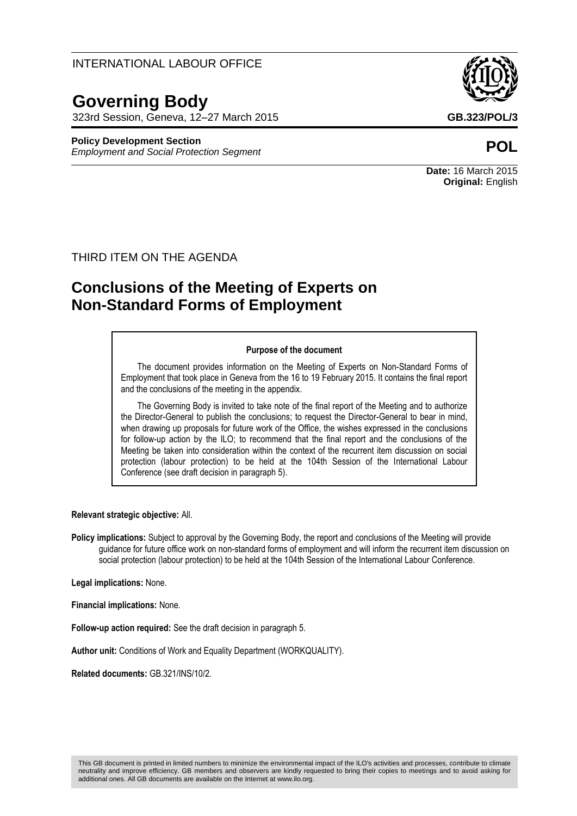# **Governing Body**

323rd Session, Geneva, 12–27 March 2015 **GB.323/POL/3**

# **Policy Development Section**

*Employment and Social Protection Segment* **POL**



**Date:** 16 March 2015 **Original:** English

# THIRD ITEM ON THE AGENDA

# **Conclusions of the Meeting of Experts on Non-Standard Forms of Employment**

#### **Purpose of the document**

The document provides information on the Meeting of Experts on Non-Standard Forms of Employment that took place in Geneva from the 16 to 19 February 2015. It contains the final report and the conclusions of the meeting in the appendix.

The Governing Body is invited to take note of the final report of the Meeting and to authorize the Director-General to publish the conclusions; to request the Director-General to bear in mind, when drawing up proposals for future work of the Office, the wishes expressed in the conclusions for follow-up action by the ILO; to recommend that the final report and the conclusions of the Meeting be taken into consideration within the context of the recurrent item discussion on social protection (labour protection) to be held at the 104th Session of the International Labour Conference (see draft decision in paragraph 5).

**Relevant strategic objective:** All.

**Policy implications:** Subject to approval by the Governing Body, the report and conclusions of the Meeting will provide guidance for future office work on non-standard forms of employment and will inform the recurrent item discussion on social protection (labour protection) to be held at the 104th Session of the International Labour Conference.

**Legal implications:** None.

**Financial implications:** None.

**Follow-up action required:** See the draft decision in paragraph 5.

**Author unit:** Conditions of Work and Equality Department (WORKQUALITY).

**Related documents:** GB.321/INS/10/2.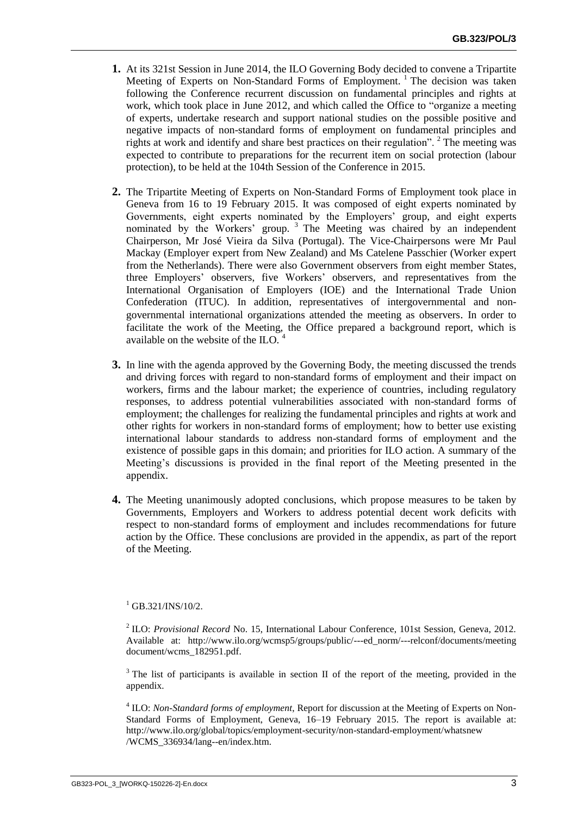- **1.** At its 321st Session in June 2014, the ILO Governing Body decided to convene a Tripartite Meeting of Experts on Non-Standard Forms of Employment. <sup>1</sup> The decision was taken following the Conference recurrent discussion on fundamental principles and rights at work, which took place in June 2012, and which called the Office to "organize a meeting of experts, undertake research and support national studies on the possible positive and negative impacts of non-standard forms of employment on fundamental principles and rights at work and identify and share best practices on their regulation". <sup>2</sup> The meeting was expected to contribute to preparations for the recurrent item on social protection (labour protection), to be held at the 104th Session of the Conference in 2015.
- **2.** The Tripartite Meeting of Experts on Non-Standard Forms of Employment took place in Geneva from 16 to 19 February 2015. It was composed of eight experts nominated by Governments, eight experts nominated by the Employers' group, and eight experts nominated by the Workers' group. <sup>3</sup> The Meeting was chaired by an independent Chairperson, Mr José Vieira da Silva (Portugal). The Vice-Chairpersons were Mr Paul Mackay (Employer expert from New Zealand) and Ms Catelene Passchier (Worker expert from the Netherlands). There were also Government observers from eight member States, three Employers' observers, five Workers' observers, and representatives from the International Organisation of Employers (IOE) and the International Trade Union Confederation (ITUC). In addition, representatives of intergovernmental and nongovernmental international organizations attended the meeting as observers. In order to facilitate the work of the Meeting, the Office prepared a background report, which is available on the website of the ILO.<sup>4</sup>
- **3.** In line with the agenda approved by the Governing Body, the meeting discussed the trends and driving forces with regard to non-standard forms of employment and their impact on workers, firms and the labour market; the experience of countries, including regulatory responses, to address potential vulnerabilities associated with non-standard forms of employment; the challenges for realizing the fundamental principles and rights at work and other rights for workers in non-standard forms of employment; how to better use existing international labour standards to address non-standard forms of employment and the existence of possible gaps in this domain; and priorities for ILO action. A summary of the Meeting's discussions is provided in the final report of the Meeting presented in the appendix.
- **4.** The Meeting unanimously adopted conclusions, which propose measures to be taken by Governments, Employers and Workers to address potential decent work deficits with respect to non-standard forms of employment and includes recommendations for future action by the Office. These conclusions are provided in the appendix, as part of the report of the Meeting.

#### $^{1}$  GB.321/INS/10/2.

2 ILO: *Provisional Record* No. 15, International Labour Conference, 101st Session, Geneva, 2012. Available at: [http://www.ilo.org/wcmsp5/groups/public/---ed\\_norm/---relconf/documents/meeting](http://www.ilo.org/wcmsp5/groups/public/---ed_norm/---relconf/documents/meetingdocument/wcms_182951.pdf) [document/wcms\\_182951.pdf.](http://www.ilo.org/wcmsp5/groups/public/---ed_norm/---relconf/documents/meetingdocument/wcms_182951.pdf)

<sup>3</sup> The list of participants is available in section II of the report of the meeting, provided in the appendix.

4 ILO: *Non-Standard forms of employment*, Report for discussion at the Meeting of Experts on Non-Standard Forms of Employment, Geneva, 16–19 February 2015. The report is available at: [http://www.ilo.org/global/topics/employment-security/non-standard-employment/whatsnew](http://www.ilo.org/global/topics/employment-security/non-standard-employment/whatsnew/WCMS_336934/lang--en/index.htm) [/WCMS\\_336934/lang--en/index.htm.](http://www.ilo.org/global/topics/employment-security/non-standard-employment/whatsnew/WCMS_336934/lang--en/index.htm)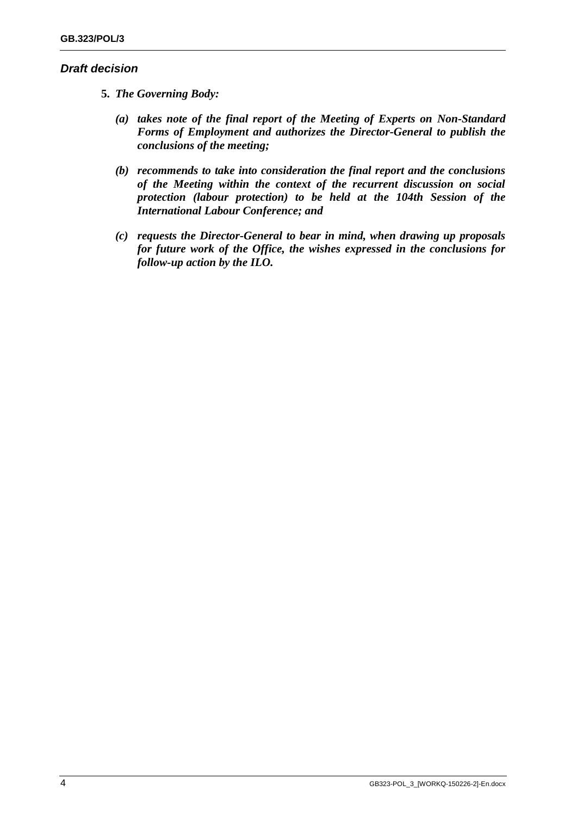# *Draft decision*

- **5.** *The Governing Body:*
	- *(a) takes note of the final report of the Meeting of Experts on Non-Standard Forms of Employment and authorizes the Director-General to publish the conclusions of the meeting;*
	- *(b) recommends to take into consideration the final report and the conclusions of the Meeting within the context of the recurrent discussion on social protection (labour protection) to be held at the 104th Session of the International Labour Conference; and*
	- *(c) requests the Director-General to bear in mind, when drawing up proposals for future work of the Office, the wishes expressed in the conclusions for follow-up action by the ILO.*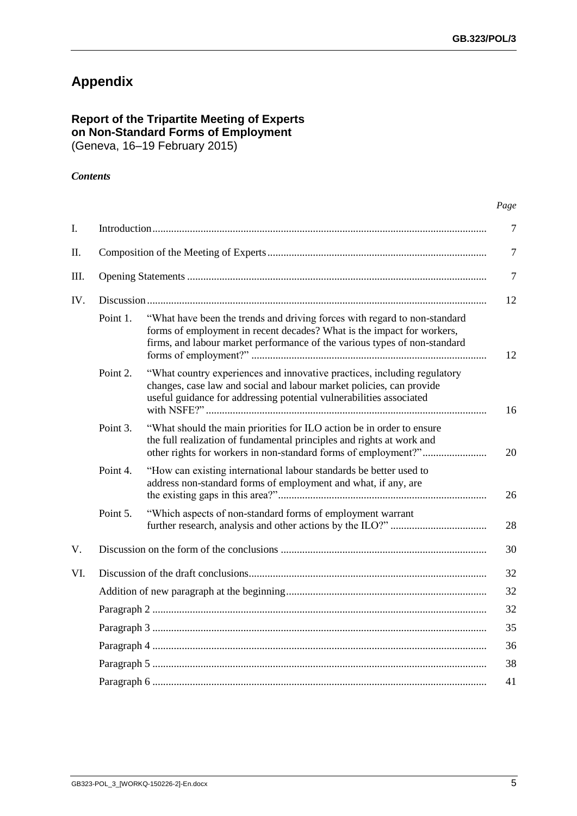# **Appendix**

# **Report of the Tripartite Meeting of Experts on Non-Standard Forms of Employment** (Geneva, 16–19 February 2015)

# *Contents*

|      |          |                                                                                                                                                                                                                                  | Page |
|------|----------|----------------------------------------------------------------------------------------------------------------------------------------------------------------------------------------------------------------------------------|------|
| I.   |          |                                                                                                                                                                                                                                  |      |
| Π.   |          |                                                                                                                                                                                                                                  |      |
| III. |          |                                                                                                                                                                                                                                  | 7    |
| IV.  |          |                                                                                                                                                                                                                                  | 12   |
|      | Point 1. | "What have been the trends and driving forces with regard to non-standard<br>forms of employment in recent decades? What is the impact for workers,<br>firms, and labour market performance of the various types of non-standard | 12   |
|      | Point 2. | "What country experiences and innovative practices, including regulatory<br>changes, case law and social and labour market policies, can provide<br>useful guidance for addressing potential vulnerabilities associated          | 16   |
|      | Point 3. | "What should the main priorities for ILO action be in order to ensure<br>the full realization of fundamental principles and rights at work and                                                                                   | 20   |
|      | Point 4. | "How can existing international labour standards be better used to<br>address non-standard forms of employment and what, if any, are                                                                                             | 26   |
|      | Point 5. | "Which aspects of non-standard forms of employment warrant                                                                                                                                                                       | 28   |
| V.   | 30       |                                                                                                                                                                                                                                  |      |
| VI.  |          |                                                                                                                                                                                                                                  | 32   |
|      |          |                                                                                                                                                                                                                                  | 32   |
|      |          |                                                                                                                                                                                                                                  | 32   |
|      |          |                                                                                                                                                                                                                                  | 35   |
|      |          |                                                                                                                                                                                                                                  | 36   |
|      |          |                                                                                                                                                                                                                                  | 38   |
|      |          |                                                                                                                                                                                                                                  | 41   |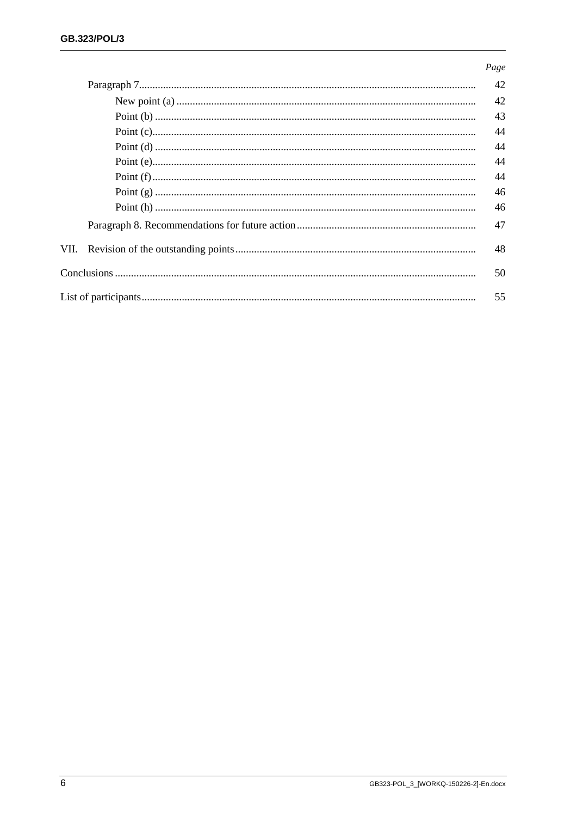#### Page

|      |  | 42 |
|------|--|----|
|      |  | 43 |
|      |  | 44 |
|      |  | 44 |
|      |  | 44 |
|      |  | 44 |
|      |  | 46 |
|      |  | 46 |
|      |  | 47 |
| VII. |  | 48 |
|      |  |    |
|      |  |    |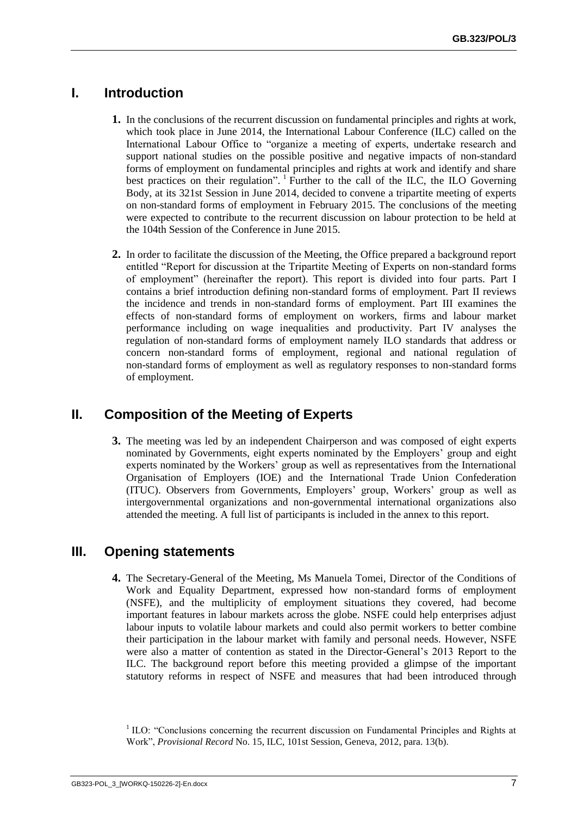# <span id="page-6-0"></span>**I. Introduction**

- **1.** In the conclusions of the recurrent discussion on fundamental principles and rights at work, which took place in June 2014, the International Labour Conference (ILC) called on the International Labour Office to "organize a meeting of experts, undertake research and support national studies on the possible positive and negative impacts of non-standard forms of employment on fundamental principles and rights at work and identify and share best practices on their regulation". <sup>1</sup> Further to the call of the ILC, the ILO Governing Body, at its 321st Session in June 2014, decided to convene a tripartite meeting of experts on non-standard forms of employment in February 2015. The conclusions of the meeting were expected to contribute to the recurrent discussion on labour protection to be held at the 104th Session of the Conference in June 2015.
- **2.** In order to facilitate the discussion of the Meeting, the Office prepared a background report entitled "Report for discussion at the Tripartite Meeting of Experts on non-standard forms of employment" (hereinafter the report). This report is divided into four parts. Part I contains a brief introduction defining non-standard forms of employment. Part II reviews the incidence and trends in non-standard forms of employment. Part III examines the effects of non-standard forms of employment on workers, firms and labour market performance including on wage inequalities and productivity. Part IV analyses the regulation of non-standard forms of employment namely ILO standards that address or concern non-standard forms of employment, regional and national regulation of non-standard forms of employment as well as regulatory responses to non-standard forms of employment.

# <span id="page-6-1"></span>**II. Composition of the Meeting of Experts**

**3.** The meeting was led by an independent Chairperson and was composed of eight experts nominated by Governments, eight experts nominated by the Employers' group and eight experts nominated by the Workers' group as well as representatives from the International Organisation of Employers (IOE) and the International Trade Union Confederation (ITUC). Observers from Governments, Employers' group, Workers' group as well as intergovernmental organizations and non-governmental international organizations also attended the meeting. A full list of participants is included in the annex to this report.

# <span id="page-6-2"></span>**III. Opening statements**

**4.** The Secretary-General of the Meeting, Ms Manuela Tomei, Director of the Conditions of Work and Equality Department, expressed how non-standard forms of employment (NSFE), and the multiplicity of employment situations they covered, had become important features in labour markets across the globe. NSFE could help enterprises adjust labour inputs to volatile labour markets and could also permit workers to better combine their participation in the labour market with family and personal needs. However, NSFE were also a matter of contention as stated in the Director-General's 2013 Report to the ILC. The background report before this meeting provided a glimpse of the important statutory reforms in respect of NSFE and measures that had been introduced through

<sup>&</sup>lt;sup>1</sup> ILO: "Conclusions concerning the recurrent discussion on Fundamental Principles and Rights at Work", *Provisional Record* No. 15, ILC, 101st Session, Geneva, 2012, para. 13(b).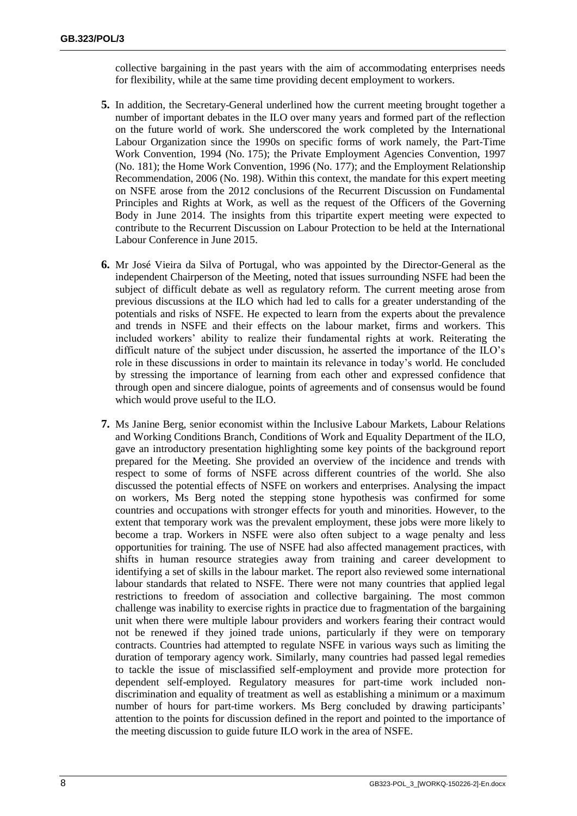collective bargaining in the past years with the aim of accommodating enterprises needs for flexibility, while at the same time providing decent employment to workers.

- **5.** In addition, the Secretary-General underlined how the current meeting brought together a number of important debates in the ILO over many years and formed part of the reflection on the future world of work. She underscored the work completed by the International Labour Organization since the 1990s on specific forms of work namely, the Part-Time Work Convention, 1994 (No. 175); the Private Employment Agencies Convention, 1997 (No. 181); the Home Work Convention, 1996 (No. 177); and the Employment Relationship Recommendation, 2006 (No. 198). Within this context, the mandate for this expert meeting on NSFE arose from the 2012 conclusions of the Recurrent Discussion on Fundamental Principles and Rights at Work, as well as the request of the Officers of the Governing Body in June 2014. The insights from this tripartite expert meeting were expected to contribute to the Recurrent Discussion on Labour Protection to be held at the International Labour Conference in June 2015.
- **6.** Mr José Vieira da Silva of Portugal, who was appointed by the Director-General as the independent Chairperson of the Meeting, noted that issues surrounding NSFE had been the subject of difficult debate as well as regulatory reform. The current meeting arose from previous discussions at the ILO which had led to calls for a greater understanding of the potentials and risks of NSFE. He expected to learn from the experts about the prevalence and trends in NSFE and their effects on the labour market, firms and workers. This included workers' ability to realize their fundamental rights at work. Reiterating the difficult nature of the subject under discussion, he asserted the importance of the ILO's role in these discussions in order to maintain its relevance in today's world. He concluded by stressing the importance of learning from each other and expressed confidence that through open and sincere dialogue, points of agreements and of consensus would be found which would prove useful to the ILO.
- **7.** Ms Janine Berg, senior economist within the Inclusive Labour Markets, Labour Relations and Working Conditions Branch, Conditions of Work and Equality Department of the ILO, gave an introductory presentation highlighting some key points of the background report prepared for the Meeting. She provided an overview of the incidence and trends with respect to some of forms of NSFE across different countries of the world. She also discussed the potential effects of NSFE on workers and enterprises. Analysing the impact on workers, Ms Berg noted the stepping stone hypothesis was confirmed for some countries and occupations with stronger effects for youth and minorities. However, to the extent that temporary work was the prevalent employment, these jobs were more likely to become a trap. Workers in NSFE were also often subject to a wage penalty and less opportunities for training. The use of NSFE had also affected management practices, with shifts in human resource strategies away from training and career development to identifying a set of skills in the labour market. The report also reviewed some international labour standards that related to NSFE. There were not many countries that applied legal restrictions to freedom of association and collective bargaining. The most common challenge was inability to exercise rights in practice due to fragmentation of the bargaining unit when there were multiple labour providers and workers fearing their contract would not be renewed if they joined trade unions, particularly if they were on temporary contracts. Countries had attempted to regulate NSFE in various ways such as limiting the duration of temporary agency work. Similarly, many countries had passed legal remedies to tackle the issue of misclassified self-employment and provide more protection for dependent self-employed. Regulatory measures for part-time work included nondiscrimination and equality of treatment as well as establishing a minimum or a maximum number of hours for part-time workers. Ms Berg concluded by drawing participants' attention to the points for discussion defined in the report and pointed to the importance of the meeting discussion to guide future ILO work in the area of NSFE.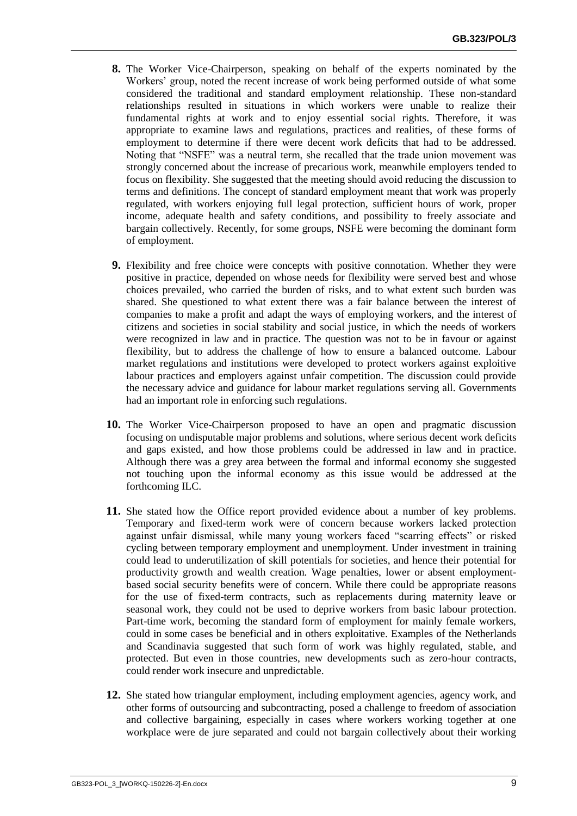- **8.** The Worker Vice-Chairperson, speaking on behalf of the experts nominated by the Workers' group, noted the recent increase of work being performed outside of what some considered the traditional and standard employment relationship. These non-standard relationships resulted in situations in which workers were unable to realize their fundamental rights at work and to enjoy essential social rights. Therefore, it was appropriate to examine laws and regulations, practices and realities, of these forms of employment to determine if there were decent work deficits that had to be addressed. Noting that "NSFE" was a neutral term, she recalled that the trade union movement was strongly concerned about the increase of precarious work, meanwhile employers tended to focus on flexibility. She suggested that the meeting should avoid reducing the discussion to terms and definitions. The concept of standard employment meant that work was properly regulated, with workers enjoying full legal protection, sufficient hours of work, proper income, adequate health and safety conditions, and possibility to freely associate and bargain collectively. Recently, for some groups, NSFE were becoming the dominant form of employment.
- **9.** Flexibility and free choice were concepts with positive connotation. Whether they were positive in practice, depended on whose needs for flexibility were served best and whose choices prevailed, who carried the burden of risks, and to what extent such burden was shared. She questioned to what extent there was a fair balance between the interest of companies to make a profit and adapt the ways of employing workers, and the interest of citizens and societies in social stability and social justice, in which the needs of workers were recognized in law and in practice. The question was not to be in favour or against flexibility, but to address the challenge of how to ensure a balanced outcome. Labour market regulations and institutions were developed to protect workers against exploitive labour practices and employers against unfair competition. The discussion could provide the necessary advice and guidance for labour market regulations serving all. Governments had an important role in enforcing such regulations.
- **10.** The Worker Vice-Chairperson proposed to have an open and pragmatic discussion focusing on undisputable major problems and solutions, where serious decent work deficits and gaps existed, and how those problems could be addressed in law and in practice. Although there was a grey area between the formal and informal economy she suggested not touching upon the informal economy as this issue would be addressed at the forthcoming ILC.
- **11.** She stated how the Office report provided evidence about a number of key problems. Temporary and fixed-term work were of concern because workers lacked protection against unfair dismissal, while many young workers faced "scarring effects" or risked cycling between temporary employment and unemployment. Under investment in training could lead to underutilization of skill potentials for societies, and hence their potential for productivity growth and wealth creation. Wage penalties, lower or absent employmentbased social security benefits were of concern. While there could be appropriate reasons for the use of fixed-term contracts, such as replacements during maternity leave or seasonal work, they could not be used to deprive workers from basic labour protection. Part-time work, becoming the standard form of employment for mainly female workers, could in some cases be beneficial and in others exploitative. Examples of the Netherlands and Scandinavia suggested that such form of work was highly regulated, stable, and protected. But even in those countries, new developments such as zero-hour contracts, could render work insecure and unpredictable.
- **12.** She stated how triangular employment, including employment agencies, agency work, and other forms of outsourcing and subcontracting, posed a challenge to freedom of association and collective bargaining, especially in cases where workers working together at one workplace were de jure separated and could not bargain collectively about their working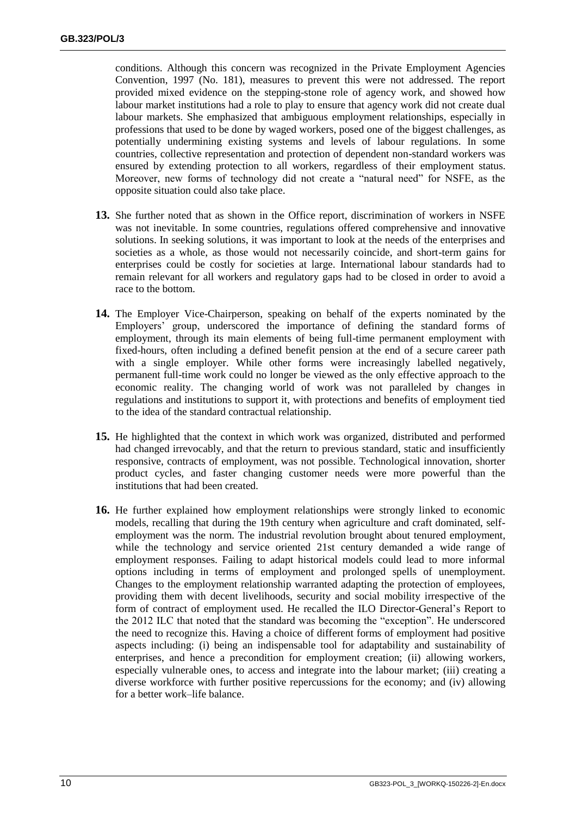conditions. Although this concern was recognized in the Private Employment Agencies Convention, 1997 (No. 181), measures to prevent this were not addressed. The report provided mixed evidence on the stepping-stone role of agency work, and showed how labour market institutions had a role to play to ensure that agency work did not create dual labour markets. She emphasized that ambiguous employment relationships, especially in professions that used to be done by waged workers, posed one of the biggest challenges, as potentially undermining existing systems and levels of labour regulations. In some countries, collective representation and protection of dependent non-standard workers was ensured by extending protection to all workers, regardless of their employment status. Moreover, new forms of technology did not create a "natural need" for NSFE, as the opposite situation could also take place.

- **13.** She further noted that as shown in the Office report, discrimination of workers in NSFE was not inevitable. In some countries, regulations offered comprehensive and innovative solutions. In seeking solutions, it was important to look at the needs of the enterprises and societies as a whole, as those would not necessarily coincide, and short-term gains for enterprises could be costly for societies at large. International labour standards had to remain relevant for all workers and regulatory gaps had to be closed in order to avoid a race to the bottom.
- **14.** The Employer Vice-Chairperson, speaking on behalf of the experts nominated by the Employers' group, underscored the importance of defining the standard forms of employment, through its main elements of being full-time permanent employment with fixed-hours, often including a defined benefit pension at the end of a secure career path with a single employer. While other forms were increasingly labelled negatively, permanent full-time work could no longer be viewed as the only effective approach to the economic reality. The changing world of work was not paralleled by changes in regulations and institutions to support it, with protections and benefits of employment tied to the idea of the standard contractual relationship.
- **15.** He highlighted that the context in which work was organized, distributed and performed had changed irrevocably, and that the return to previous standard, static and insufficiently responsive, contracts of employment, was not possible. Technological innovation, shorter product cycles, and faster changing customer needs were more powerful than the institutions that had been created.
- **16.** He further explained how employment relationships were strongly linked to economic models, recalling that during the 19th century when agriculture and craft dominated, selfemployment was the norm. The industrial revolution brought about tenured employment, while the technology and service oriented 21st century demanded a wide range of employment responses. Failing to adapt historical models could lead to more informal options including in terms of employment and prolonged spells of unemployment. Changes to the employment relationship warranted adapting the protection of employees, providing them with decent livelihoods, security and social mobility irrespective of the form of contract of employment used. He recalled the ILO Director-General's Report to the 2012 ILC that noted that the standard was becoming the "exception". He underscored the need to recognize this. Having a choice of different forms of employment had positive aspects including: (i) being an indispensable tool for adaptability and sustainability of enterprises, and hence a precondition for employment creation; (ii) allowing workers, especially vulnerable ones, to access and integrate into the labour market; (iii) creating a diverse workforce with further positive repercussions for the economy; and (iv) allowing for a better work–life balance.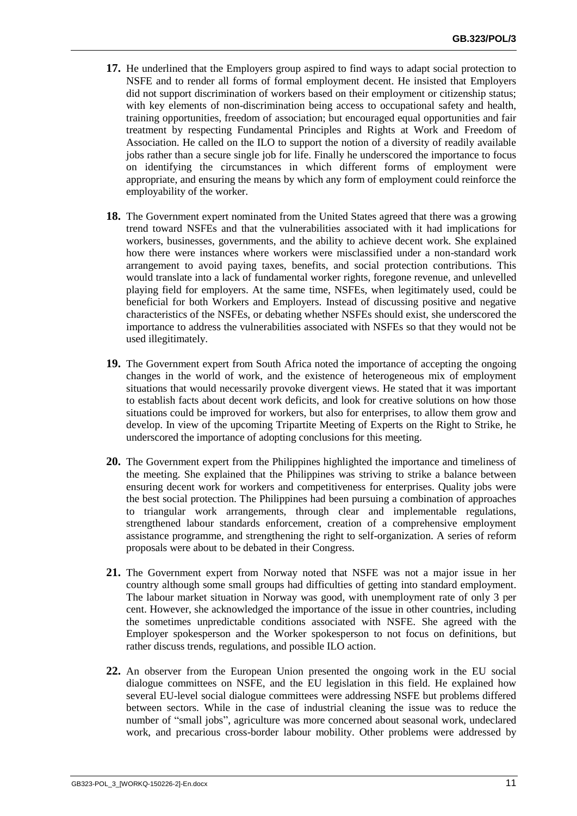- **17.** He underlined that the Employers group aspired to find ways to adapt social protection to NSFE and to render all forms of formal employment decent. He insisted that Employers did not support discrimination of workers based on their employment or citizenship status; with key elements of non-discrimination being access to occupational safety and health, training opportunities, freedom of association; but encouraged equal opportunities and fair treatment by respecting Fundamental Principles and Rights at Work and Freedom of Association. He called on the ILO to support the notion of a diversity of readily available jobs rather than a secure single job for life. Finally he underscored the importance to focus on identifying the circumstances in which different forms of employment were appropriate, and ensuring the means by which any form of employment could reinforce the employability of the worker.
- **18.** The Government expert nominated from the United States agreed that there was a growing trend toward NSFEs and that the vulnerabilities associated with it had implications for workers, businesses, governments, and the ability to achieve decent work. She explained how there were instances where workers were misclassified under a non-standard work arrangement to avoid paying taxes, benefits, and social protection contributions. This would translate into a lack of fundamental worker rights, foregone revenue, and unlevelled playing field for employers. At the same time, NSFEs, when legitimately used, could be beneficial for both Workers and Employers. Instead of discussing positive and negative characteristics of the NSFEs, or debating whether NSFEs should exist, she underscored the importance to address the vulnerabilities associated with NSFEs so that they would not be used illegitimately.
- **19.** The Government expert from South Africa noted the importance of accepting the ongoing changes in the world of work, and the existence of heterogeneous mix of employment situations that would necessarily provoke divergent views. He stated that it was important to establish facts about decent work deficits, and look for creative solutions on how those situations could be improved for workers, but also for enterprises, to allow them grow and develop. In view of the upcoming Tripartite Meeting of Experts on the Right to Strike, he underscored the importance of adopting conclusions for this meeting.
- **20.** The Government expert from the Philippines highlighted the importance and timeliness of the meeting. She explained that the Philippines was striving to strike a balance between ensuring decent work for workers and competitiveness for enterprises. Quality jobs were the best social protection. The Philippines had been pursuing a combination of approaches to triangular work arrangements, through clear and implementable regulations, strengthened labour standards enforcement, creation of a comprehensive employment assistance programme, and strengthening the right to self-organization. A series of reform proposals were about to be debated in their Congress.
- **21.** The Government expert from Norway noted that NSFE was not a major issue in her country although some small groups had difficulties of getting into standard employment. The labour market situation in Norway was good, with unemployment rate of only 3 per cent. However, she acknowledged the importance of the issue in other countries, including the sometimes unpredictable conditions associated with NSFE. She agreed with the Employer spokesperson and the Worker spokesperson to not focus on definitions, but rather discuss trends, regulations, and possible ILO action.
- **22.** An observer from the European Union presented the ongoing work in the EU social dialogue committees on NSFE, and the EU legislation in this field. He explained how several EU-level social dialogue committees were addressing NSFE but problems differed between sectors. While in the case of industrial cleaning the issue was to reduce the number of "small jobs", agriculture was more concerned about seasonal work, undeclared work, and precarious cross-border labour mobility. Other problems were addressed by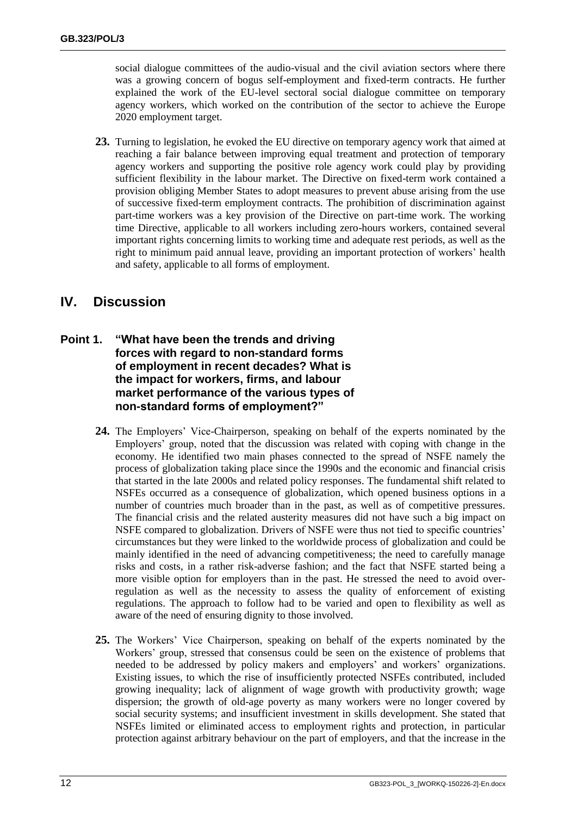social dialogue committees of the audio-visual and the civil aviation sectors where there was a growing concern of bogus self-employment and fixed-term contracts. He further explained the work of the EU-level sectoral social dialogue committee on temporary agency workers, which worked on the contribution of the sector to achieve the Europe 2020 employment target.

**23.** Turning to legislation, he evoked the [EU directive on temporary agency work](http://eur-lex.europa.eu/LexUriServ/LexUriServ.do?uri=CELEX:32008L0104:EN:NOT) that aimed at reaching a fair balance between improving equal treatment and protection of temporary agency workers and supporting the positive role agency work could play by providing sufficient flexibility in the labour market. The Directive on fixed-term work contained a provision obliging Member States to adopt measures to prevent abuse arising from the use of successive fixed-term employment contracts. The prohibition of discrimination against part-time workers was a key provision of the Directive on part-time work. The working time Directive, applicable to all workers including zero-hours workers, contained several important rights concerning limits to working time and adequate rest periods, as well as the right to minimum paid annual leave, providing an important protection of workers' health and safety, applicable to all forms of employment.

# <span id="page-11-0"></span>**IV. Discussion**

# <span id="page-11-2"></span><span id="page-11-1"></span>**Point 1. "What have been the trends and driving forces with regard to non-standard forms of employment in recent decades? What is the impact for workers, firms, and labour market performance of the various types of non-standard forms of employment?"**

- **24.** The Employers' Vice-Chairperson, speaking on behalf of the experts nominated by the Employers' group, noted that the discussion was related with coping with change in the economy. He identified two main phases connected to the spread of NSFE namely the process of globalization taking place since the 1990s and the economic and financial crisis that started in the late 2000s and related policy responses. The fundamental shift related to NSFEs occurred as a consequence of globalization, which opened business options in a number of countries much broader than in the past, as well as of competitive pressures. The financial crisis and the related austerity measures did not have such a big impact on NSFE compared to globalization. Drivers of NSFE were thus not tied to specific countries' circumstances but they were linked to the worldwide process of globalization and could be mainly identified in the need of advancing competitiveness; the need to carefully manage risks and costs, in a rather risk-adverse fashion; and the fact that NSFE started being a more visible option for employers than in the past. He stressed the need to avoid overregulation as well as the necessity to assess the quality of enforcement of existing regulations. The approach to follow had to be varied and open to flexibility as well as aware of the need of ensuring dignity to those involved.
- **25.** The Workers' Vice Chairperson, speaking on behalf of the experts nominated by the Workers' group, stressed that consensus could be seen on the existence of problems that needed to be addressed by policy makers and employers' and workers' organizations. Existing issues, to which the rise of insufficiently protected NSFEs contributed, included growing inequality; lack of alignment of wage growth with productivity growth; wage dispersion; the growth of old-age poverty as many workers were no longer covered by social security systems; and insufficient investment in skills development. She stated that NSFEs limited or eliminated access to employment rights and protection, in particular protection against arbitrary behaviour on the part of employers, and that the increase in the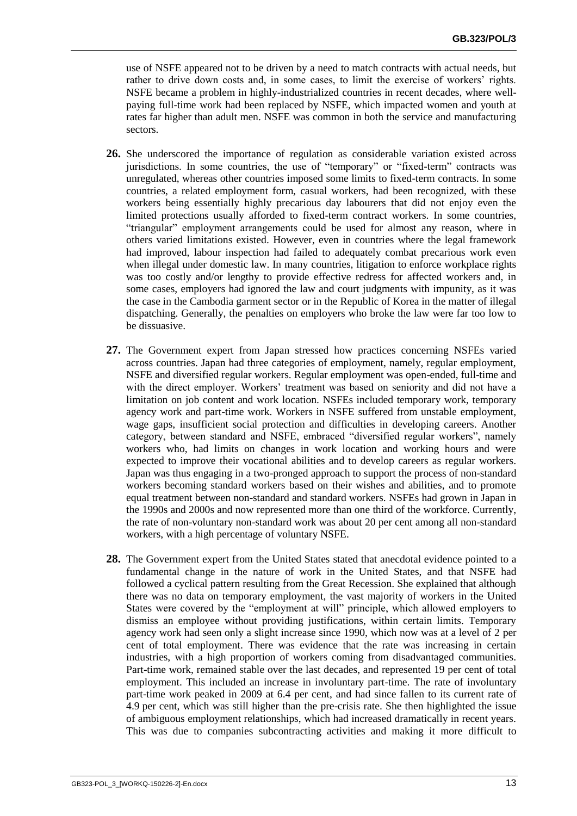use of NSFE appeared not to be driven by a need to match contracts with actual needs, but rather to drive down costs and, in some cases, to limit the exercise of workers' rights. NSFE became a problem in highly-industrialized countries in recent decades, where wellpaying full-time work had been replaced by NSFE, which impacted women and youth at rates far higher than adult men. NSFE was common in both the service and manufacturing sectors.

- **26.** She underscored the importance of regulation as considerable variation existed across jurisdictions. In some countries, the use of "temporary" or "fixed-term" contracts was unregulated, whereas other countries imposed some limits to fixed-term contracts. In some countries, a related employment form, casual workers, had been recognized, with these workers being essentially highly precarious day labourers that did not enjoy even the limited protections usually afforded to fixed-term contract workers. In some countries, "triangular" employment arrangements could be used for almost any reason, where in others varied limitations existed. However, even in countries where the legal framework had improved, labour inspection had failed to adequately combat precarious work even when illegal under domestic law. In many countries, litigation to enforce workplace rights was too costly and/or lengthy to provide effective redress for affected workers and, in some cases, employers had ignored the law and court judgments with impunity, as it was the case in the Cambodia garment sector or in the Republic of Korea in the matter of illegal dispatching. Generally, the penalties on employers who broke the law were far too low to be dissuasive.
- **27.** The Government expert from Japan stressed how practices concerning NSFEs varied across countries. Japan had three categories of employment, namely, regular employment, NSFE and diversified regular workers. Regular employment was open-ended, full-time and with the direct employer. Workers' treatment was based on seniority and did not have a limitation on job content and work location. NSFEs included temporary work, temporary agency work and part-time work. Workers in NSFE suffered from unstable employment, wage gaps, insufficient social protection and difficulties in developing careers. Another category, between standard and NSFE, embraced "diversified regular workers", namely workers who, had limits on changes in work location and working hours and were expected to improve their vocational abilities and to develop careers as regular workers. Japan was thus engaging in a two-pronged approach to support the process of non-standard workers becoming standard workers based on their wishes and abilities, and to promote equal treatment between non-standard and standard workers. NSFEs had grown in Japan in the 1990s and 2000s and now represented more than one third of the workforce. Currently, the rate of non-voluntary non-standard work was about 20 per cent among all non-standard workers, with a high percentage of voluntary NSFE.
- **28.** The Government expert from the United States stated that anecdotal evidence pointed to a fundamental change in the nature of work in the United States, and that NSFE had followed a cyclical pattern resulting from the Great Recession. She explained that although there was no data on temporary employment, the vast majority of workers in the United States were covered by the "employment at will" principle, which allowed employers to dismiss an employee without providing justifications, within certain limits. Temporary agency work had seen only a slight increase since 1990, which now was at a level of 2 per cent of total employment. There was evidence that the rate was increasing in certain industries, with a high proportion of workers coming from disadvantaged communities. Part-time work, remained stable over the last decades, and represented 19 per cent of total employment. This included an increase in involuntary part-time. The rate of involuntary part-time work peaked in 2009 at 6.4 per cent, and had since fallen to its current rate of 4.9 per cent, which was still higher than the pre-crisis rate. She then highlighted the issue of ambiguous employment relationships, which had increased dramatically in recent years. This was due to companies subcontracting activities and making it more difficult to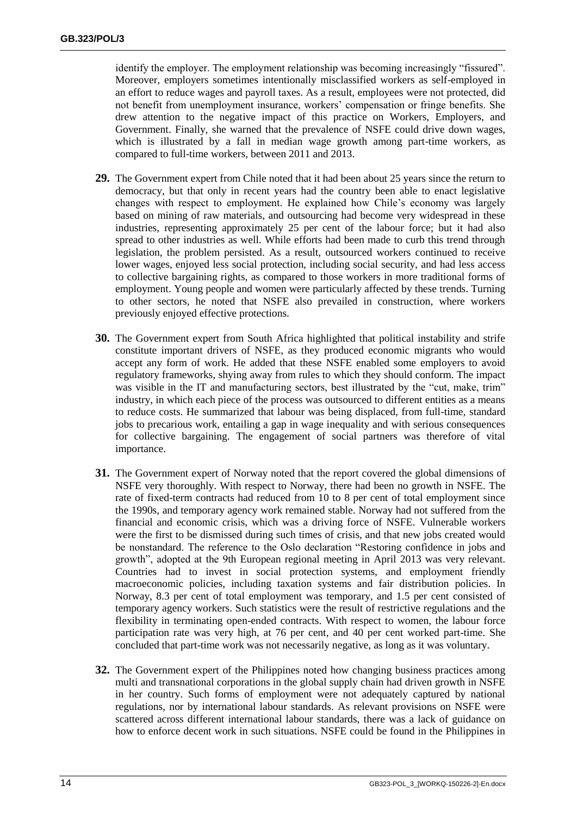identify the employer. The employment relationship was becoming increasingly "fissured". Moreover, employers sometimes intentionally misclassified workers as self-employed in an effort to reduce wages and payroll taxes. As a result, employees were not protected, did not benefit from unemployment insurance, workers' compensation or fringe benefits. She drew attention to the negative impact of this practice on Workers, Employers, and Government. Finally, she warned that the prevalence of NSFE could drive down wages, which is illustrated by a fall in median wage growth among part-time workers, as compared to full-time workers, between 2011 and 2013.

- **29.** The Government expert from Chile noted that it had been about 25 years since the return to democracy, but that only in recent years had the country been able to enact legislative changes with respect to employment. He explained how Chile's economy was largely based on mining of raw materials, and outsourcing had become very widespread in these industries, representing approximately 25 per cent of the labour force; but it had also spread to other industries as well. While efforts had been made to curb this trend through legislation, the problem persisted. As a result, outsourced workers continued to receive lower wages, enjoyed less social protection, including social security, and had less access to collective bargaining rights, as compared to those workers in more traditional forms of employment. Young people and women were particularly affected by these trends. Turning to other sectors, he noted that NSFE also prevailed in construction, where workers previously enjoyed effective protections.
- **30.** The Government expert from South Africa highlighted that political instability and strife constitute important drivers of NSFE, as they produced economic migrants who would accept any form of work. He added that these NSFE enabled some employers to avoid regulatory frameworks, shying away from rules to which they should conform. The impact was visible in the IT and manufacturing sectors, best illustrated by the "cut, make, trim" industry, in which each piece of the process was outsourced to different entities as a means to reduce costs. He summarized that labour was being displaced, from full-time, standard jobs to precarious work, entailing a gap in wage inequality and with serious consequences for collective bargaining. The engagement of social partners was therefore of vital importance.
- **31.** The Government expert of Norway noted that the report covered the global dimensions of NSFE very thoroughly. With respect to Norway, there had been no growth in NSFE. The rate of fixed-term contracts had reduced from 10 to 8 per cent of total employment since the 1990s, and temporary agency work remained stable. Norway had not suffered from the financial and economic crisis, which was a driving force of NSFE. Vulnerable workers were the first to be dismissed during such times of crisis, and that new jobs created would be nonstandard. The reference to the Oslo declaration "Restoring confidence in jobs and growth", adopted at the 9th European regional meeting in April 2013 was very relevant. Countries had to invest in social protection systems, and employment friendly macroeconomic policies, including taxation systems and fair distribution policies. In Norway, 8.3 per cent of total employment was temporary, and 1.5 per cent consisted of temporary agency workers. Such statistics were the result of restrictive regulations and the flexibility in terminating open-ended contracts. With respect to women, the labour force participation rate was very high, at 76 per cent, and 40 per cent worked part-time. She concluded that part-time work was not necessarily negative, as long as it was voluntary.
- **32.** The Government expert of the Philippines noted how changing business practices among multi and transnational corporations in the global supply chain had driven growth in NSFE in her country. Such forms of employment were not adequately captured by national regulations, nor by international labour standards. As relevant provisions on NSFE were scattered across different international labour standards, there was a lack of guidance on how to enforce decent work in such situations. NSFE could be found in the Philippines in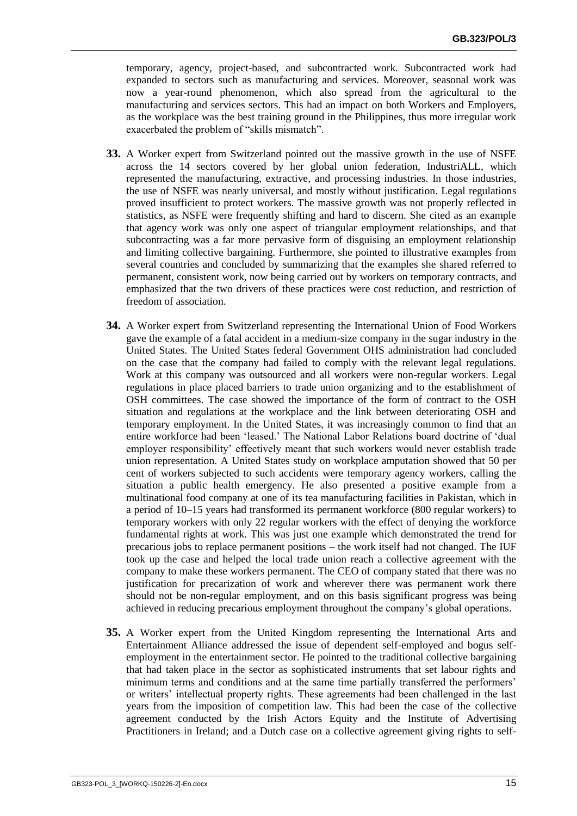temporary, agency, project-based, and subcontracted work. Subcontracted work had expanded to sectors such as manufacturing and services. Moreover, seasonal work was now a year-round phenomenon, which also spread from the agricultural to the manufacturing and services sectors. This had an impact on both Workers and Employers, as the workplace was the best training ground in the Philippines, thus more irregular work exacerbated the problem of "skills mismatch".

- **33.** A Worker expert from Switzerland pointed out the massive growth in the use of NSFE across the 14 sectors covered by her global union federation, IndustriALL, which represented the manufacturing, extractive, and processing industries. In those industries, the use of NSFE was nearly universal, and mostly without justification. Legal regulations proved insufficient to protect workers. The massive growth was not properly reflected in statistics, as NSFE were frequently shifting and hard to discern. She cited as an example that agency work was only one aspect of triangular employment relationships, and that subcontracting was a far more pervasive form of disguising an employment relationship and limiting collective bargaining. Furthermore, she pointed to illustrative examples from several countries and concluded by summarizing that the examples she shared referred to permanent, consistent work, now being carried out by workers on temporary contracts, and emphasized that the two drivers of these practices were cost reduction, and restriction of freedom of association.
- **34.** A Worker expert from Switzerland representing the International Union of Food Workers gave the example of a fatal accident in a medium-size company in the sugar industry in the United States. The United States federal Government OHS administration had concluded on the case that the company had failed to comply with the relevant legal regulations. Work at this company was outsourced and all workers were non-regular workers. Legal regulations in place placed barriers to trade union organizing and to the establishment of OSH committees. The case showed the importance of the form of contract to the OSH situation and regulations at the workplace and the link between deteriorating OSH and temporary employment. In the United States, it was increasingly common to find that an entire workforce had been 'leased.' The National Labor Relations board doctrine of 'dual employer responsibility' effectively meant that such workers would never establish trade union representation. A United States study on workplace amputation showed that 50 per cent of workers subjected to such accidents were temporary agency workers, calling the situation a public health emergency. He also presented a positive example from a multinational food company at one of its tea manufacturing facilities in Pakistan, which in a period of 10–15 years had transformed its permanent workforce (800 regular workers) to temporary workers with only 22 regular workers with the effect of denying the workforce fundamental rights at work. This was just one example which demonstrated the trend for precarious jobs to replace permanent positions – the work itself had not changed. The IUF took up the case and helped the local trade union reach a collective agreement with the company to make these workers permanent. The CEO of company stated that there was no justification for precarization of work and wherever there was permanent work there should not be non-regular employment, and on this basis significant progress was being achieved in reducing precarious employment throughout the company's global operations.
- **35.** A Worker expert from the United Kingdom representing the International Arts and Entertainment Alliance addressed the issue of dependent self-employed and bogus selfemployment in the entertainment sector. He pointed to the traditional collective bargaining that had taken place in the sector as sophisticated instruments that set labour rights and minimum terms and conditions and at the same time partially transferred the performers' or writers' intellectual property rights. These agreements had been challenged in the last years from the imposition of competition law. This had been the case of the collective agreement conducted by the Irish Actors Equity and the Institute of Advertising Practitioners in Ireland; and a Dutch case on a collective agreement giving rights to self-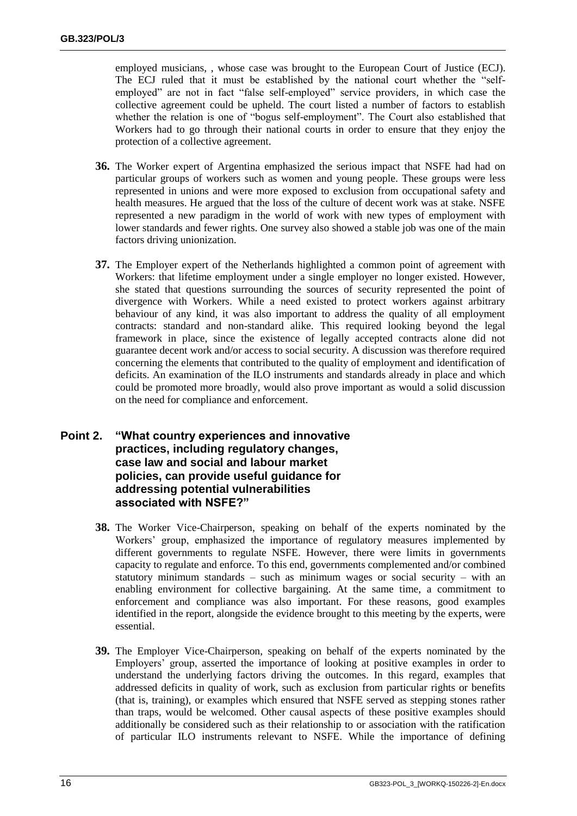employed musicians, , whose case was brought to the European Court of Justice (ECJ). The ECJ ruled that it must be established by the national court whether the "selfemployed" are not in fact "false self-employed" service providers, in which case the collective agreement could be upheld. The court listed a number of factors to establish whether the relation is one of "bogus self-employment". The Court also established that Workers had to go through their national courts in order to ensure that they enjoy the protection of a collective agreement.

- **36.** The Worker expert of Argentina emphasized the serious impact that NSFE had had on particular groups of workers such as women and young people. These groups were less represented in unions and were more exposed to exclusion from occupational safety and health measures. He argued that the loss of the culture of decent work was at stake. NSFE represented a new paradigm in the world of work with new types of employment with lower standards and fewer rights. One survey also showed a stable job was one of the main factors driving unionization.
- **37.** The Employer expert of the Netherlands highlighted a common point of agreement with Workers: that lifetime employment under a single employer no longer existed. However, she stated that questions surrounding the sources of security represented the point of divergence with Workers. While a need existed to protect workers against arbitrary behaviour of any kind, it was also important to address the quality of all employment contracts: standard and non-standard alike. This required looking beyond the legal framework in place, since the existence of legally accepted contracts alone did not guarantee decent work and/or access to social security. A discussion was therefore required concerning the elements that contributed to the quality of employment and identification of deficits. An examination of the ILO instruments and standards already in place and which could be promoted more broadly, would also prove important as would a solid discussion on the need for compliance and enforcement.

# <span id="page-15-1"></span><span id="page-15-0"></span>**Point 2. "What country experiences and innovative practices, including regulatory changes, case law and social and labour market policies, can provide useful guidance for addressing potential vulnerabilities associated with NSFE?"**

- **38.** The Worker Vice-Chairperson, speaking on behalf of the experts nominated by the Workers' group, emphasized the importance of regulatory measures implemented by different governments to regulate NSFE. However, there were limits in governments capacity to regulate and enforce. To this end, governments complemented and/or combined statutory minimum standards – such as minimum wages or social security – with an enabling environment for collective bargaining. At the same time, a commitment to enforcement and compliance was also important. For these reasons, good examples identified in the report, alongside the evidence brought to this meeting by the experts, were essential.
- **39.** The Employer Vice-Chairperson, speaking on behalf of the experts nominated by the Employers' group, asserted the importance of looking at positive examples in order to understand the underlying factors driving the outcomes. In this regard, examples that addressed deficits in quality of work, such as exclusion from particular rights or benefits (that is, training), or examples which ensured that NSFE served as stepping stones rather than traps, would be welcomed. Other causal aspects of these positive examples should additionally be considered such as their relationship to or association with the ratification of particular ILO instruments relevant to NSFE. While the importance of defining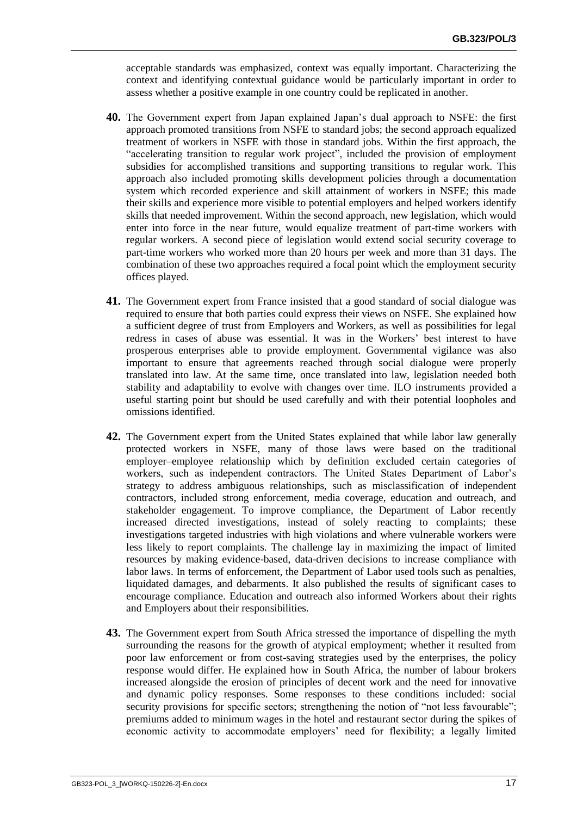acceptable standards was emphasized, context was equally important. Characterizing the context and identifying contextual guidance would be particularly important in order to assess whether a positive example in one country could be replicated in another.

- **40.** The Government expert from Japan explained Japan's dual approach to NSFE: the first approach promoted transitions from NSFE to standard jobs; the second approach equalized treatment of workers in NSFE with those in standard jobs. Within the first approach, the "accelerating transition to regular work project", included the provision of employment subsidies for accomplished transitions and supporting transitions to regular work. This approach also included promoting skills development policies through a documentation system which recorded experience and skill attainment of workers in NSFE; this made their skills and experience more visible to potential employers and helped workers identify skills that needed improvement. Within the second approach, new legislation, which would enter into force in the near future, would equalize treatment of part-time workers with regular workers. A second piece of legislation would extend social security coverage to part-time workers who worked more than 20 hours per week and more than 31 days. The combination of these two approaches required a focal point which the employment security offices played.
- **41.** The Government expert from France insisted that a good standard of social dialogue was required to ensure that both parties could express their views on NSFE. She explained how a sufficient degree of trust from Employers and Workers, as well as possibilities for legal redress in cases of abuse was essential. It was in the Workers' best interest to have prosperous enterprises able to provide employment. Governmental vigilance was also important to ensure that agreements reached through social dialogue were properly translated into law. At the same time, once translated into law, legislation needed both stability and adaptability to evolve with changes over time. ILO instruments provided a useful starting point but should be used carefully and with their potential loopholes and omissions identified.
- **42.** The Government expert from the United States explained that while labor law generally protected workers in NSFE, many of those laws were based on the traditional employer–employee relationship which by definition excluded certain categories of workers, such as independent contractors. The United States Department of Labor's strategy to address ambiguous relationships, such as misclassification of independent contractors, included strong enforcement, media coverage, education and outreach, and stakeholder engagement. To improve compliance, the Department of Labor recently increased directed investigations, instead of solely reacting to complaints; these investigations targeted industries with high violations and where vulnerable workers were less likely to report complaints. The challenge lay in maximizing the impact of limited resources by making evidence-based, data-driven decisions to increase compliance with labor laws. In terms of enforcement, the Department of Labor used tools such as penalties, liquidated damages, and debarments. It also published the results of significant cases to encourage compliance. Education and outreach also informed Workers about their rights and Employers about their responsibilities.
- **43.** The Government expert from South Africa stressed the importance of dispelling the myth surrounding the reasons for the growth of atypical employment; whether it resulted from poor law enforcement or from cost-saving strategies used by the enterprises, the policy response would differ. He explained how in South Africa, the number of labour brokers increased alongside the erosion of principles of decent work and the need for innovative and dynamic policy responses. Some responses to these conditions included: social security provisions for specific sectors; strengthening the notion of "not less favourable"; premiums added to minimum wages in the hotel and restaurant sector during the spikes of economic activity to accommodate employers' need for flexibility; a legally limited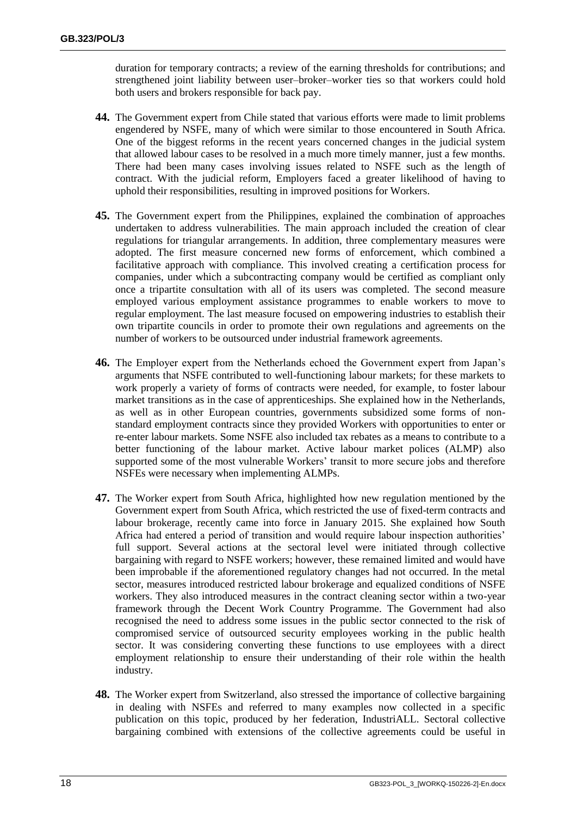duration for temporary contracts; a review of the earning thresholds for contributions; and strengthened joint liability between user–broker–worker ties so that workers could hold both users and brokers responsible for back pay.

- **44.** The Government expert from Chile stated that various efforts were made to limit problems engendered by NSFE, many of which were similar to those encountered in South Africa. One of the biggest reforms in the recent years concerned changes in the judicial system that allowed labour cases to be resolved in a much more timely manner, just a few months. There had been many cases involving issues related to NSFE such as the length of contract. With the judicial reform, Employers faced a greater likelihood of having to uphold their responsibilities, resulting in improved positions for Workers.
- **45.** The Government expert from the Philippines, explained the combination of approaches undertaken to address vulnerabilities. The main approach included the creation of clear regulations for triangular arrangements. In addition, three complementary measures were adopted. The first measure concerned new forms of enforcement, which combined a facilitative approach with compliance. This involved creating a certification process for companies, under which a subcontracting company would be certified as compliant only once a tripartite consultation with all of its users was completed. The second measure employed various employment assistance programmes to enable workers to move to regular employment. The last measure focused on empowering industries to establish their own tripartite councils in order to promote their own regulations and agreements on the number of workers to be outsourced under industrial framework agreements.
- **46.** The Employer expert from the Netherlands echoed the Government expert from Japan's arguments that NSFE contributed to well-functioning labour markets; for these markets to work properly a variety of forms of contracts were needed, for example, to foster labour market transitions as in the case of apprenticeships. She explained how in the Netherlands, as well as in other European countries, governments subsidized some forms of nonstandard employment contracts since they provided Workers with opportunities to enter or re-enter labour markets. Some NSFE also included tax rebates as a means to contribute to a better functioning of the labour market. Active labour market polices (ALMP) also supported some of the most vulnerable Workers' transit to more secure jobs and therefore NSFEs were necessary when implementing ALMPs.
- **47.** The Worker expert from South Africa, highlighted how new regulation mentioned by the Government expert from South Africa, which restricted the use of fixed-term contracts and labour brokerage, recently came into force in January 2015. She explained how South Africa had entered a period of transition and would require labour inspection authorities' full support. Several actions at the sectoral level were initiated through collective bargaining with regard to NSFE workers; however, these remained limited and would have been improbable if the aforementioned regulatory changes had not occurred. In the metal sector, measures introduced restricted labour brokerage and equalized conditions of NSFE workers. They also introduced measures in the contract cleaning sector within a two-year framework through the Decent Work Country Programme. The Government had also recognised the need to address some issues in the public sector connected to the risk of compromised service of outsourced security employees working in the public health sector. It was considering converting these functions to use employees with a direct employment relationship to ensure their understanding of their role within the health industry.
- **48.** The Worker expert from Switzerland, also stressed the importance of collective bargaining in dealing with NSFEs and referred to many examples now collected in a specific publication on this topic, produced by her federation, IndustriALL. Sectoral collective bargaining combined with extensions of the collective agreements could be useful in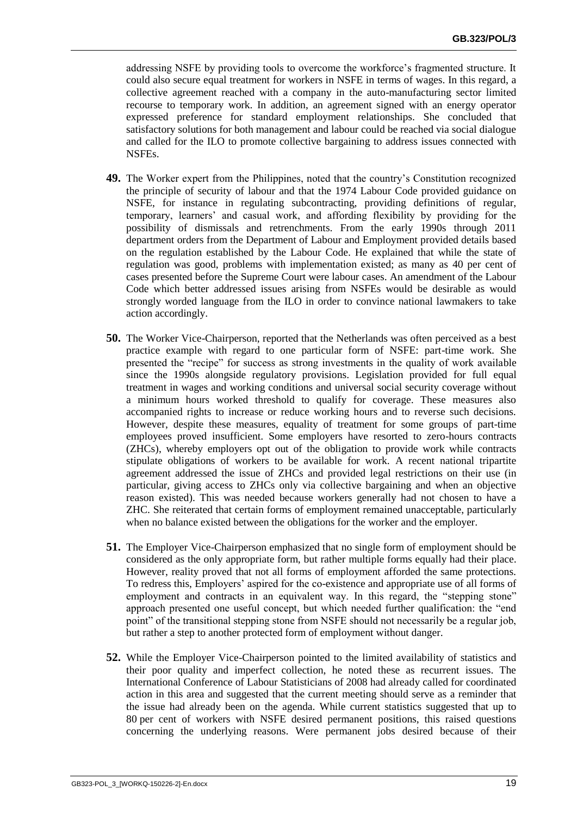addressing NSFE by providing tools to overcome the workforce's fragmented structure. It could also secure equal treatment for workers in NSFE in terms of wages. In this regard, a collective agreement reached with a company in the auto-manufacturing sector limited recourse to temporary work. In addition, an agreement signed with an energy operator expressed preference for standard employment relationships. She concluded that satisfactory solutions for both management and labour could be reached via social dialogue and called for the ILO to promote collective bargaining to address issues connected with NSFEs.

- **49.** The Worker expert from the Philippines, noted that the country's Constitution recognized the principle of security of labour and that the 1974 Labour Code provided guidance on NSFE, for instance in regulating subcontracting, providing definitions of regular, temporary, learners' and casual work, and affording flexibility by providing for the possibility of dismissals and retrenchments. From the early 1990s through 2011 department orders from the Department of Labour and Employment provided details based on the regulation established by the Labour Code. He explained that while the state of regulation was good, problems with implementation existed; as many as 40 per cent of cases presented before the Supreme Court were labour cases. An amendment of the Labour Code which better addressed issues arising from NSFEs would be desirable as would strongly worded language from the ILO in order to convince national lawmakers to take action accordingly.
- **50.** The Worker Vice-Chairperson, reported that the Netherlands was often perceived as a best practice example with regard to one particular form of NSFE: part-time work. She presented the "recipe" for success as strong investments in the quality of work available since the 1990s alongside regulatory provisions. Legislation provided for full equal treatment in wages and working conditions and universal social security coverage without a minimum hours worked threshold to qualify for coverage. These measures also accompanied rights to increase or reduce working hours and to reverse such decisions. However, despite these measures, equality of treatment for some groups of part-time employees proved insufficient. Some employers have resorted to zero-hours contracts (ZHCs), whereby employers opt out of the obligation to provide work while contracts stipulate obligations of workers to be available for work. A recent national tripartite agreement addressed the issue of ZHCs and provided legal restrictions on their use (in particular, giving access to ZHCs only via collective bargaining and when an objective reason existed). This was needed because workers generally had not chosen to have a ZHC. She reiterated that certain forms of employment remained unacceptable, particularly when no balance existed between the obligations for the worker and the employer.
- **51.** The Employer Vice-Chairperson emphasized that no single form of employment should be considered as the only appropriate form, but rather multiple forms equally had their place. However, reality proved that not all forms of employment afforded the same protections. To redress this, Employers' aspired for the co-existence and appropriate use of all forms of employment and contracts in an equivalent way. In this regard, the "stepping stone" approach presented one useful concept, but which needed further qualification: the "end point" of the transitional stepping stone from NSFE should not necessarily be a regular job, but rather a step to another protected form of employment without danger.
- **52.** While the Employer Vice-Chairperson pointed to the limited availability of statistics and their poor quality and imperfect collection, he noted these as recurrent issues. The International Conference of Labour Statisticians of 2008 had already called for coordinated action in this area and suggested that the current meeting should serve as a reminder that the issue had already been on the agenda. While current statistics suggested that up to 80 per cent of workers with NSFE desired permanent positions, this raised questions concerning the underlying reasons. Were permanent jobs desired because of their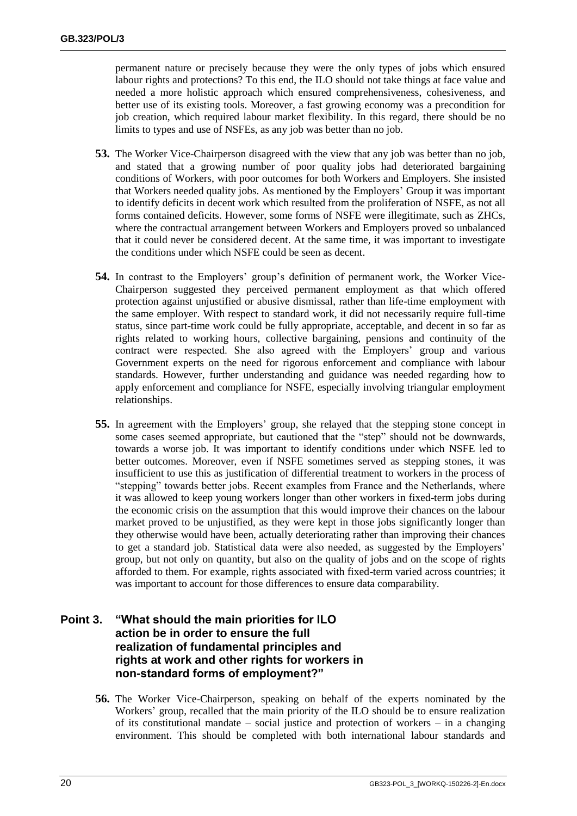permanent nature or precisely because they were the only types of jobs which ensured labour rights and protections? To this end, the ILO should not take things at face value and needed a more holistic approach which ensured comprehensiveness, cohesiveness, and better use of its existing tools. Moreover, a fast growing economy was a precondition for job creation, which required labour market flexibility. In this regard, there should be no limits to types and use of NSFEs, as any job was better than no job.

- **53.** The Worker Vice-Chairperson disagreed with the view that any job was better than no job, and stated that a growing number of poor quality jobs had deteriorated bargaining conditions of Workers, with poor outcomes for both Workers and Employers. She insisted that Workers needed quality jobs. As mentioned by the Employers' Group it was important to identify deficits in decent work which resulted from the proliferation of NSFE, as not all forms contained deficits. However, some forms of NSFE were illegitimate, such as ZHCs, where the contractual arrangement between Workers and Employers proved so unbalanced that it could never be considered decent. At the same time, it was important to investigate the conditions under which NSFE could be seen as decent.
- **54.** In contrast to the Employers' group's definition of permanent work, the Worker Vice-Chairperson suggested they perceived permanent employment as that which offered protection against unjustified or abusive dismissal, rather than life-time employment with the same employer. With respect to standard work, it did not necessarily require full-time status, since part-time work could be fully appropriate, acceptable, and decent in so far as rights related to working hours, collective bargaining, pensions and continuity of the contract were respected. She also agreed with the Employers' group and various Government experts on the need for rigorous enforcement and compliance with labour standards. However, further understanding and guidance was needed regarding how to apply enforcement and compliance for NSFE, especially involving triangular employment relationships.
- **55.** In agreement with the Employers' group, she relayed that the stepping stone concept in some cases seemed appropriate, but cautioned that the "step" should not be downwards, towards a worse job. It was important to identify conditions under which NSFE led to better outcomes. Moreover, even if NSFE sometimes served as stepping stones, it was insufficient to use this as justification of differential treatment to workers in the process of "stepping" towards better jobs. Recent examples from France and the Netherlands, where it was allowed to keep young workers longer than other workers in fixed-term jobs during the economic crisis on the assumption that this would improve their chances on the labour market proved to be unjustified, as they were kept in those jobs significantly longer than they otherwise would have been, actually deteriorating rather than improving their chances to get a standard job. Statistical data were also needed, as suggested by the Employers' group, but not only on quantity, but also on the quality of jobs and on the scope of rights afforded to them. For example, rights associated with fixed-term varied across countries; it was important to account for those differences to ensure data comparability.

# <span id="page-19-1"></span><span id="page-19-0"></span>**Point 3. "What should the main priorities for ILO action be in order to ensure the full realization of fundamental principles and rights at work and other rights for workers in non-standard forms of employment?"**

**56.** The Worker Vice-Chairperson, speaking on behalf of the experts nominated by the Workers' group, recalled that the main priority of the ILO should be to ensure realization of its constitutional mandate – social justice and protection of workers – in a changing environment. This should be completed with both international labour standards and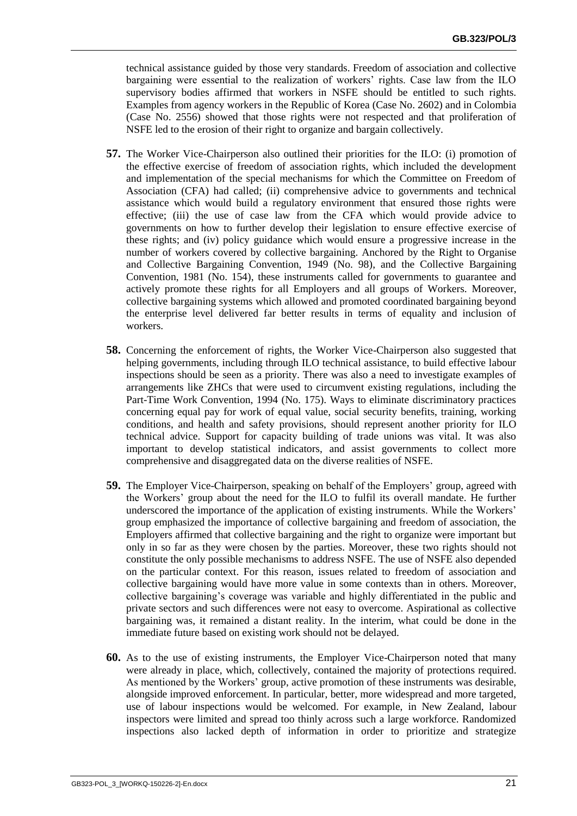technical assistance guided by those very standards. Freedom of association and collective bargaining were essential to the realization of workers' rights. Case law from the ILO supervisory bodies affirmed that workers in NSFE should be entitled to such rights. Examples from agency workers in the Republic of Korea (Case No. 2602) and in Colombia (Case No. 2556) showed that those rights were not respected and that proliferation of NSFE led to the erosion of their right to organize and bargain collectively.

- **57.** The Worker Vice-Chairperson also outlined their priorities for the ILO: (i) promotion of the effective exercise of freedom of association rights, which included the development and implementation of the special mechanisms for which the Committee on Freedom of Association (CFA) had called; (ii) comprehensive advice to governments and technical assistance which would build a regulatory environment that ensured those rights were effective; (iii) the use of case law from the CFA which would provide advice to governments on how to further develop their legislation to ensure effective exercise of these rights; and (iv) policy guidance which would ensure a progressive increase in the number of workers covered by collective bargaining. Anchored by the Right to Organise and Collective Bargaining Convention, 1949 (No. 98), and the Collective Bargaining Convention, 1981 (No. 154), these instruments called for governments to guarantee and actively promote these rights for all Employers and all groups of Workers. Moreover, collective bargaining systems which allowed and promoted coordinated bargaining beyond the enterprise level delivered far better results in terms of equality and inclusion of workers.
- **58.** Concerning the enforcement of rights, the Worker Vice-Chairperson also suggested that helping governments, including through ILO technical assistance, to build effective labour inspections should be seen as a priority. There was also a need to investigate examples of arrangements like ZHCs that were used to circumvent existing regulations, including the Part-Time Work Convention, 1994 (No. 175). Ways to eliminate discriminatory practices concerning equal pay for work of equal value, social security benefits, training, working conditions, and health and safety provisions, should represent another priority for ILO technical advice. Support for capacity building of trade unions was vital. It was also important to develop statistical indicators, and assist governments to collect more comprehensive and disaggregated data on the diverse realities of NSFE.
- **59.** The Employer Vice-Chairperson, speaking on behalf of the Employers' group, agreed with the Workers' group about the need for the ILO to fulfil its overall mandate. He further underscored the importance of the application of existing instruments. While the Workers' group emphasized the importance of collective bargaining and freedom of association, the Employers affirmed that collective bargaining and the right to organize were important but only in so far as they were chosen by the parties. Moreover, these two rights should not constitute the only possible mechanisms to address NSFE. The use of NSFE also depended on the particular context. For this reason, issues related to freedom of association and collective bargaining would have more value in some contexts than in others. Moreover, collective bargaining's coverage was variable and highly differentiated in the public and private sectors and such differences were not easy to overcome. Aspirational as collective bargaining was, it remained a distant reality. In the interim, what could be done in the immediate future based on existing work should not be delayed.
- **60.** As to the use of existing instruments, the Employer Vice-Chairperson noted that many were already in place, which, collectively, contained the majority of protections required. As mentioned by the Workers' group, active promotion of these instruments was desirable, alongside improved enforcement. In particular, better, more widespread and more targeted, use of labour inspections would be welcomed. For example, in New Zealand, labour inspectors were limited and spread too thinly across such a large workforce. Randomized inspections also lacked depth of information in order to prioritize and strategize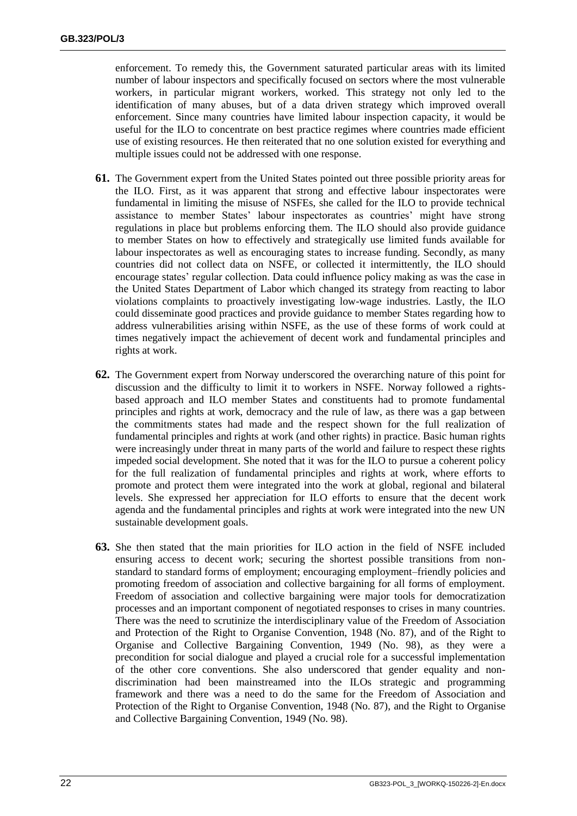enforcement. To remedy this, the Government saturated particular areas with its limited number of labour inspectors and specifically focused on sectors where the most vulnerable workers, in particular migrant workers, worked. This strategy not only led to the identification of many abuses, but of a data driven strategy which improved overall enforcement. Since many countries have limited labour inspection capacity, it would be useful for the ILO to concentrate on best practice regimes where countries made efficient use of existing resources. He then reiterated that no one solution existed for everything and multiple issues could not be addressed with one response.

- **61.** The Government expert from the United States pointed out three possible priority areas for the ILO. First, as it was apparent that strong and effective labour inspectorates were fundamental in limiting the misuse of NSFEs, she called for the ILO to provide technical assistance to member States' labour inspectorates as countries' might have strong regulations in place but problems enforcing them. The ILO should also provide guidance to member States on how to effectively and strategically use limited funds available for labour inspectorates as well as encouraging states to increase funding. Secondly, as many countries did not collect data on NSFE, or collected it intermittently, the ILO should encourage states' regular collection. Data could influence policy making as was the case in the United States Department of Labor which changed its strategy from reacting to labor violations complaints to proactively investigating low-wage industries. Lastly, the ILO could disseminate good practices and provide guidance to member States regarding how to address vulnerabilities arising within NSFE, as the use of these forms of work could at times negatively impact the achievement of decent work and fundamental principles and rights at work.
- **62.** The Government expert from Norway underscored the overarching nature of this point for discussion and the difficulty to limit it to workers in NSFE. Norway followed a rightsbased approach and ILO member States and constituents had to promote fundamental principles and rights at work, democracy and the rule of law, as there was a gap between the commitments states had made and the respect shown for the full realization of fundamental principles and rights at work (and other rights) in practice. Basic human rights were increasingly under threat in many parts of the world and failure to respect these rights impeded social development. She noted that it was for the ILO to pursue a coherent policy for the full realization of fundamental principles and rights at work, where efforts to promote and protect them were integrated into the work at global, regional and bilateral levels. She expressed her appreciation for ILO efforts to ensure that the decent work agenda and the fundamental principles and rights at work were integrated into the new UN sustainable development goals.
- **63.** She then stated that the main priorities for ILO action in the field of NSFE included ensuring access to decent work; securing the shortest possible transitions from nonstandard to standard forms of employment; encouraging employment–friendly policies and promoting freedom of association and collective bargaining for all forms of employment. Freedom of association and collective bargaining were major tools for democratization processes and an important component of negotiated responses to crises in many countries. There was the need to scrutinize the interdisciplinary value of the Freedom of Association and Protection of the Right to Organise Convention, 1948 (No. 87), and of the Right to Organise and Collective Bargaining Convention, 1949 (No. 98), as they were a precondition for social dialogue and played a crucial role for a successful implementation of the other core conventions. She also underscored that gender equality and nondiscrimination had been mainstreamed into the ILOs strategic and programming framework and there was a need to do the same for the Freedom of Association and Protection of the Right to Organise Convention, 1948 (No. 87), and the Right to Organise and Collective Bargaining Convention, 1949 (No. 98).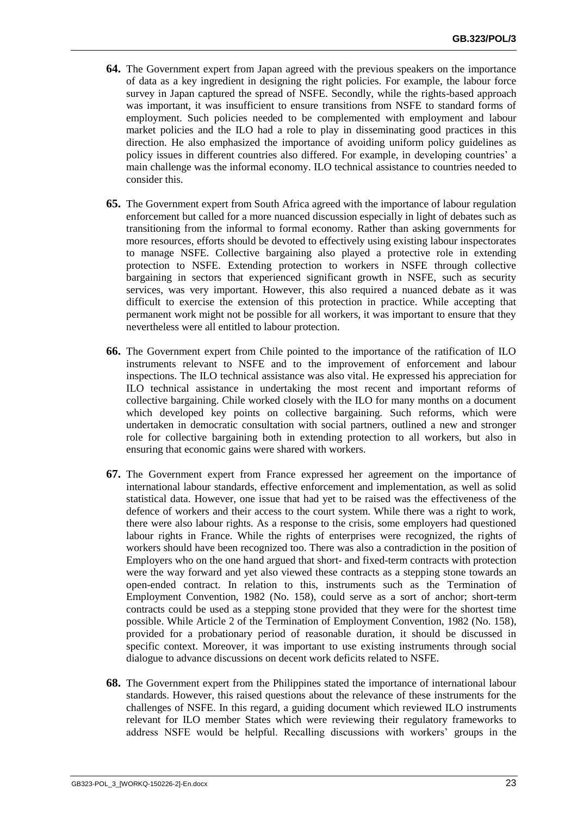- **64.** The Government expert from Japan agreed with the previous speakers on the importance of data as a key ingredient in designing the right policies. For example, the labour force survey in Japan captured the spread of NSFE. Secondly, while the rights-based approach was important, it was insufficient to ensure transitions from NSFE to standard forms of employment. Such policies needed to be complemented with employment and labour market policies and the ILO had a role to play in disseminating good practices in this direction. He also emphasized the importance of avoiding uniform policy guidelines as policy issues in different countries also differed. For example, in developing countries' a main challenge was the informal economy. ILO technical assistance to countries needed to consider this.
- **65.** The Government expert from South Africa agreed with the importance of labour regulation enforcement but called for a more nuanced discussion especially in light of debates such as transitioning from the informal to formal economy. Rather than asking governments for more resources, efforts should be devoted to effectively using existing labour inspectorates to manage NSFE. Collective bargaining also played a protective role in extending protection to NSFE. Extending protection to workers in NSFE through collective bargaining in sectors that experienced significant growth in NSFE, such as security services, was very important. However, this also required a nuanced debate as it was difficult to exercise the extension of this protection in practice. While accepting that permanent work might not be possible for all workers, it was important to ensure that they nevertheless were all entitled to labour protection.
- **66.** The Government expert from Chile pointed to the importance of the ratification of ILO instruments relevant to NSFE and to the improvement of enforcement and labour inspections. The ILO technical assistance was also vital. He expressed his appreciation for ILO technical assistance in undertaking the most recent and important reforms of collective bargaining. Chile worked closely with the ILO for many months on a document which developed key points on collective bargaining. Such reforms, which were undertaken in democratic consultation with social partners, outlined a new and stronger role for collective bargaining both in extending protection to all workers, but also in ensuring that economic gains were shared with workers.
- **67.** The Government expert from France expressed her agreement on the importance of international labour standards, effective enforcement and implementation, as well as solid statistical data. However, one issue that had yet to be raised was the effectiveness of the defence of workers and their access to the court system. While there was a right to work, there were also labour rights. As a response to the crisis, some employers had questioned labour rights in France. While the rights of enterprises were recognized, the rights of workers should have been recognized too. There was also a contradiction in the position of Employers who on the one hand argued that short- and fixed-term contracts with protection were the way forward and yet also viewed these contracts as a stepping stone towards an open-ended contract. In relation to this, instruments such as the Termination of Employment Convention, 1982 (No. 158), could serve as a sort of anchor; short-term contracts could be used as a stepping stone provided that they were for the shortest time possible. While Article 2 of the Termination of Employment Convention, 1982 (No. 158), provided for a probationary period of reasonable duration, it should be discussed in specific context. Moreover, it was important to use existing instruments through social dialogue to advance discussions on decent work deficits related to NSFE.
- **68.** The Government expert from the Philippines stated the importance of international labour standards. However, this raised questions about the relevance of these instruments for the challenges of NSFE. In this regard, a guiding document which reviewed ILO instruments relevant for ILO member States which were reviewing their regulatory frameworks to address NSFE would be helpful. Recalling discussions with workers' groups in the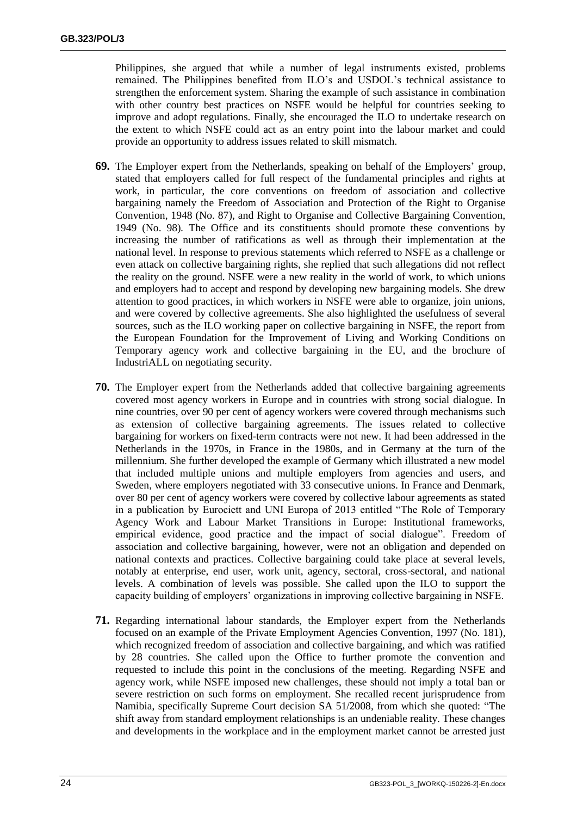Philippines, she argued that while a number of legal instruments existed, problems remained. The Philippines benefited from ILO's and USDOL's technical assistance to strengthen the enforcement system. Sharing the example of such assistance in combination with other country best practices on NSFE would be helpful for countries seeking to improve and adopt regulations. Finally, she encouraged the ILO to undertake research on the extent to which NSFE could act as an entry point into the labour market and could provide an opportunity to address issues related to skill mismatch.

- **69.** The Employer expert from the Netherlands, speaking on behalf of the Employers' group, stated that employers called for full respect of the fundamental principles and rights at work, in particular, the core conventions on freedom of association and collective bargaining namely the Freedom of Association and Protection of the Right to Organise Convention, 1948 (No. 87), and Right to Organise and Collective Bargaining Convention, 1949 (No. 98)*.* The Office and its constituents should promote these conventions by increasing the number of ratifications as well as through their implementation at the national level. In response to previous statements which referred to NSFE as a challenge or even attack on collective bargaining rights, she replied that such allegations did not reflect the reality on the ground. NSFE were a new reality in the world of work, to which unions and employers had to accept and respond by developing new bargaining models. She drew attention to good practices, in which workers in NSFE were able to organize, join unions, and were covered by collective agreements. She also highlighted the usefulness of several sources, such as the ILO working paper on collective bargaining in NSFE, the report from the European Foundation for the Improvement of Living and Working Conditions on Temporary agency work and collective bargaining in the EU, and the brochure of IndustriALL on negotiating security.
- **70.** The Employer expert from the Netherlands added that collective bargaining agreements covered most agency workers in Europe and in countries with strong social dialogue. In nine countries, over 90 per cent of agency workers were covered through mechanisms such as extension of collective bargaining agreements. The issues related to collective bargaining for workers on fixed-term contracts were not new. It had been addressed in the Netherlands in the 1970s, in France in the 1980s, and in Germany at the turn of the millennium. She further developed the example of Germany which illustrated a new model that included multiple unions and multiple employers from agencies and users, and Sweden, where employers negotiated with 33 consecutive unions. In France and Denmark, over 80 per cent of agency workers were covered by collective labour agreements as stated in a publication by Eurociett and UNI Europa of 2013 entitled "The Role of Temporary Agency Work and Labour Market Transitions in Europe: Institutional frameworks, empirical evidence, good practice and the impact of social dialogue". Freedom of association and collective bargaining, however, were not an obligation and depended on national contexts and practices. Collective bargaining could take place at several levels, notably at enterprise, end user, work unit, agency, sectoral, cross-sectoral, and national levels. A combination of levels was possible. She called upon the ILO to support the capacity building of employers' organizations in improving collective bargaining in NSFE.
- **71.** Regarding international labour standards, the Employer expert from the Netherlands focused on an example of the Private Employment Agencies Convention, 1997 (No. 181), which recognized freedom of association and collective bargaining, and which was ratified by 28 countries. She called upon the Office to further promote the convention and requested to include this point in the conclusions of the meeting. Regarding NSFE and agency work, while NSFE imposed new challenges, these should not imply a total ban or severe restriction on such forms on employment. She recalled recent jurisprudence from Namibia, specifically Supreme Court decision SA 51/2008, from which she quoted: "The shift away from standard employment relationships is an undeniable reality. These changes and developments in the workplace and in the employment market cannot be arrested just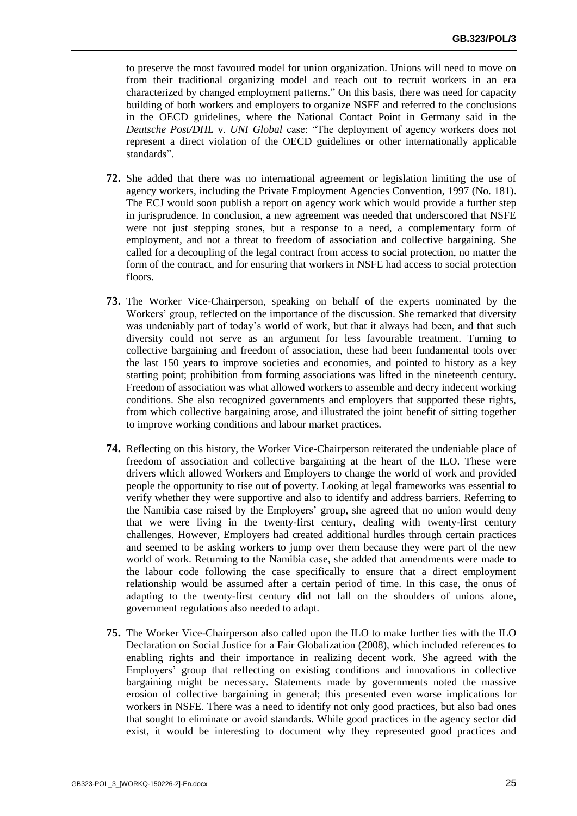to preserve the most favoured model for union organization. Unions will need to move on from their traditional organizing model and reach out to recruit workers in an era characterized by changed employment patterns." On this basis, there was need for capacity building of both workers and employers to organize NSFE and referred to the conclusions in the OECD guidelines, where the National Contact Point in Germany said in the *Deutsche Post/DHL* v. *UNI Global* case: "The deployment of agency workers does not represent a direct violation of the OECD guidelines or other internationally applicable standards".

- **72.** She added that there was no international agreement or legislation limiting the use of agency workers, including the Private Employment Agencies Convention, 1997 (No. 181). The ECJ would soon publish a report on agency work which would provide a further step in jurisprudence. In conclusion, a new agreement was needed that underscored that NSFE were not just stepping stones, but a response to a need, a complementary form of employment, and not a threat to freedom of association and collective bargaining. She called for a decoupling of the legal contract from access to social protection, no matter the form of the contract, and for ensuring that workers in NSFE had access to social protection floors.
- **73.** The Worker Vice-Chairperson, speaking on behalf of the experts nominated by the Workers' group, reflected on the importance of the discussion. She remarked that diversity was undeniably part of today's world of work, but that it always had been, and that such diversity could not serve as an argument for less favourable treatment. Turning to collective bargaining and freedom of association, these had been fundamental tools over the last 150 years to improve societies and economies, and pointed to history as a key starting point; prohibition from forming associations was lifted in the nineteenth century. Freedom of association was what allowed workers to assemble and decry indecent working conditions. She also recognized governments and employers that supported these rights, from which collective bargaining arose, and illustrated the joint benefit of sitting together to improve working conditions and labour market practices.
- **74.** Reflecting on this history, the Worker Vice-Chairperson reiterated the undeniable place of freedom of association and collective bargaining at the heart of the ILO. These were drivers which allowed Workers and Employers to change the world of work and provided people the opportunity to rise out of poverty. Looking at legal frameworks was essential to verify whether they were supportive and also to identify and address barriers. Referring to the Namibia case raised by the Employers' group, she agreed that no union would deny that we were living in the twenty-first century, dealing with twenty-first century challenges. However, Employers had created additional hurdles through certain practices and seemed to be asking workers to jump over them because they were part of the new world of work. Returning to the Namibia case, she added that amendments were made to the labour code following the case specifically to ensure that a direct employment relationship would be assumed after a certain period of time. In this case, the onus of adapting to the twenty-first century did not fall on the shoulders of unions alone, government regulations also needed to adapt.
- **75.** The Worker Vice-Chairperson also called upon the ILO to make further ties with the ILO Declaration on Social Justice for a Fair Globalization (2008), which included references to enabling rights and their importance in realizing decent work. She agreed with the Employers' group that reflecting on existing conditions and innovations in collective bargaining might be necessary. Statements made by governments noted the massive erosion of collective bargaining in general; this presented even worse implications for workers in NSFE. There was a need to identify not only good practices, but also bad ones that sought to eliminate or avoid standards. While good practices in the agency sector did exist, it would be interesting to document why they represented good practices and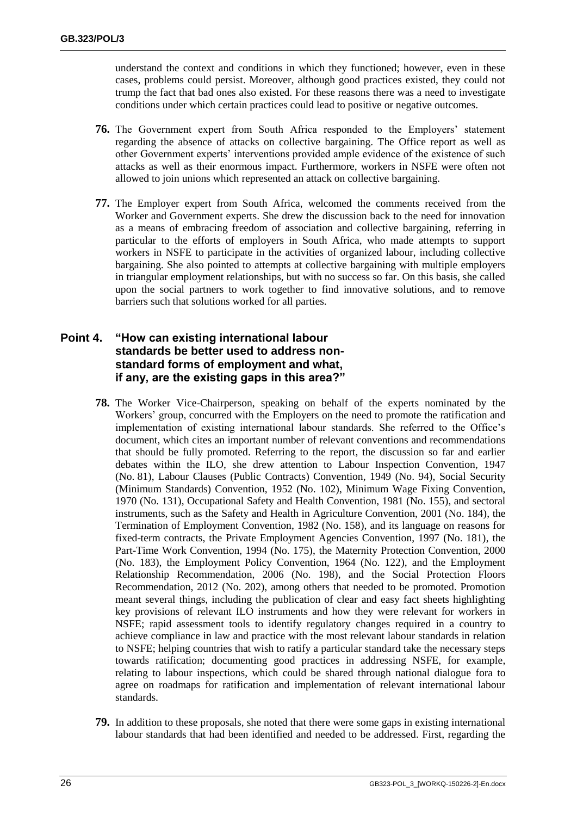understand the context and conditions in which they functioned; however, even in these cases, problems could persist. Moreover, although good practices existed, they could not trump the fact that bad ones also existed. For these reasons there was a need to investigate conditions under which certain practices could lead to positive or negative outcomes.

- **76.** The Government expert from South Africa responded to the Employers' statement regarding the absence of attacks on collective bargaining. The Office report as well as other Government experts' interventions provided ample evidence of the existence of such attacks as well as their enormous impact. Furthermore, workers in NSFE were often not allowed to join unions which represented an attack on collective bargaining.
- **77.** The Employer expert from South Africa, welcomed the comments received from the Worker and Government experts. She drew the discussion back to the need for innovation as a means of embracing freedom of association and collective bargaining, referring in particular to the efforts of employers in South Africa, who made attempts to support workers in NSFE to participate in the activities of organized labour, including collective bargaining. She also pointed to attempts at collective bargaining with multiple employers in triangular employment relationships, but with no success so far. On this basis, she called upon the social partners to work together to find innovative solutions, and to remove barriers such that solutions worked for all parties.

# <span id="page-25-1"></span><span id="page-25-0"></span>**Point 4. "How can existing international labour standards be better used to address nonstandard forms of employment and what, if any, are the existing gaps in this area?"**

- **78.** The Worker Vice-Chairperson, speaking on behalf of the experts nominated by the Workers' group, concurred with the Employers on the need to promote the ratification and implementation of existing international labour standards. She referred to the Office's document, which cites an important number of relevant conventions and recommendations that should be fully promoted. Referring to the report, the discussion so far and earlier debates within the ILO, she drew attention to Labour Inspection Convention, 1947 (No. 81), Labour Clauses (Public Contracts) Convention, 1949 (No. 94), Social Security (Minimum Standards) Convention, 1952 (No. 102), Minimum Wage Fixing Convention, 1970 (No. 131), Occupational Safety and Health Convention, 1981 (No. 155), and sectoral instruments, such as the Safety and Health in Agriculture Convention, 2001 (No. 184), the Termination of Employment Convention, 1982 (No. 158), and its language on reasons for fixed-term contracts, the Private Employment Agencies Convention, 1997 (No. 181), the Part-Time Work Convention, 1994 (No. 175), the Maternity Protection Convention, 2000 (No. 183), the Employment Policy Convention, 1964 (No. 122), and the Employment Relationship Recommendation, 2006 (No. 198), and the Social Protection Floors Recommendation, 2012 (No. 202), among others that needed to be promoted. Promotion meant several things, including the publication of clear and easy fact sheets highlighting key provisions of relevant ILO instruments and how they were relevant for workers in NSFE; rapid assessment tools to identify regulatory changes required in a country to achieve compliance in law and practice with the most relevant labour standards in relation to NSFE; helping countries that wish to ratify a particular standard take the necessary steps towards ratification; documenting good practices in addressing NSFE, for example, relating to labour inspections, which could be shared through national dialogue fora to agree on roadmaps for ratification and implementation of relevant international labour standards.
- **79.** In addition to these proposals, she noted that there were some gaps in existing international labour standards that had been identified and needed to be addressed. First, regarding the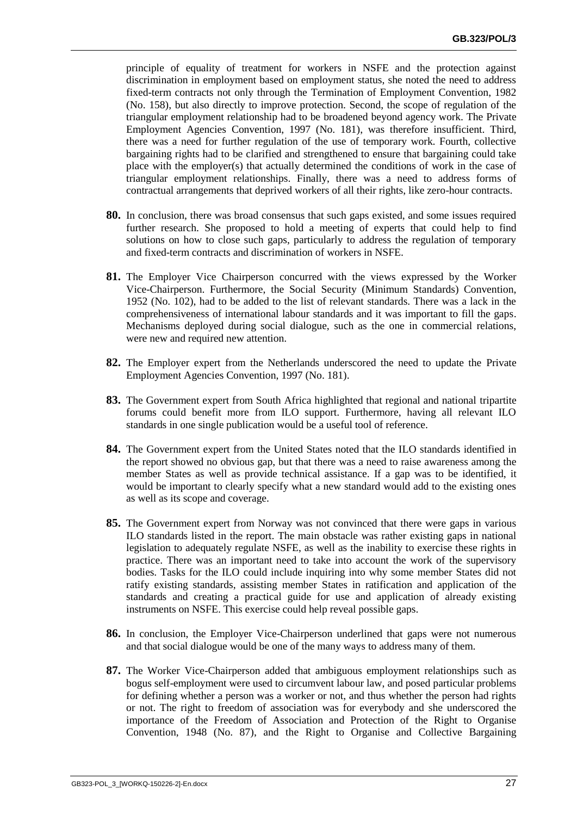principle of equality of treatment for workers in NSFE and the protection against discrimination in employment based on employment status, she noted the need to address fixed-term contracts not only through the Termination of Employment Convention, 1982 (No. 158), but also directly to improve protection. Second, the scope of regulation of the triangular employment relationship had to be broadened beyond agency work. The Private Employment Agencies Convention, 1997 (No. 181), was therefore insufficient. Third, there was a need for further regulation of the use of temporary work. Fourth, collective bargaining rights had to be clarified and strengthened to ensure that bargaining could take place with the employer(s) that actually determined the conditions of work in the case of triangular employment relationships. Finally, there was a need to address forms of contractual arrangements that deprived workers of all their rights, like zero-hour contracts.

- **80.** In conclusion, there was broad consensus that such gaps existed, and some issues required further research. She proposed to hold a meeting of experts that could help to find solutions on how to close such gaps, particularly to address the regulation of temporary and fixed-term contracts and discrimination of workers in NSFE.
- **81.** The Employer Vice Chairperson concurred with the views expressed by the Worker Vice-Chairperson. Furthermore, the Social Security (Minimum Standards) Convention, 1952 (No. 102), had to be added to the list of relevant standards. There was a lack in the comprehensiveness of international labour standards and it was important to fill the gaps. Mechanisms deployed during social dialogue, such as the one in commercial relations, were new and required new attention.
- **82.** The Employer expert from the Netherlands underscored the need to update the Private Employment Agencies Convention, 1997 (No. 181).
- **83.** The Government expert from South Africa highlighted that regional and national tripartite forums could benefit more from ILO support. Furthermore, having all relevant ILO standards in one single publication would be a useful tool of reference.
- **84.** The Government expert from the United States noted that the ILO standards identified in the report showed no obvious gap, but that there was a need to raise awareness among the member States as well as provide technical assistance. If a gap was to be identified, it would be important to clearly specify what a new standard would add to the existing ones as well as its scope and coverage.
- **85.** The Government expert from Norway was not convinced that there were gaps in various ILO standards listed in the report. The main obstacle was rather existing gaps in national legislation to adequately regulate NSFE, as well as the inability to exercise these rights in practice. There was an important need to take into account the work of the supervisory bodies. Tasks for the ILO could include inquiring into why some member States did not ratify existing standards, assisting member States in ratification and application of the standards and creating a practical guide for use and application of already existing instruments on NSFE. This exercise could help reveal possible gaps.
- **86.** In conclusion, the Employer Vice-Chairperson underlined that gaps were not numerous and that social dialogue would be one of the many ways to address many of them.
- **87.** The Worker Vice-Chairperson added that ambiguous employment relationships such as bogus self-employment were used to circumvent labour law, and posed particular problems for defining whether a person was a worker or not, and thus whether the person had rights or not. The right to freedom of association was for everybody and she underscored the importance of the Freedom of Association and Protection of the Right to Organise Convention, 1948 (No. 87), and the Right to Organise and Collective Bargaining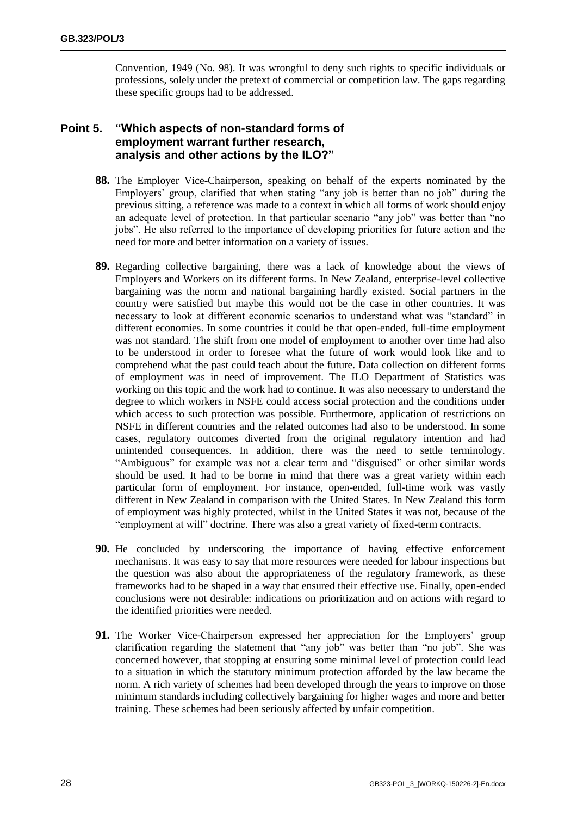Convention, 1949 (No. 98). It was wrongful to deny such rights to specific individuals or professions, solely under the pretext of commercial or competition law. The gaps regarding these specific groups had to be addressed.

# <span id="page-27-1"></span><span id="page-27-0"></span>**Point 5. "Which aspects of non-standard forms of employment warrant further research, analysis and other actions by the ILO?"**

- **88.** The Employer Vice-Chairperson, speaking on behalf of the experts nominated by the Employers' group, clarified that when stating "any job is better than no job" during the previous sitting, a reference was made to a context in which all forms of work should enjoy an adequate level of protection. In that particular scenario "any job" was better than "no jobs". He also referred to the importance of developing priorities for future action and the need for more and better information on a variety of issues.
- **89.** Regarding collective bargaining, there was a lack of knowledge about the views of Employers and Workers on its different forms. In New Zealand, enterprise-level collective bargaining was the norm and national bargaining hardly existed. Social partners in the country were satisfied but maybe this would not be the case in other countries. It was necessary to look at different economic scenarios to understand what was "standard" in different economies. In some countries it could be that open-ended, full-time employment was not standard. The shift from one model of employment to another over time had also to be understood in order to foresee what the future of work would look like and to comprehend what the past could teach about the future. Data collection on different forms of employment was in need of improvement. The ILO Department of Statistics was working on this topic and the work had to continue. It was also necessary to understand the degree to which workers in NSFE could access social protection and the conditions under which access to such protection was possible. Furthermore, application of restrictions on NSFE in different countries and the related outcomes had also to be understood. In some cases, regulatory outcomes diverted from the original regulatory intention and had unintended consequences. In addition, there was the need to settle terminology. "Ambiguous" for example was not a clear term and "disguised" or other similar words should be used. It had to be borne in mind that there was a great variety within each particular form of employment. For instance, open-ended, full-time work was vastly different in New Zealand in comparison with the United States. In New Zealand this form of employment was highly protected, whilst in the United States it was not, because of the "employment at will" doctrine. There was also a great variety of fixed-term contracts.
- **90.** He concluded by underscoring the importance of having effective enforcement mechanisms. It was easy to say that more resources were needed for labour inspections but the question was also about the appropriateness of the regulatory framework, as these frameworks had to be shaped in a way that ensured their effective use. Finally, open-ended conclusions were not desirable: indications on prioritization and on actions with regard to the identified priorities were needed.
- **91.** The Worker Vice-Chairperson expressed her appreciation for the Employers' group clarification regarding the statement that "any job" was better than "no job". She was concerned however, that stopping at ensuring some minimal level of protection could lead to a situation in which the statutory minimum protection afforded by the law became the norm. A rich variety of schemes had been developed through the years to improve on those minimum standards including collectively bargaining for higher wages and more and better training. These schemes had been seriously affected by unfair competition.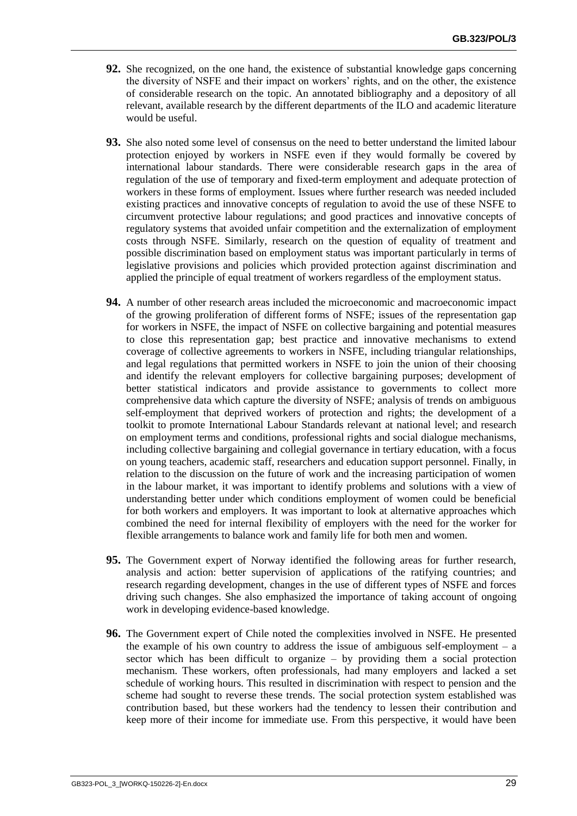- **92.** She recognized, on the one hand, the existence of substantial knowledge gaps concerning the diversity of NSFE and their impact on workers' rights, and on the other, the existence of considerable research on the topic. An annotated bibliography and a depository of all relevant, available research by the different departments of the ILO and academic literature would be useful.
- **93.** She also noted some level of consensus on the need to better understand the limited labour protection enjoyed by workers in NSFE even if they would formally be covered by international labour standards. There were considerable research gaps in the area of regulation of the use of temporary and fixed-term employment and adequate protection of workers in these forms of employment. Issues where further research was needed included existing practices and innovative concepts of regulation to avoid the use of these NSFE to circumvent protective labour regulations; and good practices and innovative concepts of regulatory systems that avoided unfair competition and the externalization of employment costs through NSFE. Similarly, research on the question of equality of treatment and possible discrimination based on employment status was important particularly in terms of legislative provisions and policies which provided protection against discrimination and applied the principle of equal treatment of workers regardless of the employment status.
- **94.** A number of other research areas included the microeconomic and macroeconomic impact of the growing proliferation of different forms of NSFE; issues of the representation gap for workers in NSFE, the impact of NSFE on collective bargaining and potential measures to close this representation gap; best practice and innovative mechanisms to extend coverage of collective agreements to workers in NSFE, including triangular relationships, and legal regulations that permitted workers in NSFE to join the union of their choosing and identify the relevant employers for collective bargaining purposes; development of better statistical indicators and provide assistance to governments to collect more comprehensive data which capture the diversity of NSFE; analysis of trends on ambiguous self-employment that deprived workers of protection and rights; the development of a toolkit to promote International Labour Standards relevant at national level; and research on employment terms and conditions, professional rights and social dialogue mechanisms, including collective bargaining and collegial governance in tertiary education, with a focus on young teachers, academic staff, researchers and education support personnel. Finally, in relation to the discussion on the future of work and the increasing participation of women in the labour market, it was important to identify problems and solutions with a view of understanding better under which conditions employment of women could be beneficial for both workers and employers. It was important to look at alternative approaches which combined the need for internal flexibility of employers with the need for the worker for flexible arrangements to balance work and family life for both men and women.
- **95.** The Government expert of Norway identified the following areas for further research, analysis and action: better supervision of applications of the ratifying countries; and research regarding development, changes in the use of different types of NSFE and forces driving such changes. She also emphasized the importance of taking account of ongoing work in developing evidence-based knowledge.
- **96.** The Government expert of Chile noted the complexities involved in NSFE. He presented the example of his own country to address the issue of ambiguous self-employment  $-$  a sector which has been difficult to organize – by providing them a social protection mechanism. These workers, often professionals, had many employers and lacked a set schedule of working hours. This resulted in discrimination with respect to pension and the scheme had sought to reverse these trends. The social protection system established was contribution based, but these workers had the tendency to lessen their contribution and keep more of their income for immediate use. From this perspective, it would have been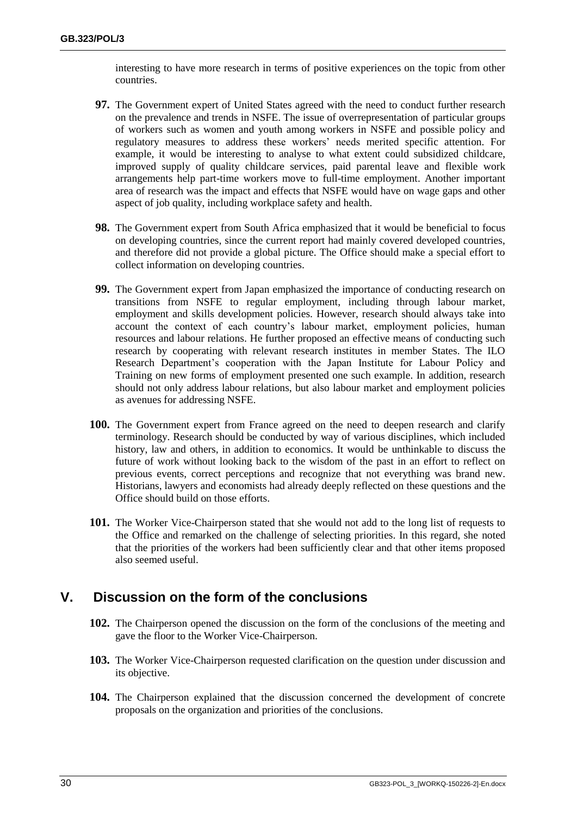interesting to have more research in terms of positive experiences on the topic from other countries.

- **97.** The Government expert of United States agreed with the need to conduct further research on the prevalence and trends in NSFE. The issue of overrepresentation of particular groups of workers such as women and youth among workers in NSFE and possible policy and regulatory measures to address these workers' needs merited specific attention. For example, it would be interesting to analyse to what extent could subsidized childcare, improved supply of quality childcare services, paid parental leave and flexible work arrangements help part-time workers move to full-time employment. Another important area of research was the impact and effects that NSFE would have on wage gaps and other aspect of job quality, including workplace safety and health.
- **98.** The Government expert from South Africa emphasized that it would be beneficial to focus on developing countries, since the current report had mainly covered developed countries, and therefore did not provide a global picture. The Office should make a special effort to collect information on developing countries.
- **99.** The Government expert from Japan emphasized the importance of conducting research on transitions from NSFE to regular employment, including through labour market, employment and skills development policies. However, research should always take into account the context of each country's labour market, employment policies, human resources and labour relations. He further proposed an effective means of conducting such research by cooperating with relevant research institutes in member States. The ILO Research Department's cooperation with the Japan Institute for Labour Policy and Training on new forms of employment presented one such example. In addition, research should not only address labour relations, but also labour market and employment policies as avenues for addressing NSFE.
- **100.** The Government expert from France agreed on the need to deepen research and clarify terminology. Research should be conducted by way of various disciplines, which included history, law and others, in addition to economics. It would be unthinkable to discuss the future of work without looking back to the wisdom of the past in an effort to reflect on previous events, correct perceptions and recognize that not everything was brand new. Historians, lawyers and economists had already deeply reflected on these questions and the Office should build on those efforts.
- **101.** The Worker Vice-Chairperson stated that she would not add to the long list of requests to the Office and remarked on the challenge of selecting priorities. In this regard, she noted that the priorities of the workers had been sufficiently clear and that other items proposed also seemed useful.

# <span id="page-29-0"></span>**V. Discussion on the form of the conclusions**

- **102.** The Chairperson opened the discussion on the form of the conclusions of the meeting and gave the floor to the Worker Vice-Chairperson.
- **103.** The Worker Vice-Chairperson requested clarification on the question under discussion and its objective.
- **104.** The Chairperson explained that the discussion concerned the development of concrete proposals on the organization and priorities of the conclusions.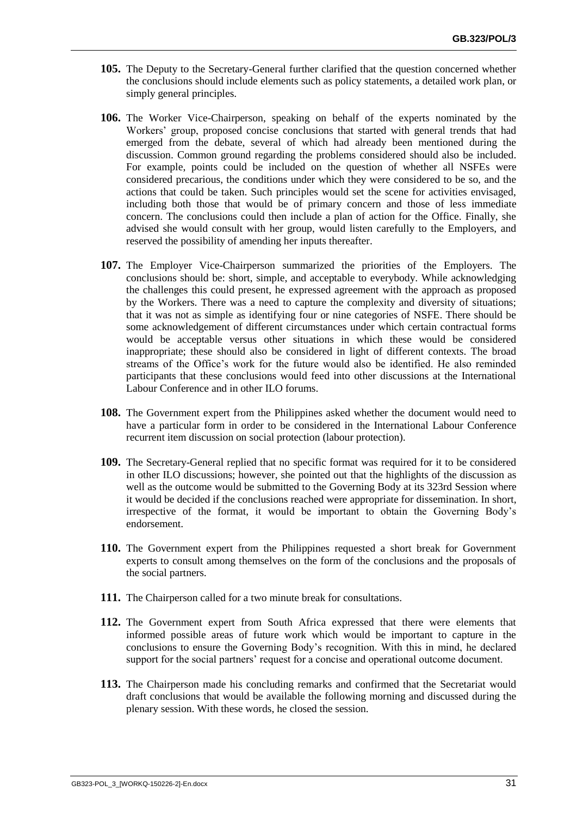- **105.** The Deputy to the Secretary-General further clarified that the question concerned whether the conclusions should include elements such as policy statements, a detailed work plan, or simply general principles.
- **106.** The Worker Vice-Chairperson, speaking on behalf of the experts nominated by the Workers' group, proposed concise conclusions that started with general trends that had emerged from the debate, several of which had already been mentioned during the discussion. Common ground regarding the problems considered should also be included. For example, points could be included on the question of whether all NSFEs were considered precarious, the conditions under which they were considered to be so, and the actions that could be taken. Such principles would set the scene for activities envisaged, including both those that would be of primary concern and those of less immediate concern. The conclusions could then include a plan of action for the Office. Finally, she advised she would consult with her group, would listen carefully to the Employers, and reserved the possibility of amending her inputs thereafter.
- **107.** The Employer Vice-Chairperson summarized the priorities of the Employers. The conclusions should be: short, simple, and acceptable to everybody. While acknowledging the challenges this could present, he expressed agreement with the approach as proposed by the Workers. There was a need to capture the complexity and diversity of situations; that it was not as simple as identifying four or nine categories of NSFE. There should be some acknowledgement of different circumstances under which certain contractual forms would be acceptable versus other situations in which these would be considered inappropriate; these should also be considered in light of different contexts. The broad streams of the Office's work for the future would also be identified. He also reminded participants that these conclusions would feed into other discussions at the International Labour Conference and in other ILO forums.
- **108.** The Government expert from the Philippines asked whether the document would need to have a particular form in order to be considered in the International Labour Conference recurrent item discussion on social protection (labour protection).
- **109.** The Secretary-General replied that no specific format was required for it to be considered in other ILO discussions; however, she pointed out that the highlights of the discussion as well as the outcome would be submitted to the Governing Body at its 323rd Session where it would be decided if the conclusions reached were appropriate for dissemination. In short, irrespective of the format, it would be important to obtain the Governing Body's endorsement.
- **110.** The Government expert from the Philippines requested a short break for Government experts to consult among themselves on the form of the conclusions and the proposals of the social partners.
- **111.** The Chairperson called for a two minute break for consultations.
- **112.** The Government expert from South Africa expressed that there were elements that informed possible areas of future work which would be important to capture in the conclusions to ensure the Governing Body's recognition. With this in mind, he declared support for the social partners' request for a concise and operational outcome document.
- **113.** The Chairperson made his concluding remarks and confirmed that the Secretariat would draft conclusions that would be available the following morning and discussed during the plenary session. With these words, he closed the session.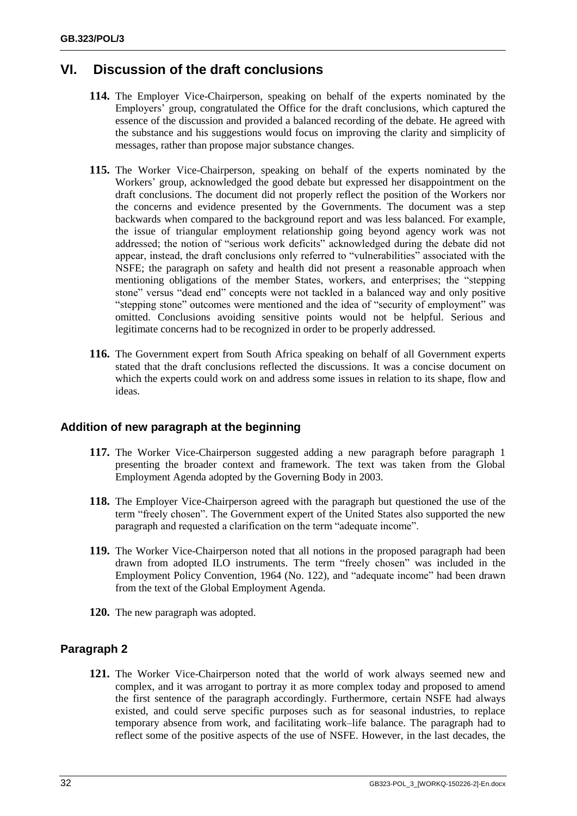# <span id="page-31-0"></span>**VI. Discussion of the draft conclusions**

- **114.** The Employer Vice-Chairperson, speaking on behalf of the experts nominated by the Employers' group, congratulated the Office for the draft conclusions, which captured the essence of the discussion and provided a balanced recording of the debate. He agreed with the substance and his suggestions would focus on improving the clarity and simplicity of messages, rather than propose major substance changes.
- **115.** The Worker Vice-Chairperson, speaking on behalf of the experts nominated by the Workers' group, acknowledged the good debate but expressed her disappointment on the draft conclusions. The document did not properly reflect the position of the Workers nor the concerns and evidence presented by the Governments. The document was a step backwards when compared to the background report and was less balanced. For example, the issue of triangular employment relationship going beyond agency work was not addressed; the notion of "serious work deficits" acknowledged during the debate did not appear, instead, the draft conclusions only referred to "vulnerabilities" associated with the NSFE; the paragraph on safety and health did not present a reasonable approach when mentioning obligations of the member States, workers, and enterprises; the "stepping stone" versus "dead end" concepts were not tackled in a balanced way and only positive "stepping stone" outcomes were mentioned and the idea of "security of employment" was omitted. Conclusions avoiding sensitive points would not be helpful. Serious and legitimate concerns had to be recognized in order to be properly addressed.
- **116.** The Government expert from South Africa speaking on behalf of all Government experts stated that the draft conclusions reflected the discussions. It was a concise document on which the experts could work on and address some issues in relation to its shape, flow and ideas.

# <span id="page-31-1"></span>**Addition of new paragraph at the beginning**

- **117.** The Worker Vice-Chairperson suggested adding a new paragraph before paragraph 1 presenting the broader context and framework. The text was taken from the Global Employment Agenda adopted by the Governing Body in 2003.
- **118.** The Employer Vice-Chairperson agreed with the paragraph but questioned the use of the term "freely chosen". The Government expert of the United States also supported the new paragraph and requested a clarification on the term "adequate income".
- **119.** The Worker Vice-Chairperson noted that all notions in the proposed paragraph had been drawn from adopted ILO instruments. The term "freely chosen" was included in the Employment Policy Convention, 1964 (No. 122), and "adequate income" had been drawn from the text of the Global Employment Agenda.
- **120.** The new paragraph was adopted.

# <span id="page-31-2"></span>**Paragraph 2**

**121.** The Worker Vice-Chairperson noted that the world of work always seemed new and complex, and it was arrogant to portray it as more complex today and proposed to amend the first sentence of the paragraph accordingly. Furthermore, certain NSFE had always existed, and could serve specific purposes such as for seasonal industries, to replace temporary absence from work, and facilitating work–life balance. The paragraph had to reflect some of the positive aspects of the use of NSFE. However, in the last decades, the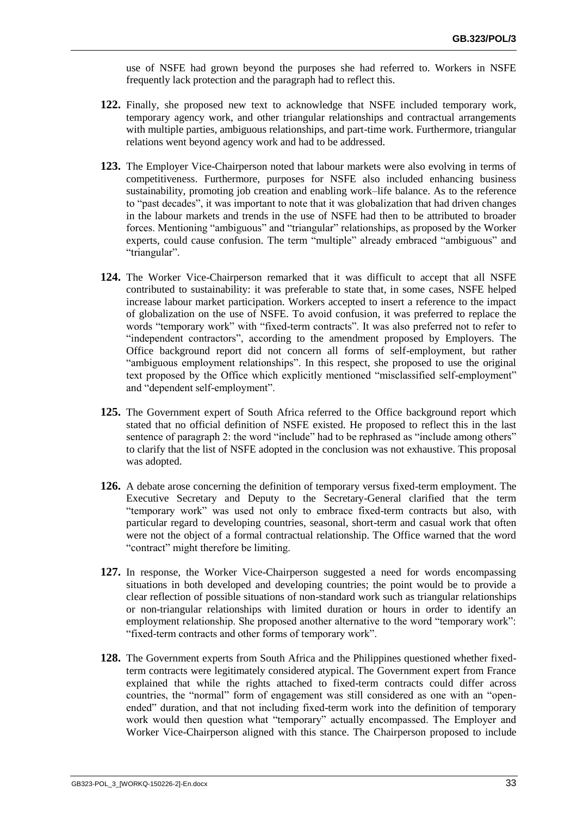use of NSFE had grown beyond the purposes she had referred to. Workers in NSFE frequently lack protection and the paragraph had to reflect this.

- **122.** Finally, she proposed new text to acknowledge that NSFE included temporary work, temporary agency work, and other triangular relationships and contractual arrangements with multiple parties, ambiguous relationships, and part-time work. Furthermore, triangular relations went beyond agency work and had to be addressed.
- **123.** The Employer Vice-Chairperson noted that labour markets were also evolving in terms of competitiveness. Furthermore, purposes for NSFE also included enhancing business sustainability, promoting job creation and enabling work–life balance. As to the reference to "past decades", it was important to note that it was globalization that had driven changes in the labour markets and trends in the use of NSFE had then to be attributed to broader forces. Mentioning "ambiguous" and "triangular" relationships, as proposed by the Worker experts, could cause confusion. The term "multiple" already embraced "ambiguous" and "triangular".
- **124.** The Worker Vice-Chairperson remarked that it was difficult to accept that all NSFE contributed to sustainability: it was preferable to state that, in some cases, NSFE helped increase labour market participation. Workers accepted to insert a reference to the impact of globalization on the use of NSFE. To avoid confusion, it was preferred to replace the words "temporary work" with "fixed-term contracts". It was also preferred not to refer to "independent contractors", according to the amendment proposed by Employers. The Office background report did not concern all forms of self-employment, but rather "ambiguous employment relationships". In this respect, she proposed to use the original text proposed by the Office which explicitly mentioned "misclassified self-employment" and "dependent self-employment".
- **125.** The Government expert of South Africa referred to the Office background report which stated that no official definition of NSFE existed. He proposed to reflect this in the last sentence of paragraph 2: the word "include" had to be rephrased as "include among others" to clarify that the list of NSFE adopted in the conclusion was not exhaustive. This proposal was adopted.
- **126.** A debate arose concerning the definition of temporary versus fixed-term employment. The Executive Secretary and Deputy to the Secretary-General clarified that the term "temporary work" was used not only to embrace fixed-term contracts but also, with particular regard to developing countries, seasonal, short-term and casual work that often were not the object of a formal contractual relationship. The Office warned that the word "contract" might therefore be limiting.
- **127.** In response, the Worker Vice-Chairperson suggested a need for words encompassing situations in both developed and developing countries; the point would be to provide a clear reflection of possible situations of non-standard work such as triangular relationships or non-triangular relationships with limited duration or hours in order to identify an employment relationship. She proposed another alternative to the word "temporary work": "fixed-term contracts and other forms of temporary work".
- **128.** The Government experts from South Africa and the Philippines questioned whether fixedterm contracts were legitimately considered atypical. The Government expert from France explained that while the rights attached to fixed-term contracts could differ across countries, the "normal" form of engagement was still considered as one with an "openended" duration, and that not including fixed-term work into the definition of temporary work would then question what "temporary" actually encompassed. The Employer and Worker Vice-Chairperson aligned with this stance. The Chairperson proposed to include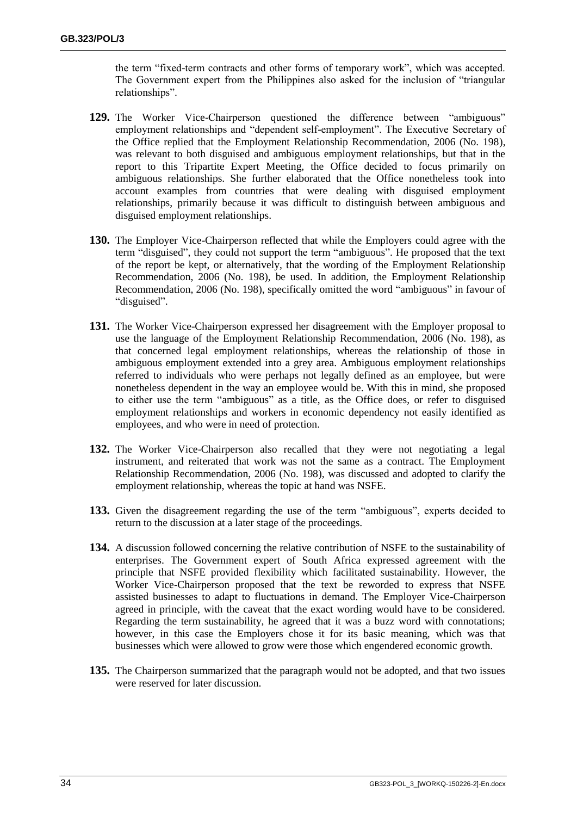the term "fixed-term contracts and other forms of temporary work", which was accepted. The Government expert from the Philippines also asked for the inclusion of "triangular relationships".

- **129.** The Worker Vice-Chairperson questioned the difference between "ambiguous" employment relationships and "dependent self-employment". The Executive Secretary of the Office replied that the Employment Relationship Recommendation, 2006 (No. 198), was relevant to both disguised and ambiguous employment relationships, but that in the report to this Tripartite Expert Meeting, the Office decided to focus primarily on ambiguous relationships. She further elaborated that the Office nonetheless took into account examples from countries that were dealing with disguised employment relationships, primarily because it was difficult to distinguish between ambiguous and disguised employment relationships.
- **130.** The Employer Vice-Chairperson reflected that while the Employers could agree with the term "disguised", they could not support the term "ambiguous". He proposed that the text of the report be kept, or alternatively, that the wording of the Employment Relationship Recommendation, 2006 (No. 198), be used. In addition, the Employment Relationship Recommendation, 2006 (No. 198), specifically omitted the word "ambiguous" in favour of "disguised".
- **131.** The Worker Vice-Chairperson expressed her disagreement with the Employer proposal to use the language of the Employment Relationship Recommendation, 2006 (No. 198), as that concerned legal employment relationships, whereas the relationship of those in ambiguous employment extended into a grey area. Ambiguous employment relationships referred to individuals who were perhaps not legally defined as an employee, but were nonetheless dependent in the way an employee would be. With this in mind, she proposed to either use the term "ambiguous" as a title, as the Office does, or refer to disguised employment relationships and workers in economic dependency not easily identified as employees, and who were in need of protection.
- **132.** The Worker Vice-Chairperson also recalled that they were not negotiating a legal instrument, and reiterated that work was not the same as a contract. The Employment Relationship Recommendation, 2006 (No. 198), was discussed and adopted to clarify the employment relationship, whereas the topic at hand was NSFE.
- **133.** Given the disagreement regarding the use of the term "ambiguous", experts decided to return to the discussion at a later stage of the proceedings.
- **134.** A discussion followed concerning the relative contribution of NSFE to the sustainability of enterprises. The Government expert of South Africa expressed agreement with the principle that NSFE provided flexibility which facilitated sustainability. However, the Worker Vice-Chairperson proposed that the text be reworded to express that NSFE assisted businesses to adapt to fluctuations in demand. The Employer Vice-Chairperson agreed in principle, with the caveat that the exact wording would have to be considered. Regarding the term sustainability, he agreed that it was a buzz word with connotations; however, in this case the Employers chose it for its basic meaning, which was that businesses which were allowed to grow were those which engendered economic growth.
- **135.** The Chairperson summarized that the paragraph would not be adopted, and that two issues were reserved for later discussion.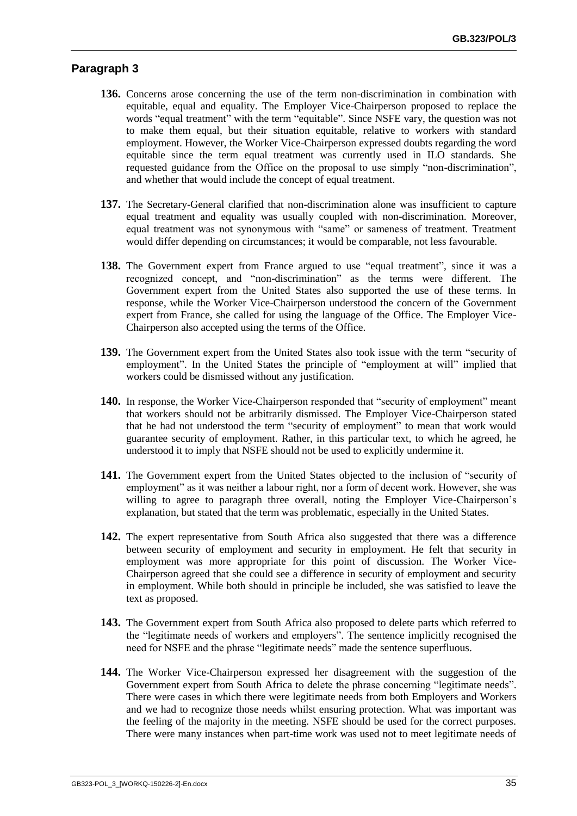- <span id="page-34-0"></span>**136.** Concerns arose concerning the use of the term non-discrimination in combination with equitable, equal and equality. The Employer Vice-Chairperson proposed to replace the words "equal treatment" with the term "equitable". Since NSFE vary, the question was not to make them equal, but their situation equitable, relative to workers with standard employment. However, the Worker Vice-Chairperson expressed doubts regarding the word equitable since the term equal treatment was currently used in ILO standards. She requested guidance from the Office on the proposal to use simply "non-discrimination", and whether that would include the concept of equal treatment.
- **137.** The Secretary-General clarified that non-discrimination alone was insufficient to capture equal treatment and equality was usually coupled with non-discrimination. Moreover, equal treatment was not synonymous with "same" or sameness of treatment. Treatment would differ depending on circumstances; it would be comparable, not less favourable.
- **138.** The Government expert from France argued to use "equal treatment", since it was a recognized concept, and "non-discrimination" as the terms were different. The Government expert from the United States also supported the use of these terms. In response, while the Worker Vice-Chairperson understood the concern of the Government expert from France, she called for using the language of the Office. The Employer Vice-Chairperson also accepted using the terms of the Office.
- **139.** The Government expert from the United States also took issue with the term "security of employment". In the United States the principle of "employment at will" implied that workers could be dismissed without any justification.
- **140.** In response, the Worker Vice-Chairperson responded that "security of employment" meant that workers should not be arbitrarily dismissed. The Employer Vice-Chairperson stated that he had not understood the term "security of employment" to mean that work would guarantee security of employment. Rather, in this particular text, to which he agreed, he understood it to imply that NSFE should not be used to explicitly undermine it.
- **141.** The Government expert from the United States objected to the inclusion of "security of employment" as it was neither a labour right, nor a form of decent work. However, she was willing to agree to paragraph three overall, noting the Employer Vice-Chairperson's explanation, but stated that the term was problematic, especially in the United States.
- **142.** The expert representative from South Africa also suggested that there was a difference between security of employment and security in employment. He felt that security in employment was more appropriate for this point of discussion. The Worker Vice-Chairperson agreed that she could see a difference in security of employment and security in employment. While both should in principle be included, she was satisfied to leave the text as proposed.
- **143.** The Government expert from South Africa also proposed to delete parts which referred to the "legitimate needs of workers and employers". The sentence implicitly recognised the need for NSFE and the phrase "legitimate needs" made the sentence superfluous.
- **144.** The Worker Vice-Chairperson expressed her disagreement with the suggestion of the Government expert from South Africa to delete the phrase concerning "legitimate needs". There were cases in which there were legitimate needs from both Employers and Workers and we had to recognize those needs whilst ensuring protection. What was important was the feeling of the majority in the meeting. NSFE should be used for the correct purposes. There were many instances when part-time work was used not to meet legitimate needs of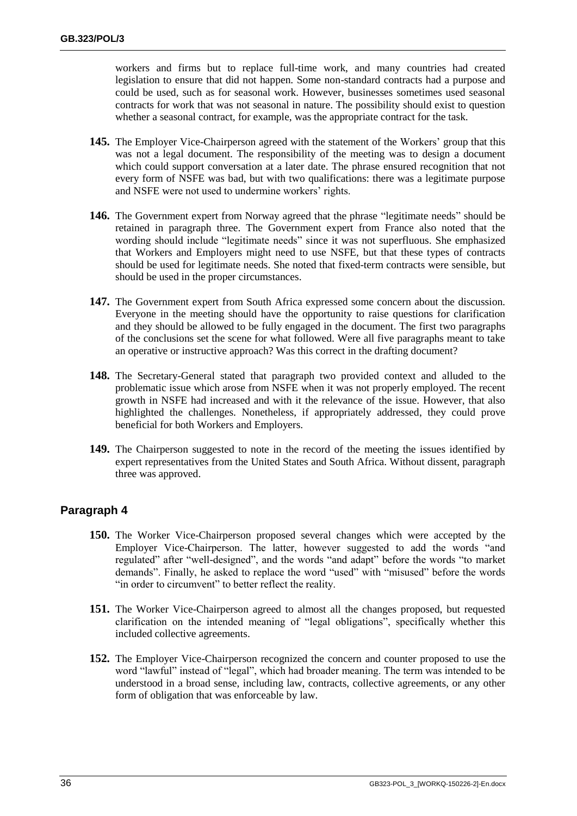workers and firms but to replace full-time work, and many countries had created legislation to ensure that did not happen. Some non-standard contracts had a purpose and could be used, such as for seasonal work. However, businesses sometimes used seasonal contracts for work that was not seasonal in nature. The possibility should exist to question whether a seasonal contract, for example, was the appropriate contract for the task.

- **145.** The Employer Vice-Chairperson agreed with the statement of the Workers' group that this was not a legal document. The responsibility of the meeting was to design a document which could support conversation at a later date. The phrase ensured recognition that not every form of NSFE was bad, but with two qualifications: there was a legitimate purpose and NSFE were not used to undermine workers' rights.
- **146.** The Government expert from Norway agreed that the phrase "legitimate needs" should be retained in paragraph three. The Government expert from France also noted that the wording should include "legitimate needs" since it was not superfluous. She emphasized that Workers and Employers might need to use NSFE, but that these types of contracts should be used for legitimate needs. She noted that fixed-term contracts were sensible, but should be used in the proper circumstances.
- **147.** The Government expert from South Africa expressed some concern about the discussion. Everyone in the meeting should have the opportunity to raise questions for clarification and they should be allowed to be fully engaged in the document. The first two paragraphs of the conclusions set the scene for what followed. Were all five paragraphs meant to take an operative or instructive approach? Was this correct in the drafting document?
- **148.** The Secretary-General stated that paragraph two provided context and alluded to the problematic issue which arose from NSFE when it was not properly employed. The recent growth in NSFE had increased and with it the relevance of the issue. However, that also highlighted the challenges. Nonetheless, if appropriately addressed, they could prove beneficial for both Workers and Employers.
- **149.** The Chairperson suggested to note in the record of the meeting the issues identified by expert representatives from the United States and South Africa. Without dissent, paragraph three was approved.

- <span id="page-35-0"></span>**150.** The Worker Vice-Chairperson proposed several changes which were accepted by the Employer Vice-Chairperson. The latter, however suggested to add the words "and regulated" after "well-designed", and the words "and adapt" before the words "to market demands". Finally, he asked to replace the word "used" with "misused" before the words "in order to circumvent" to better reflect the reality.
- **151.** The Worker Vice-Chairperson agreed to almost all the changes proposed, but requested clarification on the intended meaning of "legal obligations", specifically whether this included collective agreements.
- **152.** The Employer Vice-Chairperson recognized the concern and counter proposed to use the word "lawful" instead of "legal", which had broader meaning. The term was intended to be understood in a broad sense, including law, contracts, collective agreements, or any other form of obligation that was enforceable by law.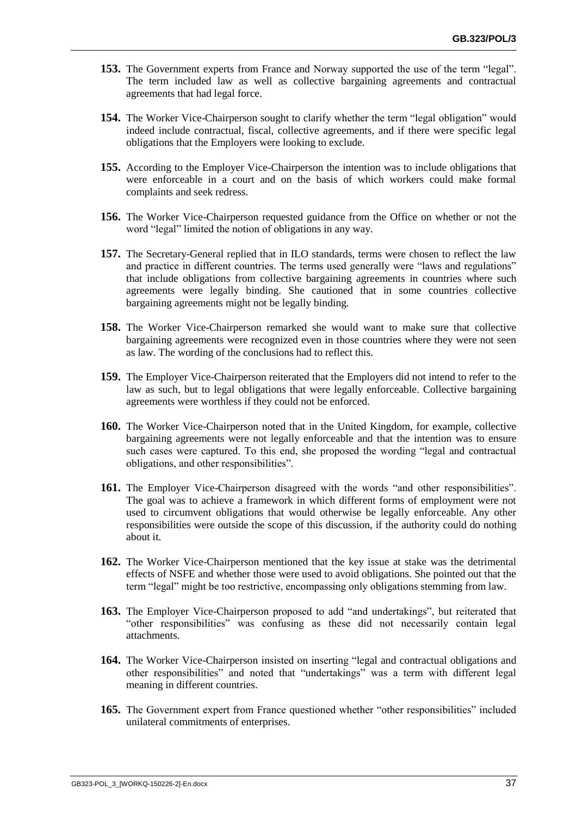- **153.** The Government experts from France and Norway supported the use of the term "legal". The term included law as well as collective bargaining agreements and contractual agreements that had legal force.
- **154.** The Worker Vice-Chairperson sought to clarify whether the term "legal obligation" would indeed include contractual, fiscal, collective agreements, and if there were specific legal obligations that the Employers were looking to exclude.
- **155.** According to the Employer Vice-Chairperson the intention was to include obligations that were enforceable in a court and on the basis of which workers could make formal complaints and seek redress.
- **156.** The Worker Vice-Chairperson requested guidance from the Office on whether or not the word "legal" limited the notion of obligations in any way.
- **157.** The Secretary-General replied that in ILO standards, terms were chosen to reflect the law and practice in different countries. The terms used generally were "laws and regulations" that include obligations from collective bargaining agreements in countries where such agreements were legally binding. She cautioned that in some countries collective bargaining agreements might not be legally binding.
- **158.** The Worker Vice-Chairperson remarked she would want to make sure that collective bargaining agreements were recognized even in those countries where they were not seen as law. The wording of the conclusions had to reflect this.
- **159.** The Employer Vice-Chairperson reiterated that the Employers did not intend to refer to the law as such, but to legal obligations that were legally enforceable. Collective bargaining agreements were worthless if they could not be enforced.
- **160.** The Worker Vice-Chairperson noted that in the United Kingdom, for example, collective bargaining agreements were not legally enforceable and that the intention was to ensure such cases were captured. To this end, she proposed the wording "legal and contractual obligations, and other responsibilities".
- **161.** The Employer Vice-Chairperson disagreed with the words "and other responsibilities". The goal was to achieve a framework in which different forms of employment were not used to circumvent obligations that would otherwise be legally enforceable. Any other responsibilities were outside the scope of this discussion, if the authority could do nothing about it.
- **162.** The Worker Vice-Chairperson mentioned that the key issue at stake was the detrimental effects of NSFE and whether those were used to avoid obligations. She pointed out that the term "legal" might be too restrictive, encompassing only obligations stemming from law.
- **163.** The Employer Vice-Chairperson proposed to add "and undertakings", but reiterated that "other responsibilities" was confusing as these did not necessarily contain legal attachments.
- **164.** The Worker Vice-Chairperson insisted on inserting "legal and contractual obligations and other responsibilities" and noted that "undertakings" was a term with different legal meaning in different countries.
- **165.** The Government expert from France questioned whether "other responsibilities" included unilateral commitments of enterprises.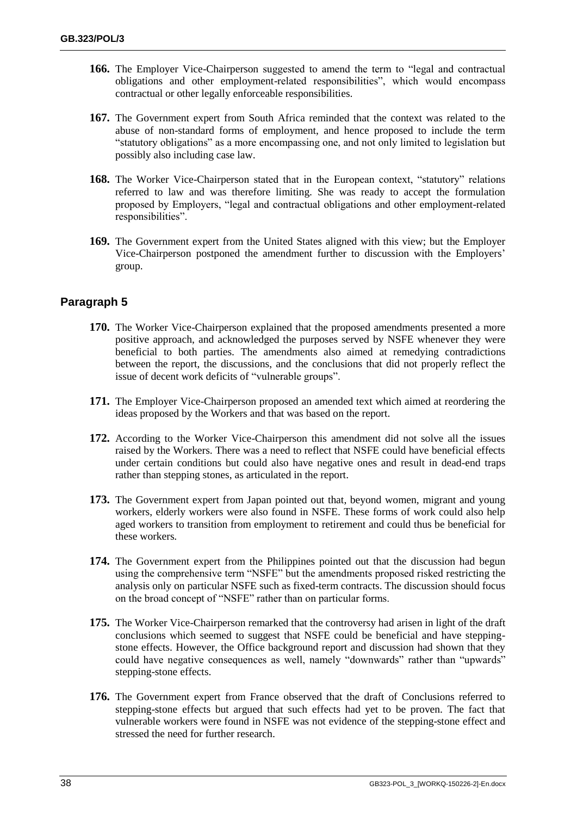- **166.** The Employer Vice-Chairperson suggested to amend the term to "legal and contractual obligations and other employment-related responsibilities", which would encompass contractual or other legally enforceable responsibilities.
- **167.** The Government expert from South Africa reminded that the context was related to the abuse of non-standard forms of employment, and hence proposed to include the term "statutory obligations" as a more encompassing one, and not only limited to legislation but possibly also including case law.
- 168. The Worker Vice-Chairperson stated that in the European context, "statutory" relations referred to law and was therefore limiting. She was ready to accept the formulation proposed by Employers, "legal and contractual obligations and other employment-related responsibilities".
- **169.** The Government expert from the United States aligned with this view; but the Employer Vice-Chairperson postponed the amendment further to discussion with the Employers' group.

- <span id="page-37-0"></span>**170.** The Worker Vice-Chairperson explained that the proposed amendments presented a more positive approach, and acknowledged the purposes served by NSFE whenever they were beneficial to both parties. The amendments also aimed at remedying contradictions between the report, the discussions, and the conclusions that did not properly reflect the issue of decent work deficits of "vulnerable groups".
- **171.** The Employer Vice-Chairperson proposed an amended text which aimed at reordering the ideas proposed by the Workers and that was based on the report.
- **172.** According to the Worker Vice-Chairperson this amendment did not solve all the issues raised by the Workers. There was a need to reflect that NSFE could have beneficial effects under certain conditions but could also have negative ones and result in dead-end traps rather than stepping stones, as articulated in the report.
- **173.** The Government expert from Japan pointed out that, beyond women, migrant and young workers, elderly workers were also found in NSFE. These forms of work could also help aged workers to transition from employment to retirement and could thus be beneficial for these workers.
- **174.** The Government expert from the Philippines pointed out that the discussion had begun using the comprehensive term "NSFE" but the amendments proposed risked restricting the analysis only on particular NSFE such as fixed-term contracts. The discussion should focus on the broad concept of "NSFE" rather than on particular forms.
- **175.** The Worker Vice-Chairperson remarked that the controversy had arisen in light of the draft conclusions which seemed to suggest that NSFE could be beneficial and have steppingstone effects. However, the Office background report and discussion had shown that they could have negative consequences as well, namely "downwards" rather than "upwards" stepping-stone effects.
- **176.** The Government expert from France observed that the draft of Conclusions referred to stepping-stone effects but argued that such effects had yet to be proven. The fact that vulnerable workers were found in NSFE was not evidence of the stepping-stone effect and stressed the need for further research.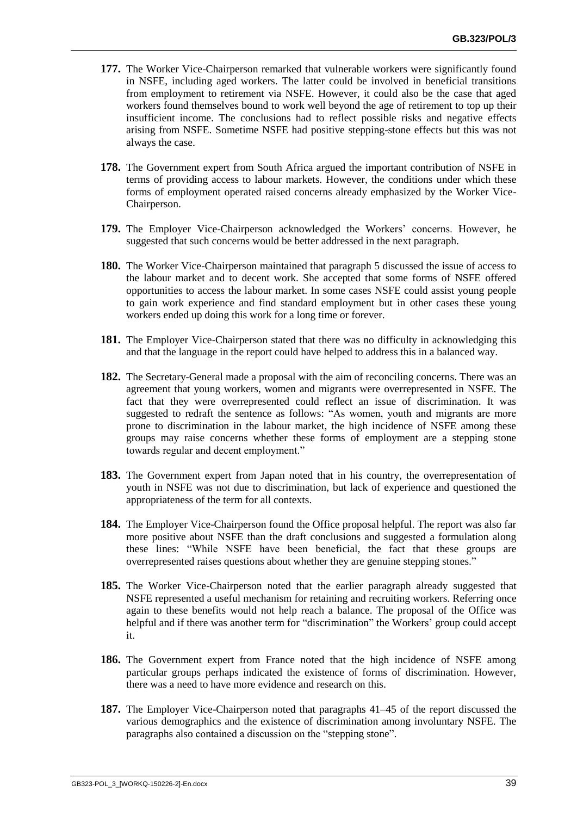- **177.** The Worker Vice-Chairperson remarked that vulnerable workers were significantly found in NSFE, including aged workers. The latter could be involved in beneficial transitions from employment to retirement via NSFE. However, it could also be the case that aged workers found themselves bound to work well beyond the age of retirement to top up their insufficient income. The conclusions had to reflect possible risks and negative effects arising from NSFE. Sometime NSFE had positive stepping-stone effects but this was not always the case.
- **178.** The Government expert from South Africa argued the important contribution of NSFE in terms of providing access to labour markets. However, the conditions under which these forms of employment operated raised concerns already emphasized by the Worker Vice-Chairperson.
- **179.** The Employer Vice-Chairperson acknowledged the Workers' concerns. However, he suggested that such concerns would be better addressed in the next paragraph.
- **180.** The Worker Vice-Chairperson maintained that paragraph 5 discussed the issue of access to the labour market and to decent work. She accepted that some forms of NSFE offered opportunities to access the labour market. In some cases NSFE could assist young people to gain work experience and find standard employment but in other cases these young workers ended up doing this work for a long time or forever.
- **181.** The Employer Vice-Chairperson stated that there was no difficulty in acknowledging this and that the language in the report could have helped to address this in a balanced way.
- **182.** The Secretary-General made a proposal with the aim of reconciling concerns. There was an agreement that young workers, women and migrants were overrepresented in NSFE. The fact that they were overrepresented could reflect an issue of discrimination. It was suggested to redraft the sentence as follows: "As women, youth and migrants are more prone to discrimination in the labour market, the high incidence of NSFE among these groups may raise concerns whether these forms of employment are a stepping stone towards regular and decent employment."
- **183.** The Government expert from Japan noted that in his country, the overrepresentation of youth in NSFE was not due to discrimination, but lack of experience and questioned the appropriateness of the term for all contexts.
- **184.** The Employer Vice-Chairperson found the Office proposal helpful. The report was also far more positive about NSFE than the draft conclusions and suggested a formulation along these lines: "While NSFE have been beneficial, the fact that these groups are overrepresented raises questions about whether they are genuine stepping stones."
- **185.** The Worker Vice-Chairperson noted that the earlier paragraph already suggested that NSFE represented a useful mechanism for retaining and recruiting workers. Referring once again to these benefits would not help reach a balance. The proposal of the Office was helpful and if there was another term for "discrimination" the Workers' group could accept it.
- **186.** The Government expert from France noted that the high incidence of NSFE among particular groups perhaps indicated the existence of forms of discrimination. However, there was a need to have more evidence and research on this.
- **187.** The Employer Vice-Chairperson noted that paragraphs 41–45 of the report discussed the various demographics and the existence of discrimination among involuntary NSFE. The paragraphs also contained a discussion on the "stepping stone".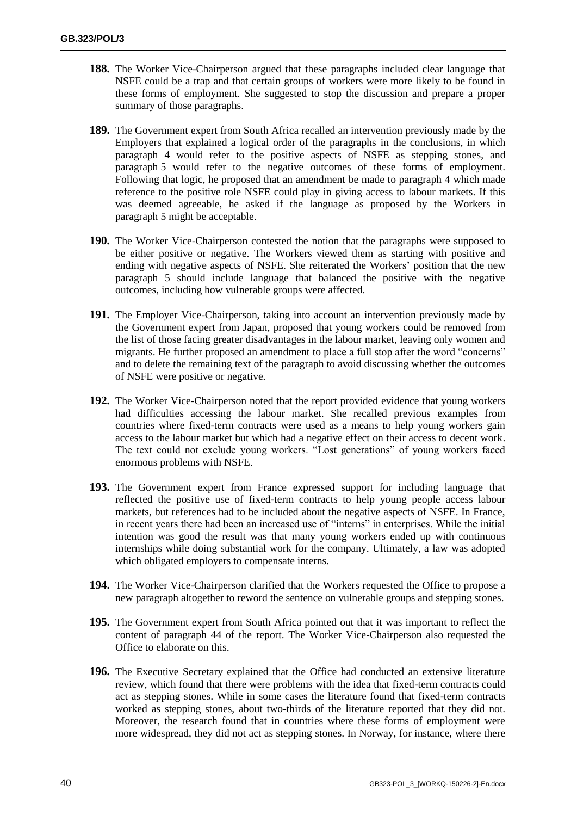- **188.** The Worker Vice-Chairperson argued that these paragraphs included clear language that NSFE could be a trap and that certain groups of workers were more likely to be found in these forms of employment. She suggested to stop the discussion and prepare a proper summary of those paragraphs.
- **189.** The Government expert from South Africa recalled an intervention previously made by the Employers that explained a logical order of the paragraphs in the conclusions, in which paragraph 4 would refer to the positive aspects of NSFE as stepping stones, and paragraph 5 would refer to the negative outcomes of these forms of employment. Following that logic, he proposed that an amendment be made to paragraph 4 which made reference to the positive role NSFE could play in giving access to labour markets. If this was deemed agreeable, he asked if the language as proposed by the Workers in paragraph 5 might be acceptable.
- **190.** The Worker Vice-Chairperson contested the notion that the paragraphs were supposed to be either positive or negative. The Workers viewed them as starting with positive and ending with negative aspects of NSFE. She reiterated the Workers' position that the new paragraph 5 should include language that balanced the positive with the negative outcomes, including how vulnerable groups were affected.
- **191.** The Employer Vice-Chairperson, taking into account an intervention previously made by the Government expert from Japan, proposed that young workers could be removed from the list of those facing greater disadvantages in the labour market, leaving only women and migrants. He further proposed an amendment to place a full stop after the word "concerns" and to delete the remaining text of the paragraph to avoid discussing whether the outcomes of NSFE were positive or negative.
- **192.** The Worker Vice-Chairperson noted that the report provided evidence that young workers had difficulties accessing the labour market. She recalled previous examples from countries where fixed-term contracts were used as a means to help young workers gain access to the labour market but which had a negative effect on their access to decent work. The text could not exclude young workers. "Lost generations" of young workers faced enormous problems with NSFE.
- **193.** The Government expert from France expressed support for including language that reflected the positive use of fixed-term contracts to help young people access labour markets, but references had to be included about the negative aspects of NSFE. In France, in recent years there had been an increased use of "interns" in enterprises. While the initial intention was good the result was that many young workers ended up with continuous internships while doing substantial work for the company. Ultimately, a law was adopted which obligated employers to compensate interns.
- **194.** The Worker Vice-Chairperson clarified that the Workers requested the Office to propose a new paragraph altogether to reword the sentence on vulnerable groups and stepping stones.
- **195.** The Government expert from South Africa pointed out that it was important to reflect the content of paragraph 44 of the report. The Worker Vice-Chairperson also requested the Office to elaborate on this.
- **196.** The Executive Secretary explained that the Office had conducted an extensive literature review, which found that there were problems with the idea that fixed-term contracts could act as stepping stones. While in some cases the literature found that fixed-term contracts worked as stepping stones, about two-thirds of the literature reported that they did not. Moreover, the research found that in countries where these forms of employment were more widespread, they did not act as stepping stones. In Norway, for instance, where there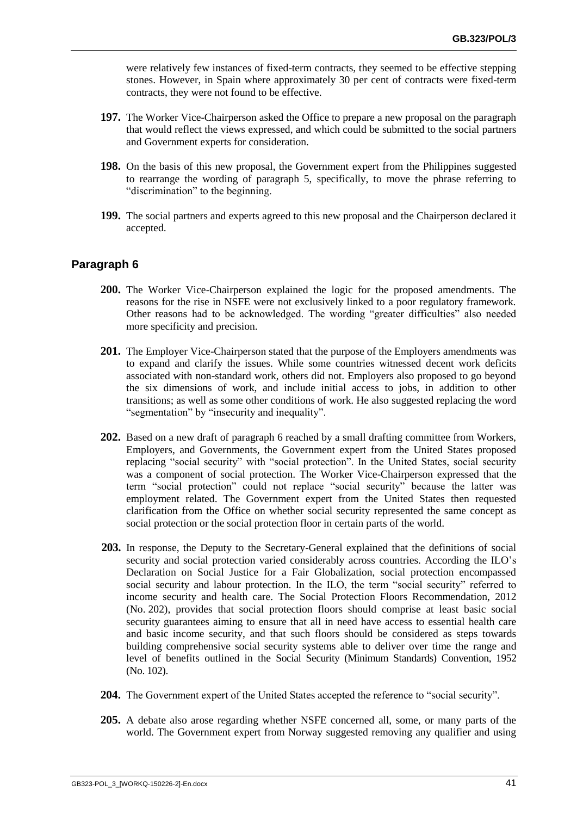were relatively few instances of fixed-term contracts, they seemed to be effective stepping stones. However, in Spain where approximately 30 per cent of contracts were fixed-term contracts, they were not found to be effective.

- **197.** The Worker Vice-Chairperson asked the Office to prepare a new proposal on the paragraph that would reflect the views expressed, and which could be submitted to the social partners and Government experts for consideration.
- **198.** On the basis of this new proposal, the Government expert from the Philippines suggested to rearrange the wording of paragraph 5, specifically, to move the phrase referring to "discrimination" to the beginning.
- <span id="page-40-0"></span>**199.** The social partners and experts agreed to this new proposal and the Chairperson declared it accepted.

- **200.** The Worker Vice-Chairperson explained the logic for the proposed amendments. The reasons for the rise in NSFE were not exclusively linked to a poor regulatory framework. Other reasons had to be acknowledged. The wording "greater difficulties" also needed more specificity and precision.
- **201.** The Employer Vice-Chairperson stated that the purpose of the Employers amendments was to expand and clarify the issues. While some countries witnessed decent work deficits associated with non-standard work, others did not. Employers also proposed to go beyond the six dimensions of work, and include initial access to jobs, in addition to other transitions; as well as some other conditions of work. He also suggested replacing the word "segmentation" by "insecurity and inequality".
- **202.** Based on a new draft of paragraph 6 reached by a small drafting committee from Workers, Employers, and Governments, the Government expert from the United States proposed replacing "social security" with "social protection". In the United States, social security was a component of social protection. The Worker Vice-Chairperson expressed that the term "social protection" could not replace "social security" because the latter was employment related. The Government expert from the United States then requested clarification from the Office on whether social security represented the same concept as social protection or the social protection floor in certain parts of the world.
- **203.** In response, the Deputy to the Secretary-General explained that the definitions of social security and social protection varied considerably across countries. According the ILO's Declaration on Social Justice for a Fair Globalization, social protection encompassed social security and labour protection. In the ILO, the term "social security" referred to income security and health care. The Social Protection Floors Recommendation, 2012 (No. 202), provides that social protection floors should comprise at least basic social security guarantees aiming to ensure that all in need have access to essential health care and basic income security, and that such floors should be considered as steps towards building comprehensive social security systems able to deliver over time the range and level of benefits outlined in the Social Security (Minimum Standards) Convention, 1952 (No. 102).
- **204.** The Government expert of the United States accepted the reference to "social security".
- **205.** A debate also arose regarding whether NSFE concerned all, some, or many parts of the world. The Government expert from Norway suggested removing any qualifier and using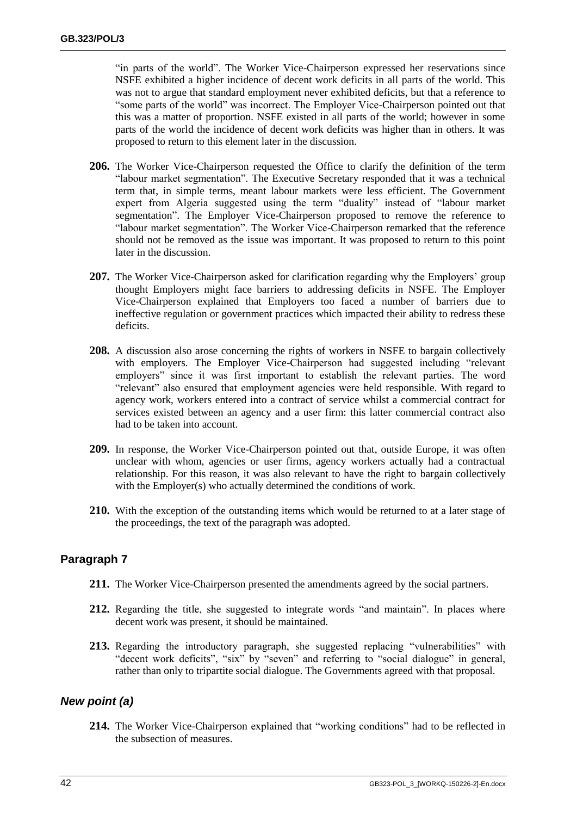"in parts of the world". The Worker Vice-Chairperson expressed her reservations since NSFE exhibited a higher incidence of decent work deficits in all parts of the world. This was not to argue that standard employment never exhibited deficits, but that a reference to "some parts of the world" was incorrect. The Employer Vice-Chairperson pointed out that this was a matter of proportion. NSFE existed in all parts of the world; however in some parts of the world the incidence of decent work deficits was higher than in others. It was proposed to return to this element later in the discussion.

- **206.** The Worker Vice-Chairperson requested the Office to clarify the definition of the term "labour market segmentation". The Executive Secretary responded that it was a technical term that, in simple terms, meant labour markets were less efficient. The Government expert from Algeria suggested using the term "duality" instead of "labour market segmentation". The Employer Vice-Chairperson proposed to remove the reference to "labour market segmentation". The Worker Vice-Chairperson remarked that the reference should not be removed as the issue was important. It was proposed to return to this point later in the discussion.
- **207.** The Worker Vice-Chairperson asked for clarification regarding why the Employers' group thought Employers might face barriers to addressing deficits in NSFE. The Employer Vice-Chairperson explained that Employers too faced a number of barriers due to ineffective regulation or government practices which impacted their ability to redress these deficits.
- **208.** A discussion also arose concerning the rights of workers in NSFE to bargain collectively with employers. The Employer Vice-Chairperson had suggested including "relevant employers" since it was first important to establish the relevant parties. The word "relevant" also ensured that employment agencies were held responsible. With regard to agency work, workers entered into a contract of service whilst a commercial contract for services existed between an agency and a user firm: this latter commercial contract also had to be taken into account.
- **209.** In response, the Worker Vice-Chairperson pointed out that, outside Europe, it was often unclear with whom, agencies or user firms, agency workers actually had a contractual relationship. For this reason, it was also relevant to have the right to bargain collectively with the Employer(s) who actually determined the conditions of work.
- **210.** With the exception of the outstanding items which would be returned to at a later stage of the proceedings, the text of the paragraph was adopted.

# <span id="page-41-0"></span>**Paragraph 7**

- **211.** The Worker Vice-Chairperson presented the amendments agreed by the social partners.
- **212.** Regarding the title, she suggested to integrate words "and maintain". In places where decent work was present, it should be maintained.
- **213.** Regarding the introductory paragraph, she suggested replacing "vulnerabilities" with "decent work deficits", "six" by "seven" and referring to "social dialogue" in general, rather than only to tripartite social dialogue. The Governments agreed with that proposal.

### <span id="page-41-1"></span>*New point (a)*

**214.** The Worker Vice-Chairperson explained that "working conditions" had to be reflected in the subsection of measures.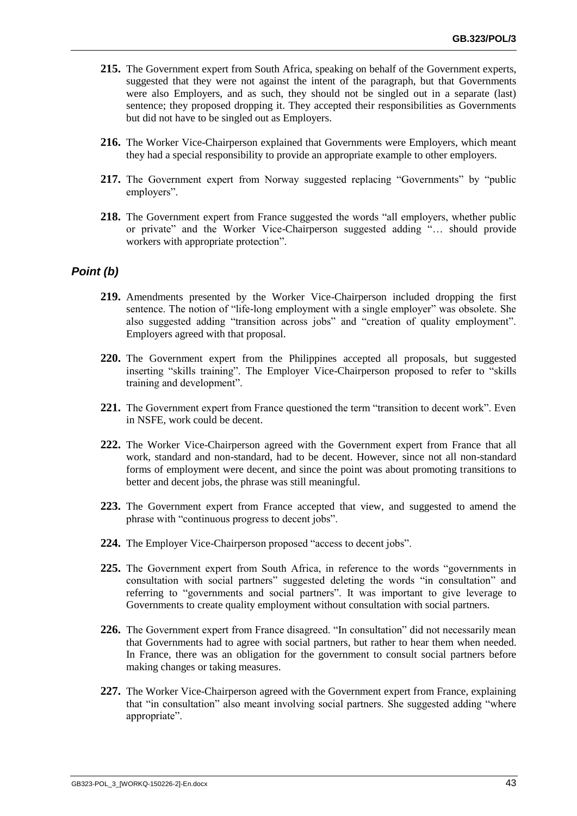- **215.** The Government expert from South Africa, speaking on behalf of the Government experts, suggested that they were not against the intent of the paragraph, but that Governments were also Employers, and as such, they should not be singled out in a separate (last) sentence; they proposed dropping it. They accepted their responsibilities as Governments but did not have to be singled out as Employers.
- **216.** The Worker Vice-Chairperson explained that Governments were Employers, which meant they had a special responsibility to provide an appropriate example to other employers.
- **217.** The Government expert from Norway suggested replacing "Governments" by "public employers".
- **218.** The Government expert from France suggested the words "all employers, whether public or private" and the Worker Vice-Chairperson suggested adding "… should provide workers with appropriate protection".

### <span id="page-42-0"></span>*Point (b)*

- **219.** Amendments presented by the Worker Vice-Chairperson included dropping the first sentence. The notion of "life-long employment with a single employer" was obsolete. She also suggested adding "transition across jobs" and "creation of quality employment". Employers agreed with that proposal.
- **220.** The Government expert from the Philippines accepted all proposals, but suggested inserting "skills training". The Employer Vice-Chairperson proposed to refer to "skills training and development".
- **221.** The Government expert from France questioned the term "transition to decent work". Even in NSFE, work could be decent.
- **222.** The Worker Vice-Chairperson agreed with the Government expert from France that all work, standard and non-standard, had to be decent. However, since not all non-standard forms of employment were decent, and since the point was about promoting transitions to better and decent jobs, the phrase was still meaningful.
- **223.** The Government expert from France accepted that view, and suggested to amend the phrase with "continuous progress to decent jobs".
- **224.** The Employer Vice-Chairperson proposed "access to decent jobs".
- **225.** The Government expert from South Africa, in reference to the words "governments in consultation with social partners" suggested deleting the words "in consultation" and referring to "governments and social partners". It was important to give leverage to Governments to create quality employment without consultation with social partners.
- **226.** The Government expert from France disagreed. "In consultation" did not necessarily mean that Governments had to agree with social partners, but rather to hear them when needed. In France, there was an obligation for the government to consult social partners before making changes or taking measures.
- **227.** The Worker Vice-Chairperson agreed with the Government expert from France, explaining that "in consultation" also meant involving social partners. She suggested adding "where appropriate".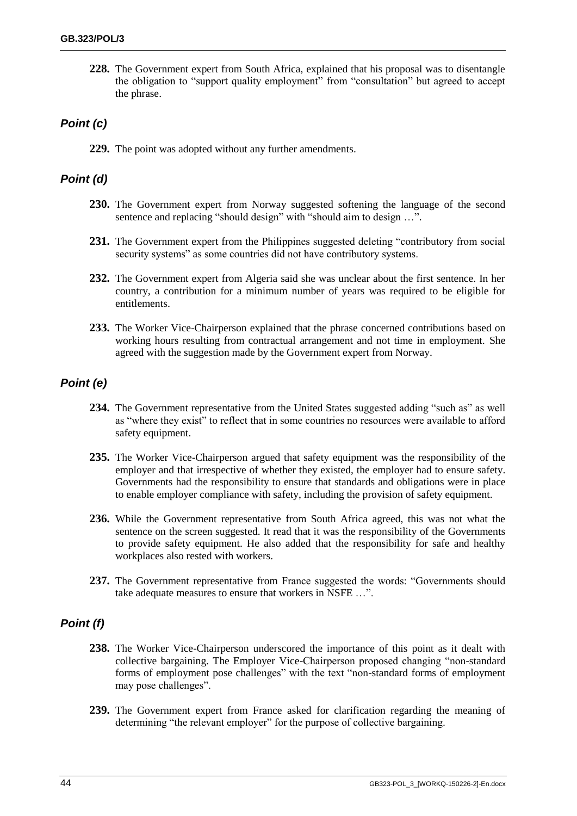**228.** The Government expert from South Africa, explained that his proposal was to disentangle the obligation to "support quality employment" from "consultation" but agreed to accept the phrase.

# <span id="page-43-0"></span>*Point (c)*

**229.** The point was adopted without any further amendments.

# <span id="page-43-1"></span>*Point (d)*

- **230.** The Government expert from Norway suggested softening the language of the second sentence and replacing "should design" with "should aim to design ...".
- **231.** The Government expert from the Philippines suggested deleting "contributory from social security systems" as some countries did not have contributory systems.
- **232.** The Government expert from Algeria said she was unclear about the first sentence. In her country, a contribution for a minimum number of years was required to be eligible for entitlements.
- **233.** The Worker Vice-Chairperson explained that the phrase concerned contributions based on working hours resulting from contractual arrangement and not time in employment. She agreed with the suggestion made by the Government expert from Norway.

# <span id="page-43-2"></span>*Point (e)*

- **234.** The Government representative from the United States suggested adding "such as" as well as "where they exist" to reflect that in some countries no resources were available to afford safety equipment.
- **235.** The Worker Vice-Chairperson argued that safety equipment was the responsibility of the employer and that irrespective of whether they existed, the employer had to ensure safety. Governments had the responsibility to ensure that standards and obligations were in place to enable employer compliance with safety, including the provision of safety equipment.
- **236.** While the Government representative from South Africa agreed, this was not what the sentence on the screen suggested. It read that it was the responsibility of the Governments to provide safety equipment. He also added that the responsibility for safe and healthy workplaces also rested with workers.
- **237.** The Government representative from France suggested the words: "Governments should take adequate measures to ensure that workers in NSFE …".

# <span id="page-43-3"></span>*Point (f)*

- **238.** The Worker Vice-Chairperson underscored the importance of this point as it dealt with collective bargaining. The Employer Vice-Chairperson proposed changing "non-standard forms of employment pose challenges" with the text "non-standard forms of employment may pose challenges".
- **239.** The Government expert from France asked for clarification regarding the meaning of determining "the relevant employer" for the purpose of collective bargaining.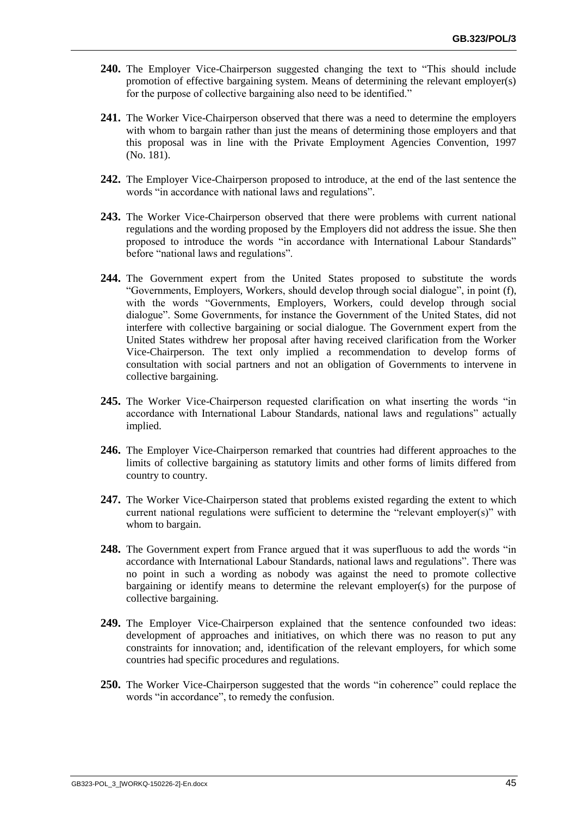- **240.** The Employer Vice-Chairperson suggested changing the text to "This should include promotion of effective bargaining system. Means of determining the relevant employer(s) for the purpose of collective bargaining also need to be identified."
- **241.** The Worker Vice-Chairperson observed that there was a need to determine the employers with whom to bargain rather than just the means of determining those employers and that this proposal was in line with the Private Employment Agencies Convention, 1997 (No. 181).
- **242.** The Employer Vice-Chairperson proposed to introduce, at the end of the last sentence the words "in accordance with national laws and regulations".
- **243.** The Worker Vice-Chairperson observed that there were problems with current national regulations and the wording proposed by the Employers did not address the issue. She then proposed to introduce the words "in accordance with International Labour Standards" before "national laws and regulations".
- **244.** The Government expert from the United States proposed to substitute the words "Governments, Employers, Workers, should develop through social dialogue", in point (f), with the words "Governments, Employers, Workers, could develop through social dialogue". Some Governments, for instance the Government of the United States, did not interfere with collective bargaining or social dialogue. The Government expert from the United States withdrew her proposal after having received clarification from the Worker Vice-Chairperson. The text only implied a recommendation to develop forms of consultation with social partners and not an obligation of Governments to intervene in collective bargaining.
- **245.** The Worker Vice-Chairperson requested clarification on what inserting the words "in accordance with International Labour Standards, national laws and regulations" actually implied.
- **246.** The Employer Vice-Chairperson remarked that countries had different approaches to the limits of collective bargaining as statutory limits and other forms of limits differed from country to country.
- **247.** The Worker Vice-Chairperson stated that problems existed regarding the extent to which current national regulations were sufficient to determine the "relevant employer(s)" with whom to bargain.
- **248.** The Government expert from France argued that it was superfluous to add the words "in accordance with International Labour Standards, national laws and regulations". There was no point in such a wording as nobody was against the need to promote collective bargaining or identify means to determine the relevant employer(s) for the purpose of collective bargaining.
- **249.** The Employer Vice-Chairperson explained that the sentence confounded two ideas: development of approaches and initiatives, on which there was no reason to put any constraints for innovation; and, identification of the relevant employers, for which some countries had specific procedures and regulations.
- **250.** The Worker Vice-Chairperson suggested that the words "in coherence" could replace the words "in accordance", to remedy the confusion.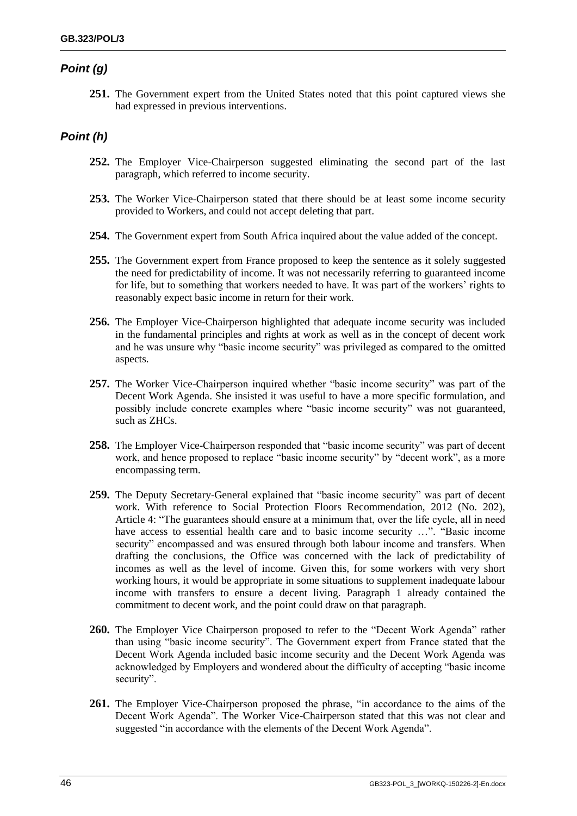# <span id="page-45-0"></span>*Point (g)*

**251.** The Government expert from the United States noted that this point captured views she had expressed in previous interventions.

# <span id="page-45-1"></span>*Point (h)*

- **252.** The Employer Vice-Chairperson suggested eliminating the second part of the last paragraph, which referred to income security.
- **253.** The Worker Vice-Chairperson stated that there should be at least some income security provided to Workers, and could not accept deleting that part.
- **254.** The Government expert from South Africa inquired about the value added of the concept.
- **255.** The Government expert from France proposed to keep the sentence as it solely suggested the need for predictability of income. It was not necessarily referring to guaranteed income for life, but to something that workers needed to have. It was part of the workers' rights to reasonably expect basic income in return for their work.
- **256.** The Employer Vice-Chairperson highlighted that adequate income security was included in the fundamental principles and rights at work as well as in the concept of decent work and he was unsure why "basic income security" was privileged as compared to the omitted aspects.
- **257.** The Worker Vice-Chairperson inquired whether "basic income security" was part of the Decent Work Agenda. She insisted it was useful to have a more specific formulation, and possibly include concrete examples where "basic income security" was not guaranteed, such as ZHCs.
- **258.** The Employer Vice-Chairperson responded that "basic income security" was part of decent work, and hence proposed to replace "basic income security" by "decent work", as a more encompassing term.
- **259.** The Deputy Secretary-General explained that "basic income security" was part of decent work. With reference to Social Protection Floors Recommendation, 2012 (No. 202), Article 4: "The guarantees should ensure at a minimum that, over the life cycle, all in need have access to essential health care and to basic income security …". "Basic income security" encompassed and was ensured through both labour income and transfers. When drafting the conclusions, the Office was concerned with the lack of predictability of incomes as well as the level of income. Given this, for some workers with very short working hours, it would be appropriate in some situations to supplement inadequate labour income with transfers to ensure a decent living. Paragraph 1 already contained the commitment to decent work, and the point could draw on that paragraph.
- **260.** The Employer Vice Chairperson proposed to refer to the "Decent Work Agenda" rather than using "basic income security". The Government expert from France stated that the Decent Work Agenda included basic income security and the Decent Work Agenda was acknowledged by Employers and wondered about the difficulty of accepting "basic income security".
- **261.** The Employer Vice-Chairperson proposed the phrase, "in accordance to the aims of the Decent Work Agenda". The Worker Vice-Chairperson stated that this was not clear and suggested "in accordance with the elements of the Decent Work Agenda".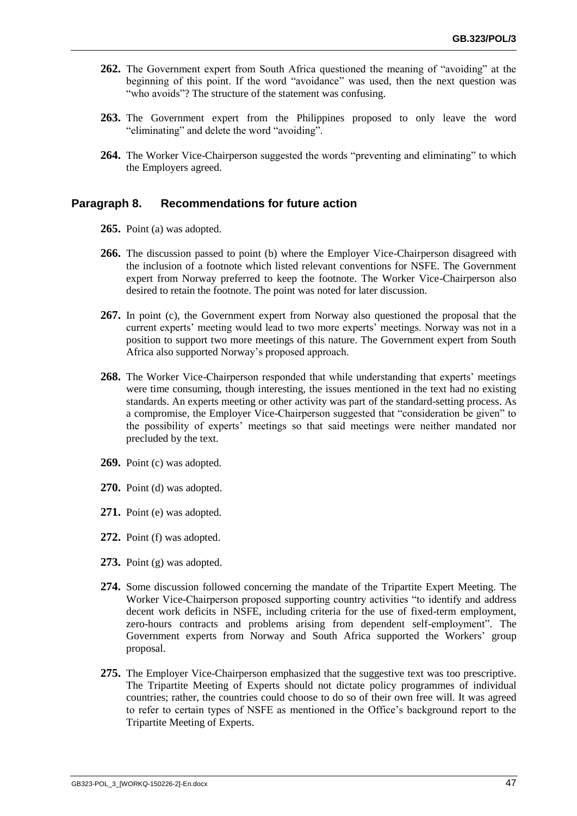- **262.** The Government expert from South Africa questioned the meaning of "avoiding" at the beginning of this point. If the word "avoidance" was used, then the next question was "who avoids"? The structure of the statement was confusing.
- **263.** The Government expert from the Philippines proposed to only leave the word "eliminating" and delete the word "avoiding".
- **264.** The Worker Vice-Chairperson suggested the words "preventing and eliminating" to which the Employers agreed.

# <span id="page-46-0"></span>**Paragraph 8. Recommendations for future action**

- **265.** Point (a) was adopted.
- **266.** The discussion passed to point (b) where the Employer Vice-Chairperson disagreed with the inclusion of a footnote which listed relevant conventions for NSFE. The Government expert from Norway preferred to keep the footnote. The Worker Vice-Chairperson also desired to retain the footnote. The point was noted for later discussion.
- **267.** In point (c), the Government expert from Norway also questioned the proposal that the current experts' meeting would lead to two more experts' meetings. Norway was not in a position to support two more meetings of this nature. The Government expert from South Africa also supported Norway's proposed approach.
- **268.** The Worker Vice-Chairperson responded that while understanding that experts' meetings were time consuming, though interesting, the issues mentioned in the text had no existing standards. An experts meeting or other activity was part of the standard-setting process. As a compromise, the Employer Vice-Chairperson suggested that "consideration be given" to the possibility of experts' meetings so that said meetings were neither mandated nor precluded by the text.
- **269.** Point (c) was adopted.
- **270.** Point (d) was adopted.
- **271.** Point (e) was adopted.
- **272.** Point (f) was adopted.
- **273.** Point (g) was adopted.
- **274.** Some discussion followed concerning the mandate of the Tripartite Expert Meeting. The Worker Vice-Chairperson proposed supporting country activities "to identify and address decent work deficits in NSFE, including criteria for the use of fixed-term employment, zero-hours contracts and problems arising from dependent self-employment". The Government experts from Norway and South Africa supported the Workers' group proposal.
- **275.** The Employer Vice-Chairperson emphasized that the suggestive text was too prescriptive. The Tripartite Meeting of Experts should not dictate policy programmes of individual countries; rather, the countries could choose to do so of their own free will. It was agreed to refer to certain types of NSFE as mentioned in the Office's background report to the Tripartite Meeting of Experts.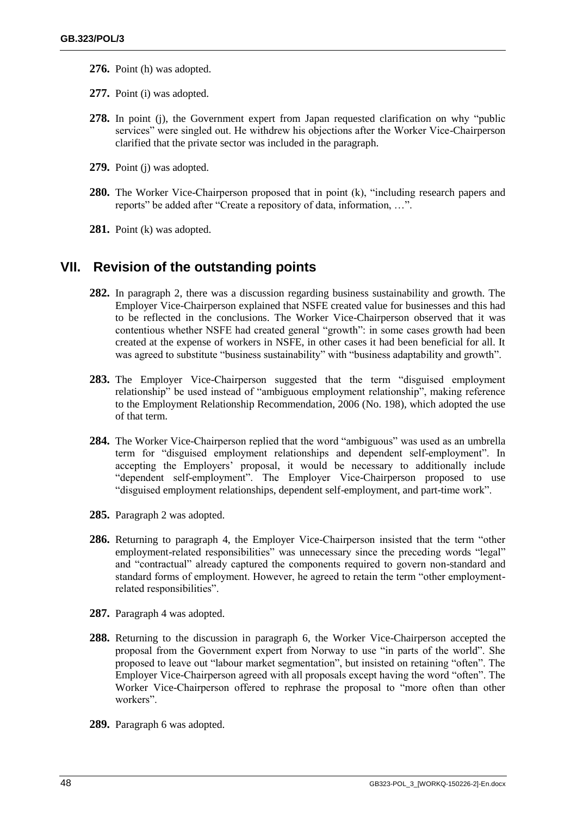- **276.** Point (h) was adopted.
- **277.** Point (i) was adopted.
- **278.** In point (j), the Government expert from Japan requested clarification on why "public services" were singled out. He withdrew his objections after the Worker Vice-Chairperson clarified that the private sector was included in the paragraph.
- **279.** Point (j) was adopted.
- 280. The Worker Vice-Chairperson proposed that in point (k), "including research papers and reports" be added after "Create a repository of data, information, …".
- **281.** Point (k) was adopted.

# <span id="page-47-0"></span>**VII. Revision of the outstanding points**

- **282.** In paragraph 2, there was a discussion regarding business sustainability and growth. The Employer Vice-Chairperson explained that NSFE created value for businesses and this had to be reflected in the conclusions. The Worker Vice-Chairperson observed that it was contentious whether NSFE had created general "growth": in some cases growth had been created at the expense of workers in NSFE, in other cases it had been beneficial for all. It was agreed to substitute "business sustainability" with "business adaptability and growth".
- **283.** The Employer Vice-Chairperson suggested that the term "disguised employment relationship" be used instead of "ambiguous employment relationship", making reference to the Employment Relationship Recommendation, 2006 (No. 198), which adopted the use of that term.
- **284.** The Worker Vice-Chairperson replied that the word "ambiguous" was used as an umbrella term for "disguised employment relationships and dependent self-employment". In accepting the Employers' proposal, it would be necessary to additionally include "dependent self-employment". The Employer Vice-Chairperson proposed to use "disguised employment relationships, dependent self-employment, and part-time work".
- **285.** Paragraph 2 was adopted.
- **286.** Returning to paragraph 4, the Employer Vice-Chairperson insisted that the term "other employment-related responsibilities" was unnecessary since the preceding words "legal" and "contractual" already captured the components required to govern non-standard and standard forms of employment. However, he agreed to retain the term "other employmentrelated responsibilities".
- **287.** Paragraph 4 was adopted.
- **288.** Returning to the discussion in paragraph 6, the Worker Vice-Chairperson accepted the proposal from the Government expert from Norway to use "in parts of the world". She proposed to leave out "labour market segmentation", but insisted on retaining "often". The Employer Vice-Chairperson agreed with all proposals except having the word "often". The Worker Vice-Chairperson offered to rephrase the proposal to "more often than other workers".
- **289.** Paragraph 6 was adopted.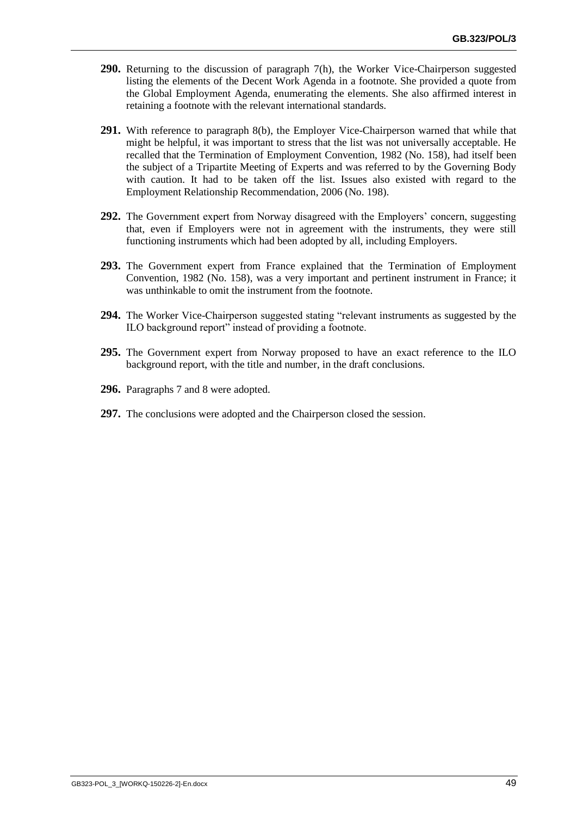- **290.** Returning to the discussion of paragraph 7(h), the Worker Vice-Chairperson suggested listing the elements of the Decent Work Agenda in a footnote. She provided a quote from the Global Employment Agenda, enumerating the elements. She also affirmed interest in retaining a footnote with the relevant international standards.
- **291.** With reference to paragraph 8(b), the Employer Vice-Chairperson warned that while that might be helpful, it was important to stress that the list was not universally acceptable. He recalled that the Termination of Employment Convention, 1982 (No. 158), had itself been the subject of a Tripartite Meeting of Experts and was referred to by the Governing Body with caution. It had to be taken off the list. Issues also existed with regard to the Employment Relationship Recommendation, 2006 (No. 198).
- **292.** The Government expert from Norway disagreed with the Employers' concern, suggesting that, even if Employers were not in agreement with the instruments, they were still functioning instruments which had been adopted by all, including Employers.
- **293.** The Government expert from France explained that the Termination of Employment Convention, 1982 (No. 158), was a very important and pertinent instrument in France; it was unthinkable to omit the instrument from the footnote.
- **294.** The Worker Vice-Chairperson suggested stating "relevant instruments as suggested by the ILO background report" instead of providing a footnote.
- **295.** The Government expert from Norway proposed to have an exact reference to the ILO background report, with the title and number, in the draft conclusions.
- **296.** Paragraphs 7 and 8 were adopted.
- **297.** The conclusions were adopted and the Chairperson closed the session.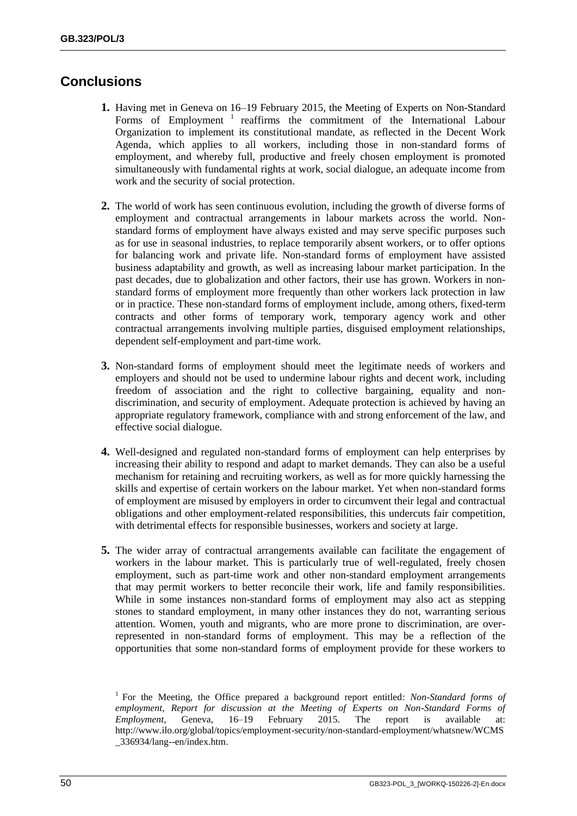# <span id="page-49-0"></span>**Conclusions**

- **1.** Having met in Geneva on 16–19 February 2015, the Meeting of Experts on Non-Standard Forms of Employment<sup>1</sup> reaffirms the commitment of the International Labour Organization to implement its constitutional mandate, as reflected in the Decent Work Agenda, which applies to all workers, including those in non-standard forms of employment, and whereby full, productive and freely chosen employment is promoted simultaneously with fundamental rights at work, social dialogue, an adequate income from work and the security of social protection.
- **2.** The world of work has seen continuous evolution, including the growth of diverse forms of employment and contractual arrangements in labour markets across the world. Nonstandard forms of employment have always existed and may serve specific purposes such as for use in seasonal industries, to replace temporarily absent workers, or to offer options for balancing work and private life. Non-standard forms of employment have assisted business adaptability and growth, as well as increasing labour market participation. In the past decades, due to globalization and other factors, their use has grown. Workers in nonstandard forms of employment more frequently than other workers lack protection in law or in practice. These non-standard forms of employment include, among others, fixed-term contracts and other forms of temporary work, temporary agency work and other contractual arrangements involving multiple parties, disguised employment relationships, dependent self-employment and part-time work.
- **3.** Non-standard forms of employment should meet the legitimate needs of workers and employers and should not be used to undermine labour rights and decent work, including freedom of association and the right to collective bargaining, equality and nondiscrimination, and security of employment. Adequate protection is achieved by having an appropriate regulatory framework, compliance with and strong enforcement of the law, and effective social dialogue.
- **4.** Well-designed and regulated non-standard forms of employment can help enterprises by increasing their ability to respond and adapt to market demands. They can also be a useful mechanism for retaining and recruiting workers, as well as for more quickly harnessing the skills and expertise of certain workers on the labour market. Yet when non-standard forms of employment are misused by employers in order to circumvent their legal and contractual obligations and other employment-related responsibilities, this undercuts fair competition, with detrimental effects for responsible businesses, workers and society at large.
- **5.** The wider array of contractual arrangements available can facilitate the engagement of workers in the labour market. This is particularly true of well-regulated, freely chosen employment, such as part-time work and other non-standard employment arrangements that may permit workers to better reconcile their work, life and family responsibilities. While in some instances non-standard forms of employment may also act as stepping stones to standard employment, in many other instances they do not, warranting serious attention. Women, youth and migrants, who are more prone to discrimination, are overrepresented in non-standard forms of employment. This may be a reflection of the opportunities that some non-standard forms of employment provide for these workers to

<sup>&</sup>lt;sup>1</sup> For the Meeting, the Office prepared a background report entitled: *Non-Standard forms of employment*, *Report for discussion at the Meeting of Experts on Non-Standard Forms of Employment*, Geneva, 16–19 February 2015. The report is available at: http://www.ilo.org/global/topics/employment-security/non-standard-employment/whatsnew/WCMS \_336934/lang--en/index.htm.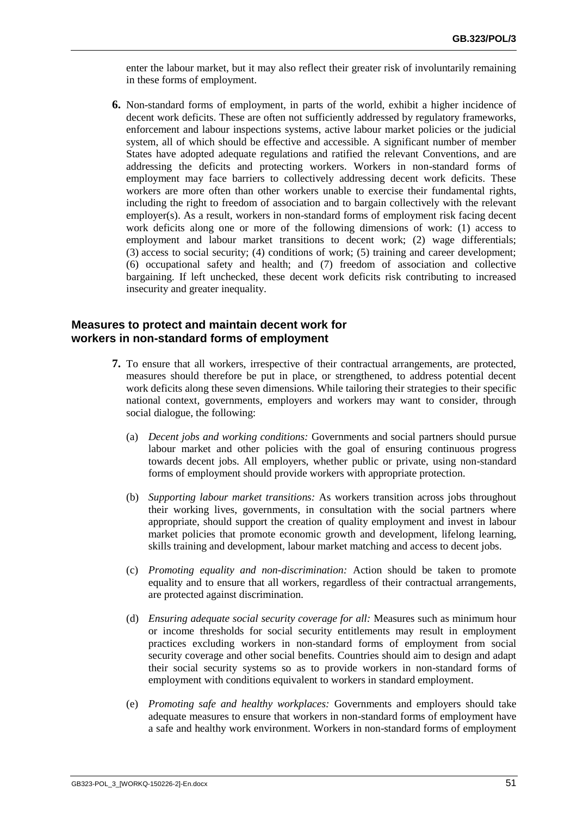enter the labour market, but it may also reflect their greater risk of involuntarily remaining in these forms of employment.

**6.** Non-standard forms of employment, in parts of the world, exhibit a higher incidence of decent work deficits. These are often not sufficiently addressed by regulatory frameworks, enforcement and labour inspections systems, active labour market policies or the judicial system, all of which should be effective and accessible. A significant number of member States have adopted adequate regulations and ratified the relevant Conventions, and are addressing the deficits and protecting workers. Workers in non-standard forms of employment may face barriers to collectively addressing decent work deficits. These workers are more often than other workers unable to exercise their fundamental rights, including the right to freedom of association and to bargain collectively with the relevant employer(s). As a result, workers in non-standard forms of employment risk facing decent work deficits along one or more of the following dimensions of work: (1) access to employment and labour market transitions to decent work; (2) wage differentials; (3) access to social security; (4) conditions of work; (5) training and career development; (6) occupational safety and health; and (7) freedom of association and collective bargaining. If left unchecked, these decent work deficits risk contributing to increased insecurity and greater inequality.

### **Measures to protect and maintain decent work for workers in non-standard forms of employment**

- **7.** To ensure that all workers, irrespective of their contractual arrangements, are protected, measures should therefore be put in place, or strengthened, to address potential decent work deficits along these seven dimensions. While tailoring their strategies to their specific national context, governments, employers and workers may want to consider, through social dialogue, the following:
	- (a) *Decent jobs and working conditions:* Governments and social partners should pursue labour market and other policies with the goal of ensuring continuous progress towards decent jobs. All employers, whether public or private, using non-standard forms of employment should provide workers with appropriate protection.
	- (b) *Supporting labour market transitions:* As workers transition across jobs throughout their working lives, governments, in consultation with the social partners where appropriate, should support the creation of quality employment and invest in labour market policies that promote economic growth and development, lifelong learning, skills training and development, labour market matching and access to decent jobs.
	- (c) *Promoting equality and non-discrimination:* Action should be taken to promote equality and to ensure that all workers, regardless of their contractual arrangements, are protected against discrimination.
	- (d) *Ensuring adequate social security coverage for all:* Measures such as minimum hour or income thresholds for social security entitlements may result in employment practices excluding workers in non-standard forms of employment from social security coverage and other social benefits. Countries should aim to design and adapt their social security systems so as to provide workers in non-standard forms of employment with conditions equivalent to workers in standard employment.
	- (e) *Promoting safe and healthy workplaces:* Governments and employers should take adequate measures to ensure that workers in non-standard forms of employment have a safe and healthy work environment. Workers in non-standard forms of employment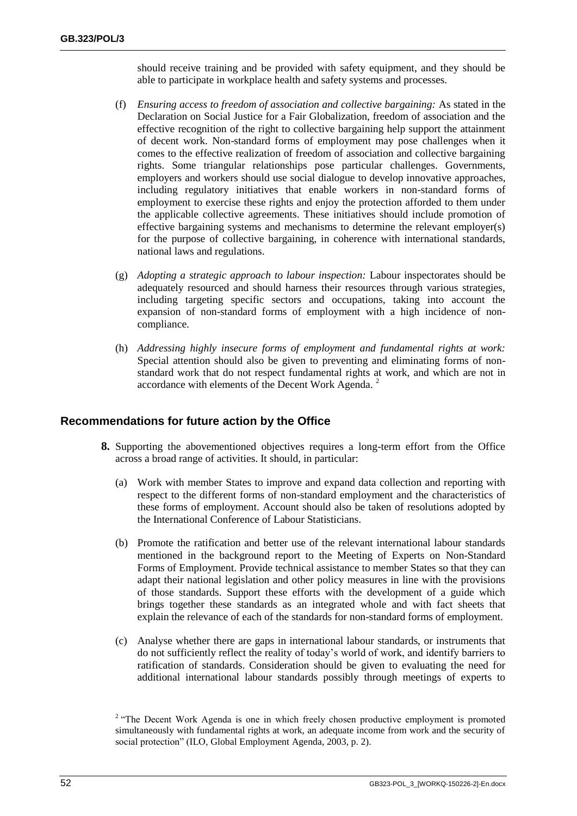should receive training and be provided with safety equipment, and they should be able to participate in workplace health and safety systems and processes.

- (f) *Ensuring access to freedom of association and collective bargaining:* As stated in the Declaration on Social Justice for a Fair Globalization, freedom of association and the effective recognition of the right to collective bargaining help support the attainment of decent work. Non-standard forms of employment may pose challenges when it comes to the effective realization of freedom of association and collective bargaining rights. Some triangular relationships pose particular challenges. Governments, employers and workers should use social dialogue to develop innovative approaches, including regulatory initiatives that enable workers in non-standard forms of employment to exercise these rights and enjoy the protection afforded to them under the applicable collective agreements. These initiatives should include promotion of effective bargaining systems and mechanisms to determine the relevant employer(s) for the purpose of collective bargaining, in coherence with international standards, national laws and regulations.
- (g) *Adopting a strategic approach to labour inspection:* Labour inspectorates should be adequately resourced and should harness their resources through various strategies, including targeting specific sectors and occupations, taking into account the expansion of non-standard forms of employment with a high incidence of noncompliance.
- (h) *Addressing highly insecure forms of employment and fundamental rights at work:* Special attention should also be given to preventing and eliminating forms of nonstandard work that do not respect fundamental rights at work, and which are not in accordance with elements of the Decent Work Agenda.<sup>2</sup>

### **Recommendations for future action by the Office**

- **8.** Supporting the abovementioned objectives requires a long-term effort from the Office across a broad range of activities. It should, in particular:
	- (a) Work with member States to improve and expand data collection and reporting with respect to the different forms of non-standard employment and the characteristics of these forms of employment. Account should also be taken of resolutions adopted by the International Conference of Labour Statisticians.
	- (b) Promote the ratification and better use of the relevant international labour standards mentioned in the background report to the Meeting of Experts on Non-Standard Forms of Employment. Provide technical assistance to member States so that they can adapt their national legislation and other policy measures in line with the provisions of those standards. Support these efforts with the development of a guide which brings together these standards as an integrated whole and with fact sheets that explain the relevance of each of the standards for non-standard forms of employment.
	- (c) Analyse whether there are gaps in international labour standards, or instruments that do not sufficiently reflect the reality of today's world of work, and identify barriers to ratification of standards. Consideration should be given to evaluating the need for additional international labour standards possibly through meetings of experts to

<sup>&</sup>lt;sup>2</sup> "The Decent Work Agenda is one in which freely chosen productive employment is promoted simultaneously with fundamental rights at work, an adequate income from work and the security of social protection" (ILO, Global Employment Agenda, 2003, p. 2).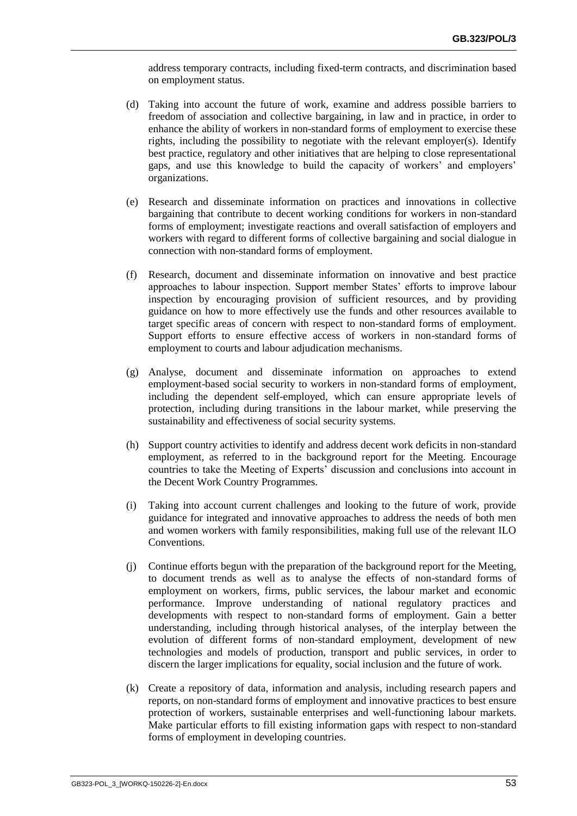address temporary contracts, including fixed-term contracts, and discrimination based on employment status.

- (d) Taking into account the future of work, examine and address possible barriers to freedom of association and collective bargaining, in law and in practice, in order to enhance the ability of workers in non-standard forms of employment to exercise these rights, including the possibility to negotiate with the relevant employer(s). Identify best practice, regulatory and other initiatives that are helping to close representational gaps, and use this knowledge to build the capacity of workers' and employers' organizations.
- (e) Research and disseminate information on practices and innovations in collective bargaining that contribute to decent working conditions for workers in non-standard forms of employment; investigate reactions and overall satisfaction of employers and workers with regard to different forms of collective bargaining and social dialogue in connection with non-standard forms of employment.
- (f) Research, document and disseminate information on innovative and best practice approaches to labour inspection. Support member States' efforts to improve labour inspection by encouraging provision of sufficient resources, and by providing guidance on how to more effectively use the funds and other resources available to target specific areas of concern with respect to non-standard forms of employment. Support efforts to ensure effective access of workers in non-standard forms of employment to courts and labour adjudication mechanisms.
- (g) Analyse, document and disseminate information on approaches to extend employment-based social security to workers in non-standard forms of employment, including the dependent self-employed, which can ensure appropriate levels of protection, including during transitions in the labour market, while preserving the sustainability and effectiveness of social security systems.
- (h) Support country activities to identify and address decent work deficits in non-standard employment, as referred to in the background report for the Meeting. Encourage countries to take the Meeting of Experts' discussion and conclusions into account in the Decent Work Country Programmes.
- (i) Taking into account current challenges and looking to the future of work, provide guidance for integrated and innovative approaches to address the needs of both men and women workers with family responsibilities, making full use of the relevant ILO Conventions.
- (j) Continue efforts begun with the preparation of the background report for the Meeting, to document trends as well as to analyse the effects of non-standard forms of employment on workers, firms, public services, the labour market and economic performance. Improve understanding of national regulatory practices and developments with respect to non-standard forms of employment. Gain a better understanding, including through historical analyses, of the interplay between the evolution of different forms of non-standard employment, development of new technologies and models of production, transport and public services, in order to discern the larger implications for equality, social inclusion and the future of work.
- (k) Create a repository of data, information and analysis, including research papers and reports, on non-standard forms of employment and innovative practices to best ensure protection of workers, sustainable enterprises and well-functioning labour markets. Make particular efforts to fill existing information gaps with respect to non-standard forms of employment in developing countries.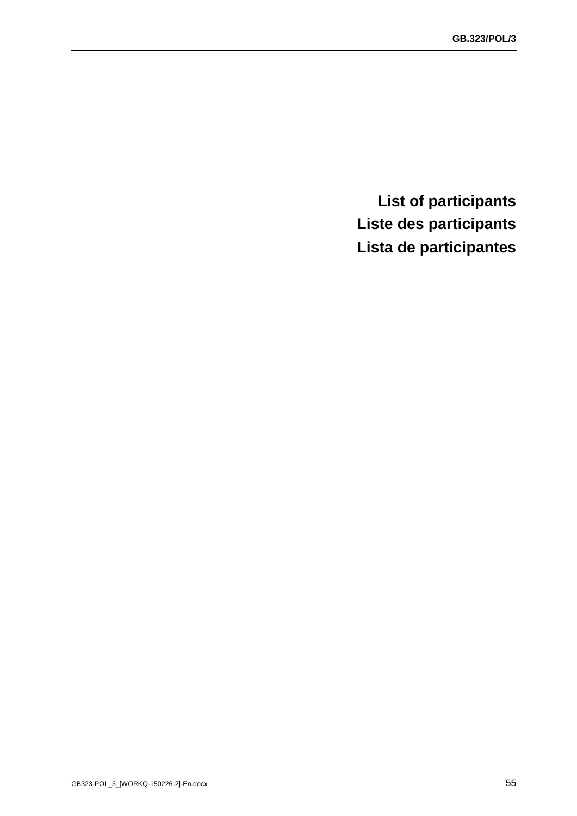<span id="page-54-0"></span>**List of participants Liste des participants Lista de participantes**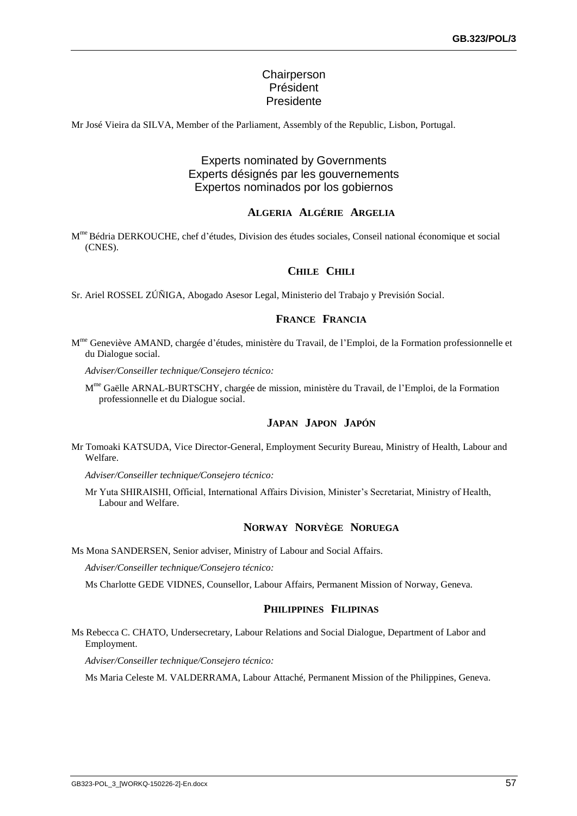# **Chairperson** Président Presidente

Mr José Vieira da SILVA, Member of the Parliament, Assembly of the Republic, Lisbon, Portugal.

# Experts nominated by Governments Experts désignés par les gouvernements Expertos nominados por los gobiernos

### **ALGERIA ALGÉRIE ARGELIA**

M<sup>me</sup> Bédria DERKOUCHE, chef d'études, Division des études sociales, Conseil national économique et social (CNES).

### **CHILE CHILI**

Sr. Ariel ROSSEL ZÚÑIGA, Abogado Asesor Legal, Ministerio del Trabajo y Previsión Social.

#### **FRANCE FRANCIA**

M<sup>me</sup> Geneviève AMAND, chargée d'études, ministère du Travail, de l'Emploi, de la Formation professionnelle et du Dialogue social.

*Adviser/Conseiller technique/Consejero técnico:*

M<sup>me</sup> Gaëlle ARNAL-BURTSCHY, chargée de mission, ministère du Travail, de l'Emploi, de la Formation professionnelle et du Dialogue social.

### **JAPAN JAPON JAPÓN**

Mr Tomoaki KATSUDA, Vice Director-General, Employment Security Bureau, Ministry of Health, Labour and Welfare.

*Adviser/Conseiller technique/Consejero técnico:*

Mr Yuta SHIRAISHI, Official, International Affairs Division, Minister's Secretariat, Ministry of Health, Labour and Welfare.

#### **NORWAY NORVÈGE NORUEGA**

Ms Mona SANDERSEN, Senior adviser, Ministry of Labour and Social Affairs.

*Adviser/Conseiller technique/Consejero técnico:*

Ms Charlotte GEDE VIDNES, Counsellor, Labour Affairs, Permanent Mission of Norway, Geneva.

#### **PHILIPPINES FILIPINAS**

Ms Rebecca C. CHATO, Undersecretary, Labour Relations and Social Dialogue, Department of Labor and Employment.

*Adviser/Conseiller technique/Consejero técnico:*

Ms Maria Celeste M. VALDERRAMA, Labour Attaché, Permanent Mission of the Philippines, Geneva.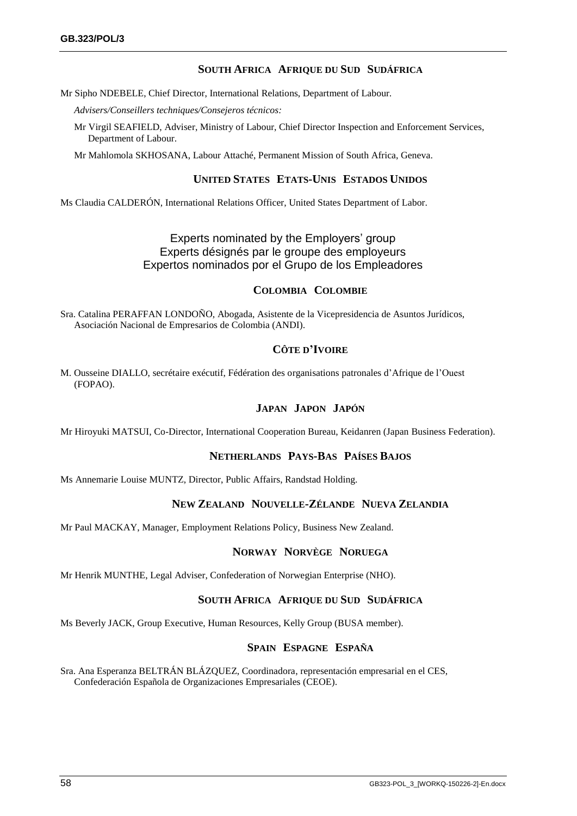### **SOUTH AFRICA AFRIQUE DU SUD SUDÁFRICA**

Mr Sipho NDEBELE, Chief Director, International Relations, Department of Labour.

*Advisers/Conseillers techniques/Consejeros técnicos:*

Mr Virgil SEAFIELD, Adviser, Ministry of Labour, Chief Director Inspection and Enforcement Services, Department of Labour.

Mr Mahlomola SKHOSANA, Labour Attaché, Permanent Mission of South Africa, Geneva.

### **UNITED STATES ETATS-UNIS ESTADOS UNIDOS**

Ms Claudia CALDERÓN, International Relations Officer, United States Department of Labor.

# Experts nominated by the Employers' group Experts désignés par le groupe des employeurs Expertos nominados por el Grupo de los Empleadores

#### **COLOMBIA COLOMBIE**

Sra. Catalina PERAFFAN LONDOÑO, Abogada, Asistente de la Vicepresidencia de Asuntos Jurídicos, Asociación Nacional de Empresarios de Colombia (ANDI).

#### **CÔTE D'IVOIRE**

M. Ousseine DIALLO, secrétaire exécutif, Fédération des organisations patronales d'Afrique de l'Ouest (FOPAO).

### **JAPAN JAPON JAPÓN**

Mr Hiroyuki MATSUI, Co-Director, International Cooperation Bureau, Keidanren (Japan Business Federation).

#### **NETHERLANDS PAYS-BAS PAÍSES BAJOS**

Ms Annemarie Louise MUNTZ, Director, Public Affairs, Randstad Holding.

#### **NEW ZEALAND NOUVELLE-ZÉLANDE NUEVA ZELANDIA**

Mr Paul MACKAY, Manager, Employment Relations Policy, Business New Zealand.

#### **NORWAY NORVÈGE NORUEGA**

Mr Henrik MUNTHE, Legal Adviser, Confederation of Norwegian Enterprise (NHO).

#### **SOUTH AFRICA AFRIQUE DU SUD SUDÁFRICA**

Ms Beverly JACK, Group Executive, Human Resources, Kelly Group (BUSA member).

#### **SPAIN ESPAGNE ESPAÑA**

Sra. Ana Esperanza BELTRÁN BLÁZQUEZ, Coordinadora, representación empresarial en el CES, Confederación Española de Organizaciones Empresariales (CEOE).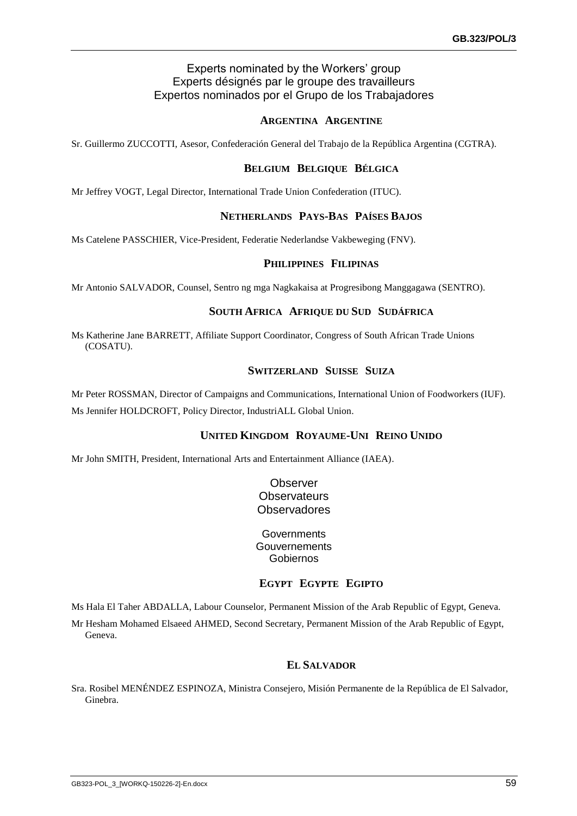# Experts nominated by the Workers' group Experts désignés par le groupe des travailleurs Expertos nominados por el Grupo de los Trabajadores

#### **ARGENTINA ARGENTINE**

Sr. Guillermo ZUCCOTTI, Asesor, Confederación General del Trabajo de la República Argentina (CGTRA).

#### **BELGIUM BELGIQUE BÉLGICA**

Mr Jeffrey VOGT, Legal Director, International Trade Union Confederation (ITUC).

#### **NETHERLANDS PAYS-BAS PAÍSES BAJOS**

Ms Catelene PASSCHIER, Vice-President, Federatie Nederlandse Vakbeweging (FNV).

#### **PHILIPPINES FILIPINAS**

Mr Antonio SALVADOR, Counsel, Sentro ng mga Nagkakaisa at Progresibong Manggagawa (SENTRO).

### **SOUTH AFRICA AFRIQUE DU SUD SUDÁFRICA**

Ms Katherine Jane BARRETT, Affiliate Support Coordinator, Congress of South African Trade Unions (COSATU).

#### **SWITZERLAND SUISSE SUIZA**

Mr Peter ROSSMAN, Director of Campaigns and Communications, International Union of Foodworkers (IUF). Ms Jennifer HOLDCROFT, Policy Director, IndustriALL Global Union.

#### **UNITED KINGDOM ROYAUME-UNI REINO UNIDO**

Mr John SMITH, President, International Arts and Entertainment Alliance (IAEA).

**Observer Observateurs Observadores** 

**Governments Gouvernements** Gobiernos

#### **EGYPT EGYPTE EGIPTO**

Ms Hala El Taher ABDALLA, Labour Counselor, Permanent Mission of the Arab Republic of Egypt, Geneva.

Mr Hesham Mohamed Elsaeed AHMED, Second Secretary, Permanent Mission of the Arab Republic of Egypt, Geneva.

#### **EL SALVADOR**

Sra. Rosibel MENÉNDEZ ESPINOZA, Ministra Consejero, Misión Permanente de la República de El Salvador, Ginebra.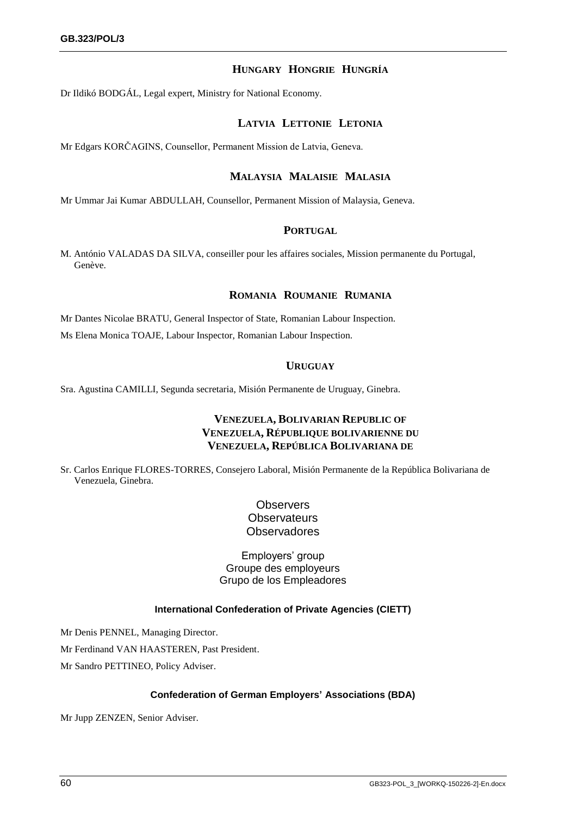#### **HUNGARY HONGRIE HUNGRÍA**

Dr Ildikó BODGÁL, Legal expert, Ministry for National Economy.

#### **LATVIA LETTONIE LETONIA**

Mr Edgars KORČAGINS, Counsellor, Permanent Mission de Latvia, Geneva.

#### **MALAYSIA MALAISIE MALASIA**

Mr Ummar Jai Kumar ABDULLAH, Counsellor, Permanent Mission of Malaysia, Geneva.

#### **PORTUGAL**

M. António VALADAS DA SILVA, conseiller pour les affaires sociales, Mission permanente du Portugal, Genève.

#### **ROMANIA ROUMANIE RUMANIA**

Mr Dantes Nicolae BRATU, General Inspector of State, Romanian Labour Inspection. Ms Elena Monica TOAJE, Labour Inspector, Romanian Labour Inspection.

#### **URUGUAY**

Sra. Agustina CAMILLI, Segunda secretaria, Misión Permanente de Uruguay, Ginebra.

## **VENEZUELA, BOLIVARIAN REPUBLIC OF VENEZUELA, RÉPUBLIQUE BOLIVARIENNE DU VENEZUELA, REPÚBLICA BOLIVARIANA DE**

Sr. Carlos Enrique FLORES-TORRES, Consejero Laboral, Misión Permanente de la República Bolivariana de Venezuela, Ginebra.

> **Observers Observateurs Observadores**

Employers' group Groupe des employeurs Grupo de los Empleadores

#### **International Confederation of Private Agencies (CIETT)**

Mr Denis PENNEL, Managing Director.

Mr Ferdinand VAN HAASTEREN, Past President.

Mr Sandro PETTINEO, Policy Adviser.

#### **Confederation of German Employers' Associations (BDA)**

Mr Jupp ZENZEN, Senior Adviser.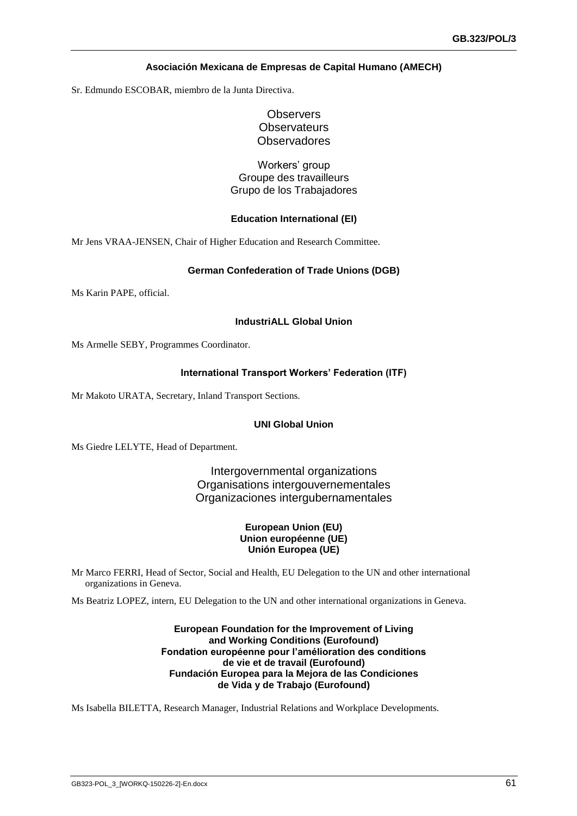#### **Asociación Mexicana de Empresas de Capital Humano (AMECH)**

Sr. Edmundo ESCOBAR, miembro de la Junta Directiva.

# **Observers Observateurs Observadores**

Workers' group Groupe des travailleurs Grupo de los Trabajadores

### **Education International (EI)**

Mr Jens VRAA-JENSEN, Chair of Higher Education and Research Committee.

#### **German Confederation of Trade Unions (DGB)**

Ms Karin PAPE, official.

#### **IndustriALL Global Union**

Ms Armelle SEBY, Programmes Coordinator.

### **International Transport Workers' Federation (ITF)**

Mr Makoto URATA, Secretary, Inland Transport Sections.

#### **UNI Global Union**

Ms Giedre LELYTE, Head of Department.

Intergovernmental organizations Organisations intergouvernementales Organizaciones intergubernamentales

#### **European Union (EU) Union européenne (UE) Unión Europea (UE)**

Mr Marco FERRI, Head of Sector, Social and Health, EU Delegation to the UN and other international organizations in Geneva.

Ms Beatriz LOPEZ, intern, EU Delegation to the UN and other international organizations in Geneva.

#### **European Foundation for the Improvement of Living and Working Conditions (Eurofound) Fondation européenne pour l'amélioration des conditions de vie et de travail (Eurofound) Fundación Europea para la Mejora de las Condiciones de Vida y de Trabajo (Eurofound)**

Ms Isabella BILETTA, Research Manager, Industrial Relations and Workplace Developments.